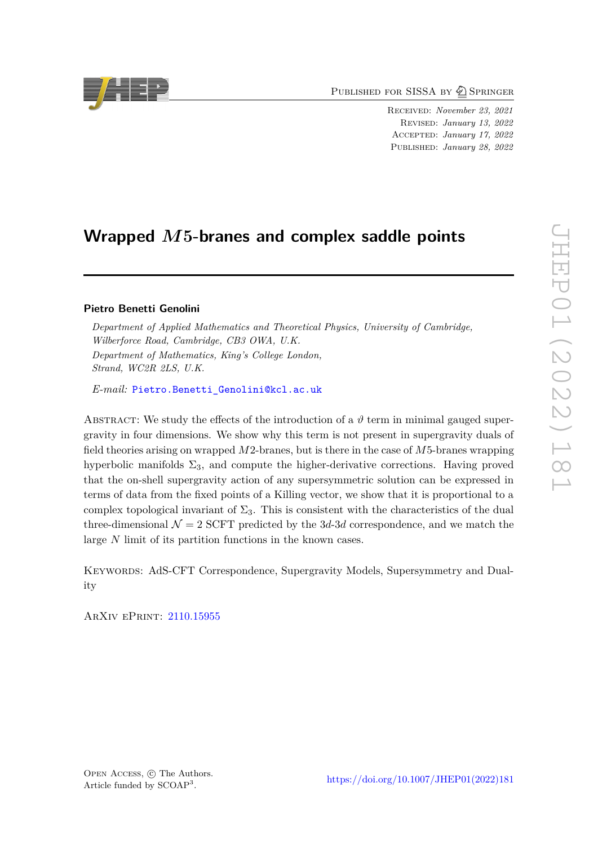PUBLISHED FOR SISSA BY 2 SPRINGER

Received: *November 23, 2021* Revised: *January 13, 2022* Accepted: *January 17, 2022* Published: *January 28, 2022*

# **Wrapped** *M***5-branes and complex saddle points**

# **Pietro Benetti Genolini**

*Department of Applied Mathematics and Theoretical Physics, University of Cambridge, Wilberforce Road, Cambridge, CB3 OWA, U.K. Department of Mathematics, King's College London, Strand, WC2R 2LS, U.K.*

*E-mail:* [Pietro.Benetti\\_Genolini@kcl.ac.uk](mailto:Pietro.Benetti_Genolini@kcl.ac.uk)

ABSTRACT: We study the effects of the introduction of a  $\vartheta$  term in minimal gauged supergravity in four dimensions. We show why this term is not present in supergravity duals of field theories arising on wrapped *M*2-branes, but is there in the case of *M*5-branes wrapping hyperbolic manifolds  $\Sigma_3$ , and compute the higher-derivative corrections. Having proved that the on-shell supergravity action of any supersymmetric solution can be expressed in terms of data from the fixed points of a Killing vector, we show that it is proportional to a complex topological invariant of  $\Sigma_3$ . This is consistent with the characteristics of the dual three-dimensional  $\mathcal{N} = 2$  SCFT predicted by the 3*d*-3*d* correspondence, and we match the large *N* limit of its partition functions in the known cases.

Keywords: AdS-CFT Correspondence, Supergravity Models, Supersymmetry and Duality

ArXiv ePrint: [2110.15955](https://arxiv.org/abs/2110.15955)

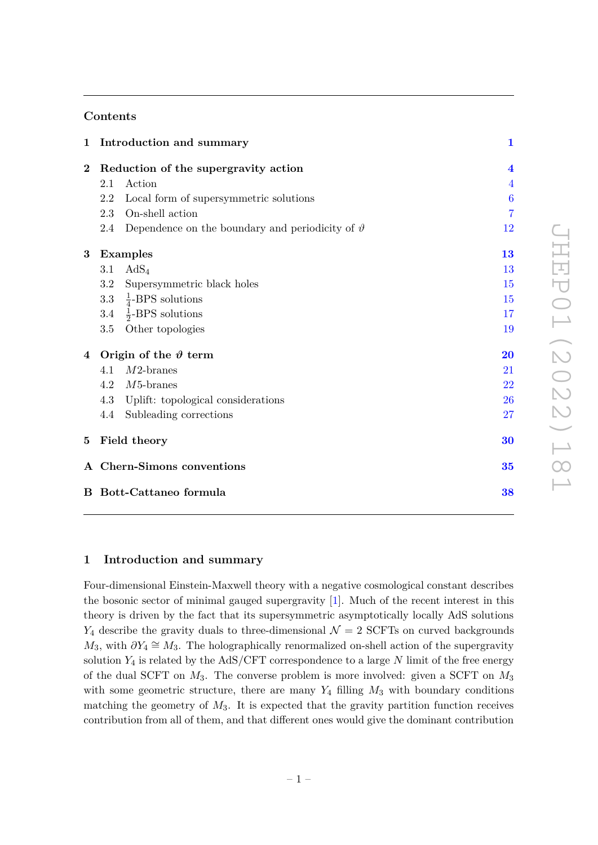# **Contents**

|                                | 1 Introduction and summary           |                                                           | $\mathbf{1}$            |
|--------------------------------|--------------------------------------|-----------------------------------------------------------|-------------------------|
| $\bf{2}$                       | Reduction of the supergravity action |                                                           | $\overline{\mathbf{4}}$ |
|                                | 2.1                                  | Action                                                    | $\overline{4}$          |
|                                | 2.2                                  | Local form of supersymmetric solutions                    | $\boldsymbol{6}$        |
|                                | 2.3                                  | On-shell action                                           | $\overline{7}$          |
|                                | 2.4                                  | Dependence on the boundary and periodicity of $\vartheta$ | 12                      |
| $\bf{3}$                       | <b>Examples</b>                      |                                                           | 13                      |
|                                | 3.1                                  | $AdS_4$                                                   | 13                      |
|                                | 3.2                                  | Supersymmetric black holes                                | 15                      |
|                                |                                      | 3.3 $\frac{1}{4}$ -BPS solutions                          | 15                      |
|                                |                                      | 3.4 $\frac{1}{2}$ -BPS solutions                          | 17                      |
|                                | 3.5                                  | Other topologies                                          | 19                      |
|                                | 4 Origin of the $\vartheta$ term     |                                                           | 20                      |
|                                | 4.1                                  | $M2$ -branes                                              | 21                      |
|                                | 4.2                                  | $M5$ -branes                                              | 22                      |
|                                | 4.3                                  | Uplift: topological considerations                        | 26                      |
|                                | 4.4                                  | Subleading corrections                                    | 27                      |
|                                | 5 Field theory                       |                                                           | 30                      |
|                                | A Chern-Simons conventions           |                                                           | 35                      |
| <b>B</b> Bott-Cattaneo formula |                                      |                                                           | 38                      |

# <span id="page-1-0"></span>**1 Introduction and summary**

Four-dimensional Einstein-Maxwell theory with a negative cosmological constant describes the bosonic sector of minimal gauged supergravity [\[1\]](#page-39-0). Much of the recent interest in this theory is driven by the fact that its supersymmetric asymptotically locally AdS solutions  $Y_4$  describe the gravity duals to three-dimensional  $\mathcal{N}=2$  SCFTs on curved backgrounds  $M_3$ , with  $\partial Y_4 \cong M_3$ . The holographically renormalized on-shell action of the supergravity solution  $Y_4$  is related by the AdS/CFT correspondence to a large  $N$  limit of the free energy of the dual SCFT on *M*3. The converse problem is more involved: given a SCFT on *M*<sup>3</sup> with some geometric structure, there are many  $Y_4$  filling  $M_3$  with boundary conditions matching the geometry of *M*3. It is expected that the gravity partition function receives contribution from all of them, and that different ones would give the dominant contribution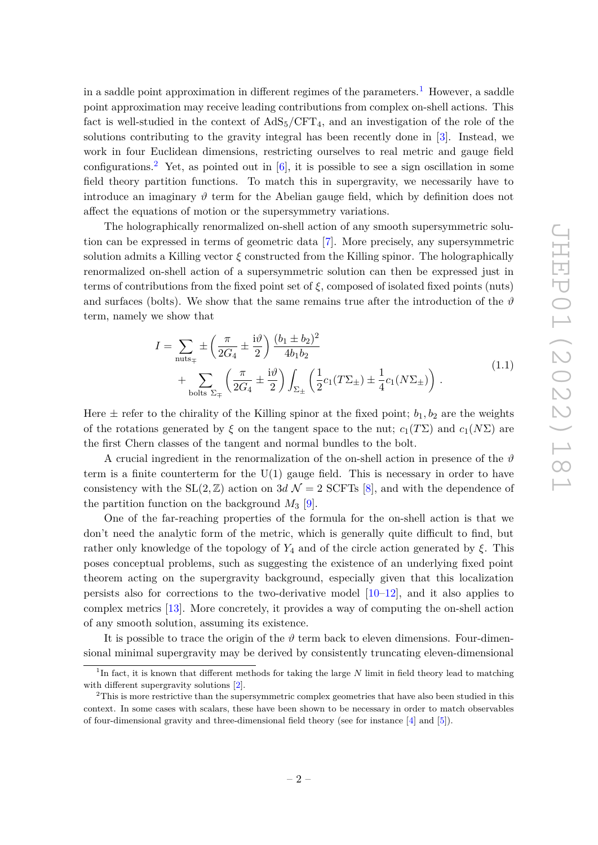in a saddle point approximation in different regimes of the parameters.<sup>[1](#page-2-0)</sup> However, a saddle point approximation may receive leading contributions from complex on-shell actions. This fact is well-studied in the context of  $AdS_5/CFT_4$ , and an investigation of the role of the solutions contributing to the gravity integral has been recently done in [\[3\]](#page-39-1). Instead, we work in four Euclidean dimensions, restricting ourselves to real metric and gauge field configurations.<sup>[2](#page-2-1)</sup> Yet, as pointed out in  $[6]$ , it is possible to see a sign oscillation in some field theory partition functions. To match this in supergravity, we necessarily have to introduce an imaginary  $\vartheta$  term for the Abelian gauge field, which by definition does not affect the equations of motion or the supersymmetry variations.

The holographically renormalized on-shell action of any smooth supersymmetric solution can be expressed in terms of geometric data [\[7\]](#page-39-3). More precisely, any supersymmetric solution admits a Killing vector *ξ* constructed from the Killing spinor. The holographically renormalized on-shell action of a supersymmetric solution can then be expressed just in terms of contributions from the fixed point set of *ξ*, composed of isolated fixed points (nuts) and surfaces (bolts). We show that the same remains true after the introduction of the  $\vartheta$ term, namely we show that

$$
I = \sum_{\text{nuts}_{\mp}} \pm \left(\frac{\pi}{2G_4} \pm \frac{i\vartheta}{2}\right) \frac{(b_1 \pm b_2)^2}{4b_1b_2} + \sum_{\text{bolts }\Sigma_{\mp}} \left(\frac{\pi}{2G_4} \pm \frac{i\vartheta}{2}\right) \int_{\Sigma_{\pm}} \left(\frac{1}{2}c_1(T\Sigma_{\pm}) \pm \frac{1}{4}c_1(N\Sigma_{\pm})\right).
$$
\n(1.1)

<span id="page-2-2"></span>Here  $\pm$  refer to the chirality of the Killing spinor at the fixed point;  $b_1, b_2$  are the weights of the rotations generated by  $\xi$  on the tangent space to the nut;  $c_1(T\Sigma)$  and  $c_1(N\Sigma)$  are the first Chern classes of the tangent and normal bundles to the bolt.

A crucial ingredient in the renormalization of the on-shell action in presence of the  $\vartheta$ term is a finite counterterm for the  $U(1)$  gauge field. This is necessary in order to have consistency with the  $SL(2, \mathbb{Z})$  action on 3*d*  $\mathcal{N} = 2$  SCFTs [\[8\]](#page-39-4), and with the dependence of the partition function on the background  $M_3$  [\[9\]](#page-39-5).

One of the far-reaching properties of the formula for the on-shell action is that we don't need the analytic form of the metric, which is generally quite difficult to find, but rather only knowledge of the topology of  $Y_4$  and of the circle action generated by  $\xi$ . This poses conceptual problems, such as suggesting the existence of an underlying fixed point theorem acting on the supergravity background, especially given that this localization persists also for corrections to the two-derivative model  $[10-12]$  $[10-12]$ , and it also applies to complex metrics [\[13\]](#page-39-8). More concretely, it provides a way of computing the on-shell action of any smooth solution, assuming its existence.

It is possible to trace the origin of the  $\vartheta$  term back to eleven dimensions. Four-dimensional minimal supergravity may be derived by consistently truncating eleven-dimensional

<span id="page-2-0"></span><sup>&</sup>lt;sup>1</sup>In fact, it is known that different methods for taking the large *N* limit in field theory lead to matching with different supergravity solutions  $[2]$ .

<span id="page-2-1"></span> $2$ This is more restrictive than the supersymmetric complex geometries that have also been studied in this context. In some cases with scalars, these have been shown to be necessary in order to match observables of four-dimensional gravity and three-dimensional field theory (see for instance [\[4\]](#page-39-10) and [\[5\]](#page-39-11)).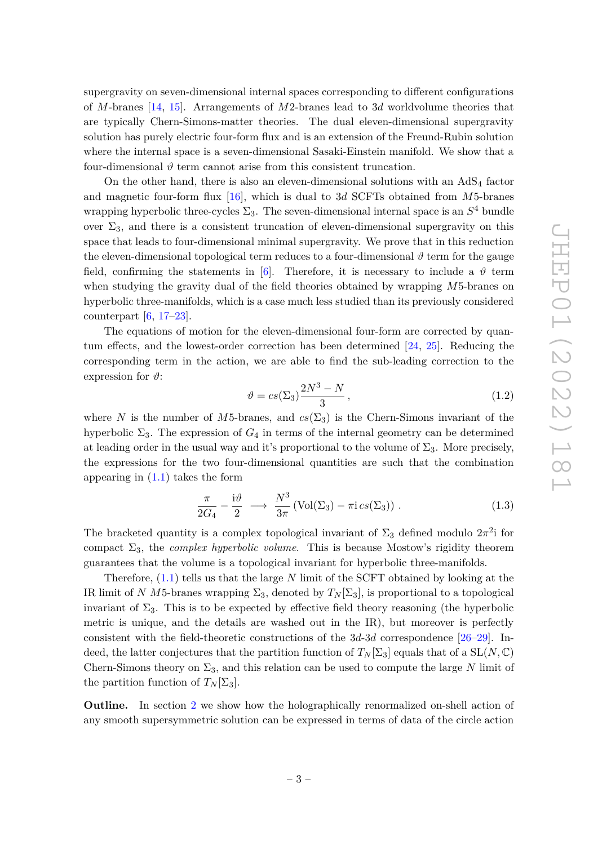supergravity on seven-dimensional internal spaces corresponding to different configurations of *M*-branes [\[14,](#page-39-12) [15\]](#page-40-0). Arrangements of *M*2-branes lead to 3*d* worldvolume theories that are typically Chern-Simons-matter theories. The dual eleven-dimensional supergravity solution has purely electric four-form flux and is an extension of the Freund-Rubin solution where the internal space is a seven-dimensional Sasaki-Einstein manifold. We show that a four-dimensional  $\vartheta$  term cannot arise from this consistent truncation.

On the other hand, there is also an eleven-dimensional solutions with an  $AdS<sub>4</sub>$  factor and magnetic four-form flux [\[16\]](#page-40-1), which is dual to 3*d* SCFTs obtained from *M*5-branes wrapping hyperbolic three-cycles  $\Sigma_3$ . The seven-dimensional internal space is an  $S^4$  bundle over  $\Sigma_3$ , and there is a consistent truncation of eleven-dimensional supergravity on this space that leads to four-dimensional minimal supergravity. We prove that in this reduction the eleven-dimensional topological term reduces to a four-dimensional  $\vartheta$  term for the gauge field, confirming the statements in [\[6\]](#page-39-2). Therefore, it is necessary to include a  $\vartheta$  term when studying the gravity dual of the field theories obtained by wrapping *M*5-branes on hyperbolic three-manifolds, which is a case much less studied than its previously considered counterpart  $[6, 17-23]$  $[6, 17-23]$  $[6, 17-23]$ .

The equations of motion for the eleven-dimensional four-form are corrected by quantum effects, and the lowest-order correction has been determined [\[24,](#page-40-4) [25\]](#page-40-5). Reducing the corresponding term in the action, we are able to find the sub-leading correction to the expression for  $\vartheta$ :

<span id="page-3-0"></span>
$$
\vartheta = cs(\Sigma_3) \frac{2N^3 - N}{3},\tag{1.2}
$$

where *N* is the number of *M*5-branes, and  $cs(\Sigma_3)$  is the Chern-Simons invariant of the hyperbolic  $\Sigma_3$ . The expression of  $G_4$  in terms of the internal geometry can be determined at leading order in the usual way and it's proportional to the volume of  $\Sigma_3$ . More precisely, the expressions for the two four-dimensional quantities are such that the combination appearing in  $(1.1)$  takes the form

$$
\frac{\pi}{2G_4} - \frac{\mathrm{i}\vartheta}{2} \longrightarrow \frac{N^3}{3\pi} \left( \mathrm{Vol}(\Sigma_3) - \pi \mathrm{i} \, cs(\Sigma_3) \right) . \tag{1.3}
$$

The bracketed quantity is a complex topological invariant of  $\Sigma_3$  defined modulo  $2\pi^2$  for compact  $\Sigma_3$ , the *complex hyperbolic volume*. This is because Mostow's rigidity theorem guarantees that the volume is a topological invariant for hyperbolic three-manifolds.

Therefore, [\(1.1\)](#page-2-2) tells us that the large *N* limit of the SCFT obtained by looking at the IR limit of *N M*5-branes wrapping  $\Sigma_3$ , denoted by  $T_N[\Sigma_3]$ , is proportional to a topological invariant of  $\Sigma_3$ . This is to be expected by effective field theory reasoning (the hyperbolic metric is unique, and the details are washed out in the IR), but moreover is perfectly consistent with the field-theoretic constructions of the 3*d*-3*d* correspondence [\[26](#page-40-6)[–29\]](#page-40-7). Indeed, the latter conjectures that the partition function of  $T_N[\Sigma_3]$  equals that of a  $SL(N, \mathbb{C})$ Chern-Simons theory on  $\Sigma_3$ , and this relation can be used to compute the large *N* limit of the partition function of  $T_N[\Sigma_3]$ .

**Outline.** In section [2](#page-4-0) we show how the holographically renormalized on-shell action of any smooth supersymmetric solution can be expressed in terms of data of the circle action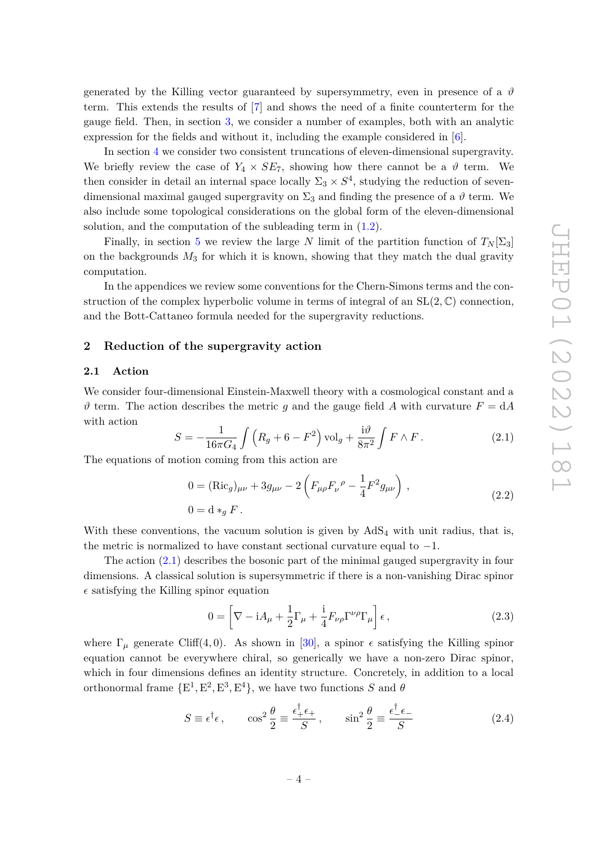generated by the Killing vector guaranteed by supersymmetry, even in presence of a  $\vartheta$ term. This extends the results of [\[7\]](#page-39-3) and shows the need of a finite counterterm for the gauge field. Then, in section [3,](#page-13-0) we consider a number of examples, both with an analytic expression for the fields and without it, including the example considered in [\[6\]](#page-39-2).

In section [4](#page-20-0) we consider two consistent truncations of eleven-dimensional supergravity. We briefly review the case of  $Y_4 \times SE_7$ , showing how there cannot be a  $\vartheta$  term. We then consider in detail an internal space locally  $\Sigma_3 \times S^4$ , studying the reduction of sevendimensional maximal gauged supergravity on  $\Sigma_3$  and finding the presence of a  $\vartheta$  term. We also include some topological considerations on the global form of the eleven-dimensional solution, and the computation of the subleading term in  $(1.2)$ .

Finally, in section [5](#page-30-0) we review the large *N* limit of the partition function of  $T_N[\Sigma_3]$ on the backgrounds  $M_3$  for which it is known, showing that they match the dual gravity computation.

In the appendices we review some conventions for the Chern-Simons terms and the construction of the complex hyperbolic volume in terms of integral of an SL(2*,* C) connection, and the Bott-Cattaneo formula needed for the supergravity reductions.

# <span id="page-4-0"></span>**2 Reduction of the supergravity action**

### <span id="page-4-1"></span>**2.1 Action**

We consider four-dimensional Einstein-Maxwell theory with a cosmological constant and a  $\vartheta$  term. The action describes the metric *g* and the gauge field *A* with curvature  $F = dA$ with action

<span id="page-4-2"></span>
$$
S = -\frac{1}{16\pi G_4} \int \left( R_g + 6 - F^2 \right) \text{vol}_g + \frac{i\vartheta}{8\pi^2} \int F \wedge F \,. \tag{2.1}
$$

<span id="page-4-4"></span>The equations of motion coming from this action are

$$
0 = (\text{Ric}_g)_{\mu\nu} + 3g_{\mu\nu} - 2\left(F_{\mu\rho}F_{\nu}{}^{\rho} - \frac{1}{4}F^2g_{\mu\nu}\right),
$$
  
\n
$$
0 = d *_{g} F.
$$
\n(2.2)

With these conventions, the vacuum solution is given by  $AdS<sub>4</sub>$  with unit radius, that is, the metric is normalized to have constant sectional curvature equal to  $-1$ .

The action [\(2.1\)](#page-4-2) describes the bosonic part of the minimal gauged supergravity in four dimensions. A classical solution is supersymmetric if there is a non-vanishing Dirac spinor  $\epsilon$  satisfying the Killing spinor equation

<span id="page-4-3"></span>
$$
0 = \left[\nabla - iA_{\mu} + \frac{1}{2}\Gamma_{\mu} + \frac{i}{4}F_{\nu\rho}\Gamma^{\nu\rho}\Gamma_{\mu}\right]\epsilon,
$$
\n(2.3)

where  $\Gamma_{\mu}$  generate Cliff(4,0). As shown in [\[30\]](#page-40-8), a spinor  $\epsilon$  satisfying the Killing spinor equation cannot be everywhere chiral, so generically we have a non-zero Dirac spinor, which in four dimensions defines an identity structure. Concretely, in addition to a local orthonormal frame  $\{E^1, E^2, E^3, E^4\}$ , we have two functions *S* and  $\theta$ 

$$
S \equiv \epsilon^{\dagger} \epsilon \,, \qquad \cos^2 \frac{\theta}{2} \equiv \frac{\epsilon_+^{\dagger} \epsilon_+}{S} \,, \qquad \sin^2 \frac{\theta}{2} \equiv \frac{\epsilon_-^{\dagger} \epsilon_-}{S} \tag{2.4}
$$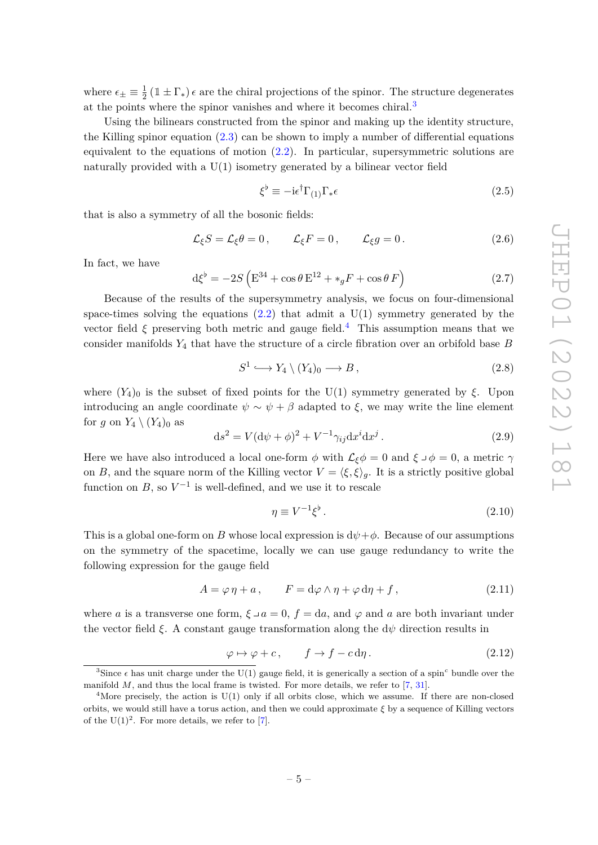where  $\epsilon_{\pm} \equiv \frac{1}{2}$  $\frac{1}{2}$  (1 ±  $\Gamma_*$ )  $\epsilon$  are the chiral projections of the spinor. The structure degenerates at the points where the spinor vanishes and where it becomes chiral.<sup>[3](#page-5-0)</sup>

Using the bilinears constructed from the spinor and making up the identity structure, the Killing spinor equation  $(2.3)$  can be shown to imply a number of differential equations equivalent to the equations of motion [\(2.2\)](#page-4-4). In particular, supersymmetric solutions are naturally provided with a  $U(1)$  isometry generated by a bilinear vector field

$$
\xi^{\flat} \equiv -i\epsilon^{\dagger} \Gamma_{(1)} \Gamma_{*} \epsilon \tag{2.5}
$$

that is also a symmetry of all the bosonic fields:

$$
\mathcal{L}_{\xi}S = \mathcal{L}_{\xi}\theta = 0, \qquad \mathcal{L}_{\xi}F = 0, \qquad \mathcal{L}_{\xi}g = 0. \tag{2.6}
$$

In fact, we have

<span id="page-5-4"></span>
$$
\mathrm{d}\xi^{\flat} = -2S\left(\mathrm{E}^{34} + \cos\theta\,\mathrm{E}^{12} + \ast_{g}F + \cos\theta\,F\right) \tag{2.7}
$$

Because of the results of the supersymmetry analysis, we focus on four-dimensional space-times solving the equations  $(2.2)$  that admit a U(1) symmetry generated by the vector field  $\xi$  preserving both metric and gauge field.<sup>[4](#page-5-1)</sup> This assumption means that we consider manifolds *Y*<sup>4</sup> that have the structure of a circle fibration over an orbifold base *B*

<span id="page-5-2"></span>
$$
S^1 \hookrightarrow Y_4 \setminus (Y_4)_0 \longrightarrow B,\tag{2.8}
$$

where  $(Y_4)_0$  is the subset of fixed points for the U(1) symmetry generated by  $\xi$ . Upon introducing an angle coordinate  $\psi \sim \psi + \beta$  adapted to  $\xi$ , we may write the line element for *g* on  $Y_4 \setminus (Y_4)_0$  as

$$
\mathrm{d}s^2 = V(\mathrm{d}\psi + \phi)^2 + V^{-1}\gamma_{ij}\mathrm{d}x^i\mathrm{d}x^j\,. \tag{2.9}
$$

Here we have also introduced a local one-form  $\phi$  with  $\mathcal{L}_{\xi}\phi = 0$  and  $\xi \circ \phi = 0$ , a metric  $\gamma$ on *B*, and the square norm of the Killing vector  $V = \langle \xi, \xi \rangle_g$ . It is a strictly positive global function on  $B$ , so  $V^{-1}$  is well-defined, and we use it to rescale

$$
\eta \equiv V^{-1} \xi^{\flat} \,. \tag{2.10}
$$

This is a global one-form on *B* whose local expression is  $d\psi + \phi$ . Because of our assumptions on the symmetry of the spacetime, locally we can use gauge redundancy to write the following expression for the gauge field

$$
A = \varphi \eta + a, \qquad F = d\varphi \wedge \eta + \varphi \, d\eta + f, \tag{2.11}
$$

where *a* is a transverse one form,  $\xi \lrcorner a = 0$ ,  $f = da$ , and  $\varphi$  and *a* are both invariant under the vector field  $\xi$ . A constant gauge transformation along the  $d\psi$  direction results in

<span id="page-5-3"></span>
$$
\varphi \mapsto \varphi + c, \qquad f \to f - c \, \mathrm{d}\eta \,. \tag{2.12}
$$

<span id="page-5-0"></span><sup>&</sup>lt;sup>3</sup>Since  $\epsilon$  has unit charge under the U(1) gauge field, it is generically a section of a spin<sup>c</sup> bundle over the manifold  $M$ , and thus the local frame is twisted. For more details, we refer to  $[7, 31]$  $[7, 31]$  $[7, 31]$ .

<span id="page-5-1"></span><sup>&</sup>lt;sup>4</sup>More precisely, the action is  $U(1)$  only if all orbits close, which we assume. If there are non-closed orbits, we would still have a torus action, and then we could approximate *ξ* by a sequence of Killing vectors of the  $U(1)^2$ . For more details, we refer to [\[7\]](#page-39-3).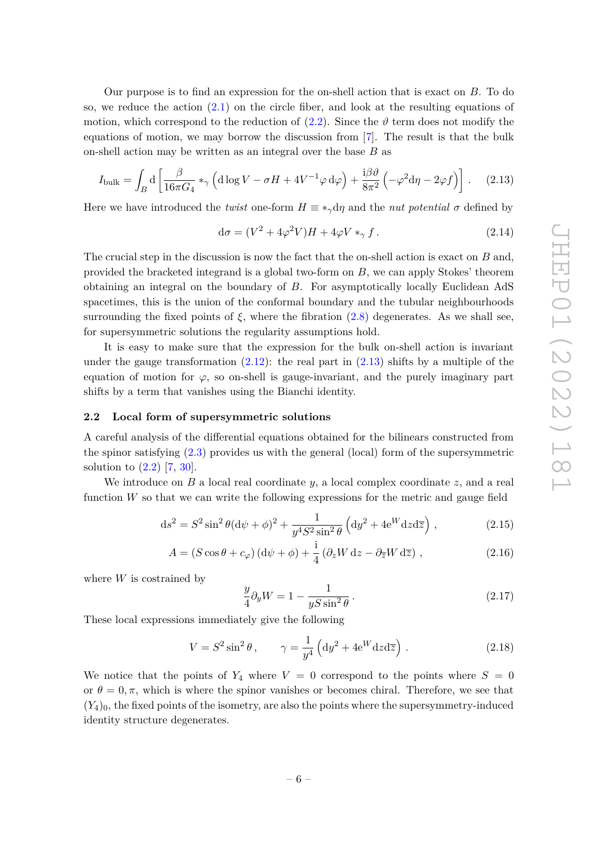Our purpose is to find an expression for the on-shell action that is exact on *B*. To do so, we reduce the action [\(2.1\)](#page-4-2) on the circle fiber, and look at the resulting equations of motion, which correspond to the reduction of  $(2.2)$ . Since the  $\vartheta$  term does not modify the equations of motion, we may borrow the discussion from [\[7\]](#page-39-3). The result is that the bulk on-shell action may be written as an integral over the base *B* as

<span id="page-6-1"></span>
$$
I_{\text{bulk}} = \int_{B} d \left[ \frac{\beta}{16\pi G_4} *_{\gamma} \left( d \log V - \sigma H + 4V^{-1} \varphi d\varphi \right) + \frac{i\beta \vartheta}{8\pi^2} \left( -\varphi^2 d\eta - 2\varphi f \right) \right]. \tag{2.13}
$$

Here we have introduced the *twist* one-form  $H \equiv *_{\gamma} d\eta$  and the *nut potential*  $\sigma$  defined by

$$
d\sigma = (V^2 + 4\varphi^2 V)H + 4\varphi V *_{\gamma} f. \qquad (2.14)
$$

The crucial step in the discussion is now the fact that the on-shell action is exact on *B* and, provided the bracketed integrand is a global two-form on *B*, we can apply Stokes' theorem obtaining an integral on the boundary of *B*. For asymptotically locally Euclidean AdS spacetimes, this is the union of the conformal boundary and the tubular neighbourhoods surrounding the fixed points of  $\xi$ , where the fibration [\(2.8\)](#page-5-2) degenerates. As we shall see, for supersymmetric solutions the regularity assumptions hold.

It is easy to make sure that the expression for the bulk on-shell action is invariant under the gauge transformation  $(2.12)$ : the real part in  $(2.13)$  shifts by a multiple of the equation of motion for  $\varphi$ , so on-shell is gauge-invariant, and the purely imaginary part shifts by a term that vanishes using the Bianchi identity.

### <span id="page-6-0"></span>**2.2 Local form of supersymmetric solutions**

A careful analysis of the differential equations obtained for the bilinears constructed from the spinor satisfying [\(2.3\)](#page-4-3) provides us with the general (local) form of the supersymmetric solution to [\(2.2\)](#page-4-4) [\[7,](#page-39-3) [30\]](#page-40-8).

We introduce on *B* a local real coordinate *y*, a local complex coordinate *z*, and a real function *W* so that we can write the following expressions for the metric and gauge field

$$
ds^{2} = S^{2} \sin^{2} \theta (d\psi + \phi)^{2} + \frac{1}{y^{4} S^{2} \sin^{2} \theta} (dy^{2} + 4e^{W} dz d\overline{z}), \qquad (2.15)
$$

$$
A = (S\cos\theta + c_{\varphi})\left(\mathrm{d}\psi + \phi\right) + \frac{\mathrm{i}}{4}\left(\partial_z W \,\mathrm{d}z - \partial_{\overline{z}} W \,\mathrm{d}\overline{z}\right) ,\qquad (2.16)
$$

where *W* is costrained by

<span id="page-6-4"></span><span id="page-6-3"></span><span id="page-6-2"></span>
$$
\frac{y}{4}\partial_y W = 1 - \frac{1}{yS\sin^2\theta}.
$$
\n(2.17)

These local expressions immediately give the following

<span id="page-6-5"></span>
$$
V = S^2 \sin^2 \theta, \qquad \gamma = \frac{1}{y^4} \left( \mathrm{d}y^2 + 4 \mathrm{e}^W \mathrm{d}z \mathrm{d}\overline{z} \right). \tag{2.18}
$$

We notice that the points of  $Y_4$  where  $V = 0$  correspond to the points where  $S = 0$ or  $\theta = 0, \pi$ , which is where the spinor vanishes or becomes chiral. Therefore, we see that  $(Y_4)_0$ , the fixed points of the isometry, are also the points where the supersymmetry-induced identity structure degenerates.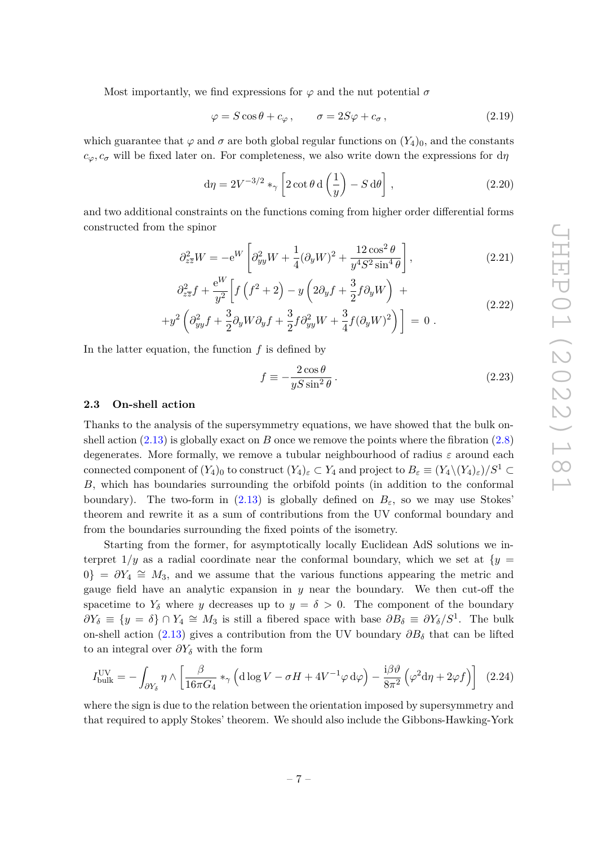Most importantly, we find expressions for  $\varphi$  and the nut potential  $\sigma$ 

<span id="page-7-4"></span>
$$
\varphi = S\cos\theta + c_{\varphi}, \qquad \sigma = 2S\varphi + c_{\sigma}, \qquad (2.19)
$$

which guarantee that  $\varphi$  and  $\sigma$  are both global regular functions on  $(Y_4)_0$ , and the constants  $c_{\varphi}, c_{\sigma}$  will be fixed later on. For completeness, we also write down the expressions for d*η* 

<span id="page-7-1"></span>
$$
d\eta = 2V^{-3/2} *_{\gamma} \left[2 \cot \theta \, d\left(\frac{1}{y}\right) - S \, d\theta\right],\tag{2.20}
$$

and two additional constraints on the functions coming from higher order differential forms constructed from the spinor

$$
\partial_{z\overline{z}}^2 W = -e^W \left[ \partial_{yy}^2 W + \frac{1}{4} (\partial_y W)^2 + \frac{12 \cos^2 \theta}{y^4 S^2 \sin^4 \theta} \right],
$$
\n(2.21)

$$
\partial_{z\overline{z}}^2 f + \frac{e^W}{y^2} \left[ f \left( f^2 + 2 \right) - y \left( 2 \partial_y f + \frac{3}{2} f \partial_y W \right) + \right]
$$
\n
$$
\left( 2.22 \right)
$$
\n(2.22)

$$
+y^2\left(\partial_{yy}^2f+\frac{3}{2}\partial_yW\partial_yf+\frac{3}{2}f\partial_{yy}^2W+\frac{3}{4}f(\partial_yW)^2\right)\bigg]=0.
$$

In the latter equation, the function *f* is defined by

<span id="page-7-3"></span><span id="page-7-2"></span>
$$
f \equiv -\frac{2\cos\theta}{yS\sin^2\theta} \,. \tag{2.23}
$$

### <span id="page-7-0"></span>**2.3 On-shell action**

Thanks to the analysis of the supersymmetry equations, we have showed that the bulk onshell action  $(2.13)$  is globally exact on *B* once we remove the points where the fibration  $(2.8)$ degenerates. More formally, we remove a tubular neighbourhood of radius *ε* around each connected component of  $(Y_4)_0$  to construct  $(Y_4)_\varepsilon \subset Y_4$  and project to  $B_\varepsilon \equiv (Y_4 \setminus (Y_4)_\varepsilon)/S^1 \subset Y_4$ *B*, which has boundaries surrounding the orbifold points (in addition to the conformal boundary). The two-form in [\(2.13\)](#page-6-1) is globally defined on  $B_{\varepsilon}$ , so we may use Stokes' theorem and rewrite it as a sum of contributions from the UV conformal boundary and from the boundaries surrounding the fixed points of the isometry.

Starting from the former, for asymptotically locally Euclidean AdS solutions we interpret  $1/y$  as a radial coordinate near the conformal boundary, which we set at  $\{y =$  $0$ } =  $\partial Y_4 \cong M_3$ , and we assume that the various functions appearing the metric and gauge field have an analytic expansion in *y* near the boundary. We then cut-off the spacetime to  $Y_{\delta}$  where *y* decreases up to  $y = \delta > 0$ . The component of the boundary  $\partial Y_{\delta}$   $\equiv \{y = \delta\} \cap Y_4 \cong M_3$  is still a fibered space with base  $\partial B_{\delta}$   $\equiv \partial Y_{\delta}/S^1$ . The bulk on-shell action [\(2.13\)](#page-6-1) gives a contribution from the UV boundary *∂B<sup>δ</sup>* that can be lifted to an integral over *∂Y<sup>δ</sup>* with the form

$$
I_{\text{bulk}}^{\text{UV}} = -\int_{\partial Y_{\delta}} \eta \wedge \left[ \frac{\beta}{16\pi G_4} *_{\gamma} \left( \mathrm{d}\log V - \sigma H + 4V^{-1} \varphi \, \mathrm{d}\varphi \right) - \frac{\mathrm{i}\beta \vartheta}{8\pi^2} \left( \varphi^2 \mathrm{d}\eta + 2\varphi f \right) \right] \tag{2.24}
$$

where the sign is due to the relation between the orientation imposed by supersymmetry and that required to apply Stokes' theorem. We should also include the Gibbons-Hawking-York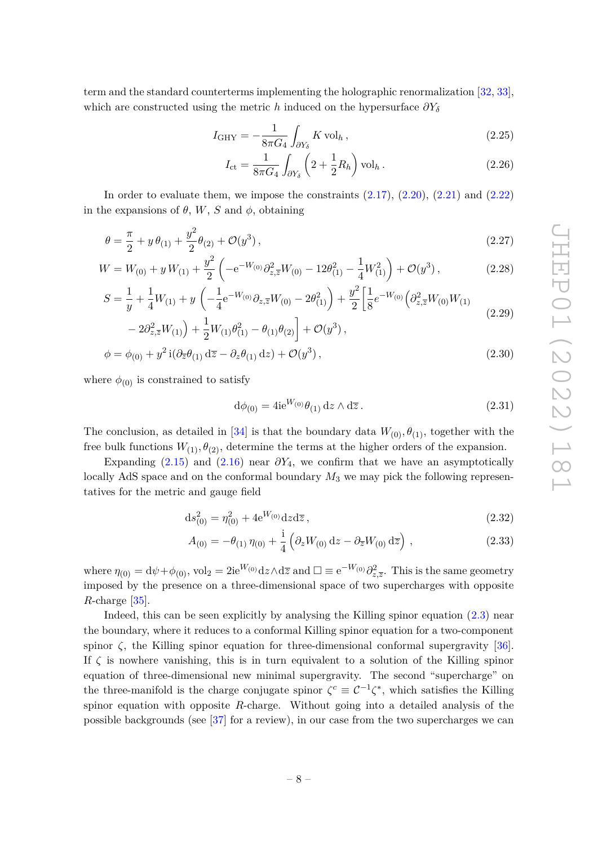term and the standard counterterms implementing the holographic renormalization [\[32,](#page-40-10) [33\]](#page-40-11), which are constructed using the metric *h* induced on the hypersurface *∂Y<sup>δ</sup>*

$$
I_{\rm GHY} = -\frac{1}{8\pi G_4} \int_{\partial Y_\delta} K \operatorname{vol}_h,\tag{2.25}
$$

$$
I_{\rm ct} = \frac{1}{8\pi G_4} \int_{\partial Y_\delta} \left( 2 + \frac{1}{2} R_h \right) \text{vol}_h \,. \tag{2.26}
$$

In order to evaluate them, we impose the constraints  $(2.17)$ ,  $(2.20)$ ,  $(2.21)$  and  $(2.22)$ in the expansions of  $\theta$ ,  $W$ ,  $S$  and  $\phi$ , obtaining

$$
\theta = \frac{\pi}{2} + y \theta_{(1)} + \frac{y^2}{2} \theta_{(2)} + \mathcal{O}(y^3) \,,\tag{2.27}
$$

$$
W = W_{(0)} + y W_{(1)} + \frac{y^2}{2} \left( -e^{-W_{(0)}} \partial_{z,\overline{z}}^2 W_{(0)} - 12\theta_{(1)}^2 - \frac{1}{4} W_{(1)}^2 \right) + \mathcal{O}(y^3) \,, \tag{2.28}
$$

$$
S = \frac{1}{y} + \frac{1}{4}W_{(1)} + y \left( -\frac{1}{4}e^{-W_{(0)}}\partial_{z,\bar{z}}W_{(0)} - 2\theta_{(1)}^2 \right) + \frac{y^2}{2} \left[ \frac{1}{8}e^{-W_{(0)}}\left(\partial_{z,\bar{z}}^2 W_{(0)}W_{(1)}\right) \right]
$$
(2.29)

$$
-2\partial_{z,\overline{z}}^2 W_{(1)}\Big) + \frac{1}{2}W_{(1)}\theta_{(1)}^2 - \theta_{(1)}\theta_{(2)}\Big] + \mathcal{O}(y^3)\,,
$$

$$
\phi = \phi_{(0)} + y^2 \mathrm{i} (\partial_{\overline{z}} \theta_{(1)} \, \mathrm{d}\overline{z} - \partial_z \theta_{(1)} \, \mathrm{d}z) + \mathcal{O}(y^3) \,, \tag{2.30}
$$

where  $\phi_{(0)}$  is constrained to satisfy

<span id="page-8-0"></span>
$$
\mathrm{d}\phi_{(0)} = 4\mathrm{i}e^{W_{(0)}}\theta_{(1)}\,\mathrm{d}z \wedge \mathrm{d}\overline{z} \,. \tag{2.31}
$$

The conclusion, as detailed in [\[34\]](#page-40-12) is that the boundary data  $W_{(0)}, \theta_{(1)}$ , together with the free bulk functions  $W_{(1)}$ ,  $\theta_{(2)}$ , determine the terms at the higher orders of the expansion.

Expanding  $(2.15)$  and  $(2.16)$  near  $\partial Y_4$ , we confirm that we have an asymptotically locally AdS space and on the conformal boundary  $M_3$  we may pick the following representatives for the metric and gauge field

$$
ds_{(0)}^2 = \eta_{(0)}^2 + 4e^{W_{(0)}}dzd\overline{z},\qquad(2.32)
$$

$$
A_{(0)} = -\theta_{(1)}\,\eta_{(0)} + \frac{\mathrm{i}}{4}\left(\partial_z W_{(0)}\,\mathrm{d}z - \partial_{\overline{z}}W_{(0)}\,\mathrm{d}\overline{z}\right) \,,\tag{2.33}
$$

where  $\eta_{(0)} = d\psi + \phi_{(0)}$ ,  $vol_2 = 2ie^{W_{(0)}}dz \wedge d\overline{z}$  and  $\square \equiv e^{-W_{(0)}}\partial^2_{z,\overline{z}}$ . This is the same geometry imposed by the presence on a three-dimensional space of two supercharges with opposite *R*-charge [\[35\]](#page-41-0).

Indeed, this can be seen explicitly by analysing the Killing spinor equation [\(2.3\)](#page-4-3) near the boundary, where it reduces to a conformal Killing spinor equation for a two-component spinor  $\zeta$ , the Killing spinor equation for three-dimensional conformal supergravity [\[36\]](#page-41-1). If  $\zeta$  is nowhere vanishing, this is in turn equivalent to a solution of the Killing spinor equation of three-dimensional new minimal supergravity. The second "supercharge" on the three-manifold is the charge conjugate spinor  $\zeta^c \equiv C^{-1} \zeta^*$ , which satisfies the Killing spinor equation with opposite *R*-charge. Without going into a detailed analysis of the possible backgrounds (see [\[37\]](#page-41-2) for a review), in our case from the two supercharges we can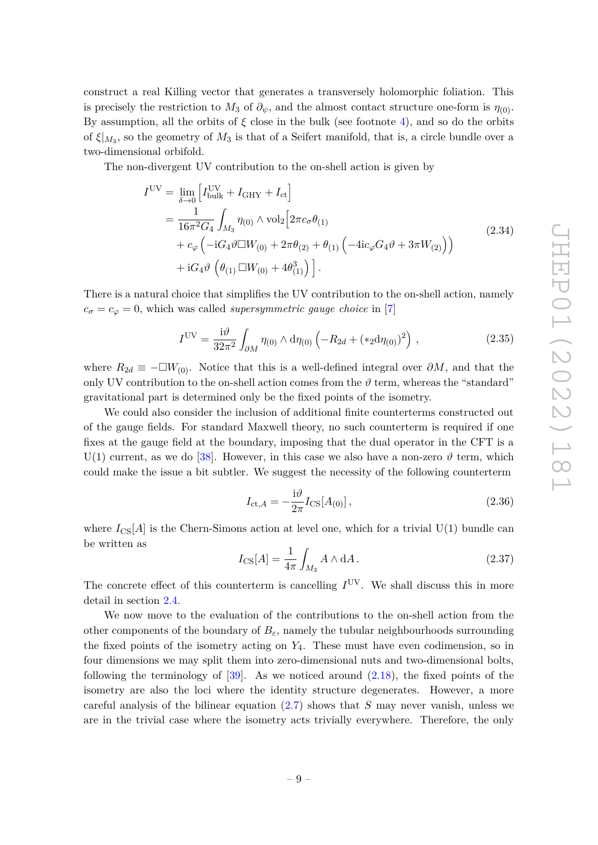construct a real Killing vector that generates a transversely holomorphic foliation. This is precisely the restriction to  $M_3$  of  $\partial_{\psi}$ , and the almost contact structure one-form is  $\eta_{(0)}$ . By assumption, all the orbits of  $\xi$  close in the bulk (see footnote [4\)](#page-5-1), and so do the orbits of *ξ*|*M*<sup>3</sup> , so the geometry of *M*<sup>3</sup> is that of a Seifert manifold, that is, a circle bundle over a two-dimensional orbifold.

The non-divergent UV contribution to the on-shell action is given by

$$
I^{UV} = \lim_{\delta \to 0} \left[ I_{\text{bulk}}^{UV} + I_{\text{GHY}} + I_{\text{ct}} \right]
$$
  
= 
$$
\frac{1}{16\pi^2 G_4} \int_{M_3} \eta_{(0)} \wedge \text{vol}_2 \left[ 2\pi c_\sigma \theta_{(1)} + c_\varphi \left( -iG_4 \vartheta \Box W_{(0)} + 2\pi \theta_{(2)} + \theta_{(1)} \left( -4ic_\varphi G_4 \vartheta + 3\pi W_{(2)} \right) \right) + iG_4 \vartheta \left( \theta_{(1)} \Box W_{(0)} + 4\theta_{(1)}^3 \right) \right].
$$
 (2.34)

There is a natural choice that simplifies the UV contribution to the on-shell action, namely  $c_{\sigma} = c_{\varphi} = 0$ , which was called *supersymmetric gauge choice* in [\[7\]](#page-39-3)

$$
I^{UV} = \frac{i\vartheta}{32\pi^2} \int_{\partial M} \eta_{(0)} \wedge d\eta_{(0)} \left( -R_{2d} + (*_2 d\eta_{(0)})^2 \right) , \qquad (2.35)
$$

<span id="page-9-0"></span>where  $R_{2d} \equiv -\Box W_{(0)}$ . Notice that this is a well-defined integral over  $\partial M$ , and that the only UV contribution to the on-shell action comes from the  $\vartheta$  term, whereas the "standard" gravitational part is determined only be the fixed points of the isometry.

We could also consider the inclusion of additional finite counterterms constructed out of the gauge fields. For standard Maxwell theory, no such counterterm is required if one fixes at the gauge field at the boundary, imposing that the dual operator in the CFT is a U(1) current, as we do [\[38\]](#page-41-3). However, in this case we also have a non-zero  $\vartheta$  term, which could make the issue a bit subtler. We suggest the necessity of the following counterterm

<span id="page-9-1"></span>
$$
I_{\text{ct},A} = -\frac{\mathrm{i}\vartheta}{2\pi} I_{\text{CS}}[A_{(0)}],\tag{2.36}
$$

where  $I_{\text{CS}}[A]$  is the Chern-Simons action at level one, which for a trivial U(1) bundle can be written as

<span id="page-9-2"></span>
$$
I_{\text{CS}}[A] = \frac{1}{4\pi} \int_{M_3} A \wedge dA.
$$
 (2.37)

The concrete effect of this counterterm is cancelling  $I<sup>UV</sup>$ . We shall discuss this in more detail in section [2.4.](#page-12-0)

We now move to the evaluation of the contributions to the on-shell action from the other components of the boundary of  $B_\varepsilon$ , namely the tubular neighbourhoods surrounding the fixed points of the isometry acting on *Y*4. These must have even codimension, so in four dimensions we may split them into zero-dimensional nuts and two-dimensional bolts, following the terminology of  $[39]$ . As we noticed around  $(2.18)$ , the fixed points of the isometry are also the loci where the identity structure degenerates. However, a more careful analysis of the bilinear equation [\(2.7\)](#page-5-4) shows that *S* may never vanish, unless we are in the trivial case where the isometry acts trivially everywhere. Therefore, the only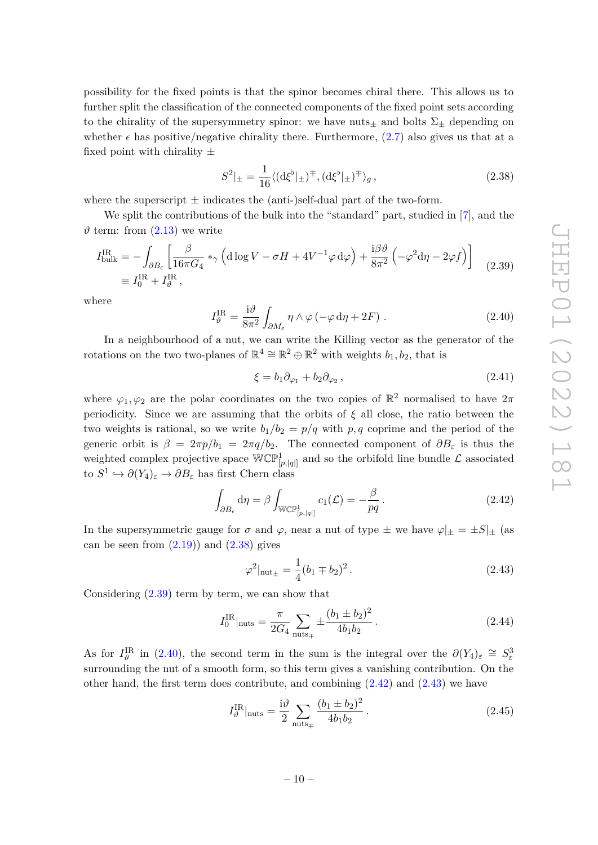possibility for the fixed points is that the spinor becomes chiral there. This allows us to further split the classification of the connected components of the fixed point sets according to the chirality of the supersymmetry spinor: we have nuts<sub> $\pm$ </sub> and bolts  $\Sigma_{\pm}$  depending on whether  $\epsilon$  has positive/negative chirality there. Furthermore, [\(2.7\)](#page-5-4) also gives us that at a fixed point with chirality  $\pm$ 

<span id="page-10-0"></span>
$$
S^2|_{\pm} = \frac{1}{16} \langle (\mathrm{d}\xi^{\flat}|_{\pm})^{\mp}, (\mathrm{d}\xi^{\flat}|_{\pm})^{\mp} \rangle_g, \qquad (2.38)
$$

where the superscript  $\pm$  indicates the (anti-)self-dual part of the two-form.

We split the contributions of the bulk into the "standard" part, studied in [\[7\]](#page-39-3), and the  $\vartheta$  term: from  $(2.13)$  we write

<span id="page-10-1"></span>
$$
I_{\text{bulk}}^{\text{IR}} = -\int_{\partial B_{\varepsilon}} \left[ \frac{\beta}{16\pi G_4} *_{\gamma} \left( \mathrm{d}\log V - \sigma H + 4V^{-1}\varphi \,\mathrm{d}\varphi \right) + \frac{\mathrm{i}\beta \vartheta}{8\pi^2} \left( -\varphi^2 \mathrm{d}\eta - 2\varphi f \right) \right]
$$
  
\n
$$
\equiv I_0^{\text{IR}} + I_{\vartheta}^{\text{IR}} , \qquad (2.39)
$$

where

<span id="page-10-2"></span>
$$
I_{\vartheta}^{\text{IR}} = \frac{\mathrm{i}\vartheta}{8\pi^2} \int_{\partial M_{\varepsilon}} \eta \wedge \varphi \left( -\varphi \,\mathrm{d}\eta + 2F \right) \,. \tag{2.40}
$$

In a neighbourhood of a nut, we can write the Killing vector as the generator of the rotations on the two two-planes of  $\mathbb{R}^4 \cong \mathbb{R}^2 \oplus \mathbb{R}^2$  with weights  $b_1, b_2$ , that is

$$
\xi = b_1 \partial_{\varphi_1} + b_2 \partial_{\varphi_2} , \qquad (2.41)
$$

where  $\varphi_1, \varphi_2$  are the polar coordinates on the two copies of  $\mathbb{R}^2$  normalised to have  $2\pi$ periodicity. Since we are assuming that the orbits of *ξ* all close, the ratio between the two weights is rational, so we write  $b_1/b_2 = p/q$  with p, q coprime and the period of the generic orbit is  $\beta = 2\pi p/b_1 = 2\pi q/b_2$ . The connected component of  $\partial B_\varepsilon$  is thus the weighted complex projective space  $WCP^1_{[p,[q]]}$  and so the orbifold line bundle  $\mathcal L$  associated  $\phi: S^1 \hookrightarrow \partial(Y_4)_{\varepsilon} \to \partial B_{\varepsilon}$  has first Chern class

<span id="page-10-3"></span>
$$
\int_{\partial B_{\epsilon}} d\eta = \beta \int_{\mathbb{WCP}^1_{[p,|q|]}} c_1(\mathcal{L}) = -\frac{\beta}{pq}.
$$
\n(2.42)

In the supersymmetric gauge for  $\sigma$  and  $\varphi$ , near a nut of type  $\pm$  we have  $\varphi|_{\pm} = \pm S|_{\pm}$  (as can be seen from  $(2.19)$  and  $(2.38)$  gives

<span id="page-10-4"></span>
$$
\varphi^2|_{\text{nut}_{\pm}} = \frac{1}{4}(b_1 \mp b_2)^2. \tag{2.43}
$$

Considering [\(2.39\)](#page-10-1) term by term, we can show that

$$
I_0^{\text{IR}}|_{\text{nuts}} = \frac{\pi}{2G_4} \sum_{\text{nuts}_{\mp}} \pm \frac{(b_1 \pm b_2)^2}{4b_1b_2} \,. \tag{2.44}
$$

As for  $I_{\vartheta}^{\text{IR}}$  in [\(2.40\)](#page-10-2), the second term in the sum is the integral over the  $\partial(Y_4)_{\varepsilon} \cong S_{\varepsilon}^3$ surrounding the nut of a smooth form, so this term gives a vanishing contribution. On the other hand, the first term does contribute, and combining  $(2.42)$  and  $(2.43)$  we have

$$
I_{\vartheta}^{\text{IR}}|_{\text{nuts}} = \frac{i\vartheta}{2} \sum_{\text{nuts}_{\mp}} \frac{(b_1 \pm b_2)^2}{4b_1 b_2}.
$$
 (2.45)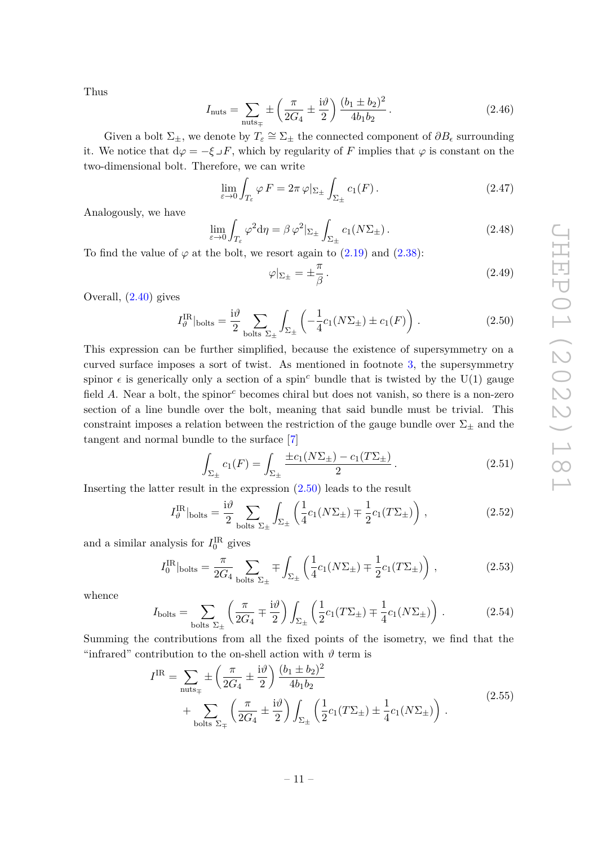Thus

$$
I_{\text{nuts}} = \sum_{\text{nuts}_{\mp}} \pm \left(\frac{\pi}{2G_4} \pm \frac{\mathrm{i}\vartheta}{2}\right) \frac{(b_1 \pm b_2)^2}{4b_1b_2} \,. \tag{2.46}
$$

Given a bolt  $\Sigma_{\pm}$ , we denote by  $T_{\varepsilon} \cong \Sigma_{\pm}$  the connected component of  $\partial B_{\varepsilon}$  surrounding it. We notice that  $d\varphi = -\xi \iota F$ , which by regularity of F implies that  $\varphi$  is constant on the two-dimensional bolt. Therefore, we can write

$$
\lim_{\varepsilon \to 0} \int_{T_{\varepsilon}} \varphi F = 2\pi \, \varphi|_{\Sigma_{\pm}} \int_{\Sigma_{\pm}} c_1(F). \tag{2.47}
$$

Analogously, we have

$$
\lim_{\varepsilon \to 0} \int_{T_{\varepsilon}} \varphi^2 d\eta = \beta \varphi^2 |_{\Sigma_{\pm}} \int_{\Sigma_{\pm}} c_1(N\Sigma_{\pm}). \tag{2.48}
$$

To find the value of  $\varphi$  at the bolt, we resort again to  $(2.19)$  and  $(2.38)$ :

$$
\varphi|_{\Sigma_{\pm}} = \pm \frac{\pi}{\beta} \,. \tag{2.49}
$$

Overall, [\(2.40\)](#page-10-2) gives

<span id="page-11-0"></span>
$$
I_{\vartheta}^{\text{IR}}|_{\text{bolts}} = \frac{\mathrm{i}\vartheta}{2} \sum_{\text{bolts } \Sigma_{\pm}} \int_{\Sigma_{\pm}} \left( -\frac{1}{4} c_1 (N \Sigma_{\pm}) \pm c_1(F) \right) . \tag{2.50}
$$

This expression can be further simplified, because the existence of supersymmetry on a curved surface imposes a sort of twist. As mentioned in footnote [3,](#page-5-0) the supersymmetry spinor  $\epsilon$  is generically only a section of a spin<sup>c</sup> bundle that is twisted by the U(1) gauge field *A*. Near a bolt, the spinor*<sup>c</sup>* becomes chiral but does not vanish, so there is a non-zero section of a line bundle over the bolt, meaning that said bundle must be trivial. This constraint imposes a relation between the restriction of the gauge bundle over  $\Sigma_{\pm}$  and the tangent and normal bundle to the surface [\[7\]](#page-39-3)

$$
\int_{\Sigma_{\pm}} c_1(F) = \int_{\Sigma_{\pm}} \frac{\pm c_1(N\Sigma_{\pm}) - c_1(T\Sigma_{\pm})}{2} \,. \tag{2.51}
$$

Inserting the latter result in the expression  $(2.50)$  leads to the result

$$
I_{\vartheta}^{\text{IR}}|_{\text{bolts}} = \frac{i\vartheta}{2} \sum_{\text{bolts } \Sigma_{\pm}} \int_{\Sigma_{\pm}} \left( \frac{1}{4} c_1 (N \Sigma_{\pm}) \mp \frac{1}{2} c_1 (T \Sigma_{\pm}) \right), \qquad (2.52)
$$

and a similar analysis for  $I_0^{\text{IR}}$  gives

$$
I_0^{\text{IR}}|_{\text{bolts}} = \frac{\pi}{2G_4} \sum_{\text{bolts }\Sigma_{\pm}} \mp \int_{\Sigma_{\pm}} \left( \frac{1}{4} c_1 (N \Sigma_{\pm}) \mp \frac{1}{2} c_1 (T \Sigma_{\pm}) \right) , \qquad (2.53)
$$

whence

$$
I_{\text{bolts}} = \sum_{\text{bolts }\Sigma_{\pm}} \left( \frac{\pi}{2G_4} \mp \frac{\mathrm{i}\vartheta}{2} \right) \int_{\Sigma_{\pm}} \left( \frac{1}{2} c_1 (T \Sigma_{\pm}) \mp \frac{1}{4} c_1 (N \Sigma_{\pm}) \right) . \tag{2.54}
$$

<span id="page-11-1"></span>Summing the contributions from all the fixed points of the isometry, we find that the "infrared" contribution to the on-shell action with  $\vartheta$  term is

$$
I^{IR} = \sum_{\text{nuts}_{\mp}} \pm \left(\frac{\pi}{2G_4} \pm \frac{i\vartheta}{2}\right) \frac{(b_1 \pm b_2)^2}{4b_1b_2} + \sum_{\text{bolts } \Sigma_{\mp}} \left(\frac{\pi}{2G_4} \pm \frac{i\vartheta}{2}\right) \int_{\Sigma_{\pm}} \left(\frac{1}{2}c_1(T\Sigma_{\pm}) \pm \frac{1}{4}c_1(N\Sigma_{\pm})\right).
$$
\n(2.55)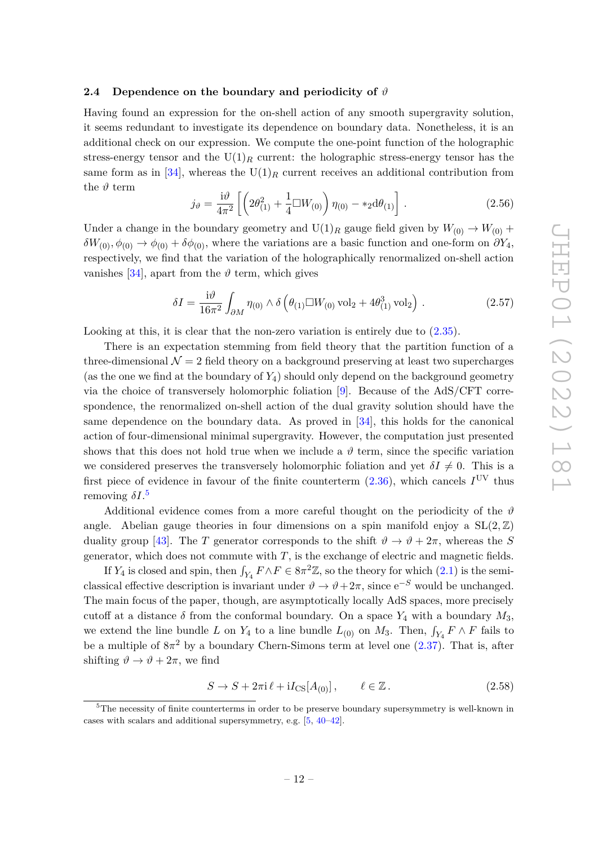### <span id="page-12-0"></span>**2.4 Dependence on the boundary and periodicity of** *ϑ*

Having found an expression for the on-shell action of any smooth supergravity solution, it seems redundant to investigate its dependence on boundary data. Nonetheless, it is an additional check on our expression. We compute the one-point function of the holographic stress-energy tensor and the  $U(1)_R$  current: the holographic stress-energy tensor has the same form as in [\[34\]](#page-40-12), whereas the  $U(1)_R$  current receives an additional contribution from the  $\vartheta$  term

$$
j_{\vartheta} = \frac{i\vartheta}{4\pi^2} \left[ \left( 2\theta_{(1)}^2 + \frac{1}{4} \Box W_{(0)} \right) \eta_{(0)} - *_2 d\theta_{(1)} \right]. \tag{2.56}
$$

Under a change in the boundary geometry and  $U(1)_R$  gauge field given by  $W_{(0)} \to W_{(0)} +$  $\delta W_{(0)}, \phi_{(0)} \to \phi_{(0)} + \delta \phi_{(0)}$ , where the variations are a basic function and one-form on  $\partial Y_4$ , respectively, we find that the variation of the holographically renormalized on-shell action vanishes [\[34\]](#page-40-12), apart from the  $\vartheta$  term, which gives

$$
\delta I = \frac{\mathrm{i}\vartheta}{16\pi^2} \int_{\partial M} \eta_{(0)} \wedge \delta \left( \theta_{(1)} \Box W_{(0)} \,\mathrm{vol}_2 + 4\theta_{(1)}^3 \,\mathrm{vol}_2 \right) \,. \tag{2.57}
$$

Looking at this, it is clear that the non-zero variation is entirely due to  $(2.35)$ .

There is an expectation stemming from field theory that the partition function of a three-dimensional  $\mathcal{N} = 2$  field theory on a background preserving at least two supercharges (as the one we find at the boundary of *Y*4) should only depend on the background geometry via the choice of transversely holomorphic foliation [\[9\]](#page-39-5). Because of the AdS/CFT correspondence, the renormalized on-shell action of the dual gravity solution should have the same dependence on the boundary data. As proved in [\[34\]](#page-40-12), this holds for the canonical action of four-dimensional minimal supergravity. However, the computation just presented shows that this does not hold true when we include a  $\vartheta$  term, since the specific variation we considered preserves the transversely holomorphic foliation and yet  $\delta I \neq 0$ . This is a first piece of evidence in favour of the finite counterterm  $(2.36)$ , which cancels  $I<sup>UV</sup>$  thus removing *δI*. [5](#page-12-1)

Additional evidence comes from a more careful thought on the periodicity of the  $\vartheta$ angle. Abelian gauge theories in four dimensions on a spin manifold enjoy a  $SL(2,\mathbb{Z})$ duality group [\[43\]](#page-41-5). The *T* generator corresponds to the shift  $\vartheta \to \vartheta + 2\pi$ , whereas the *S* generator, which does not commute with *T*, is the exchange of electric and magnetic fields.

If  $Y_4$  is closed and spin, then  $\int_{Y_4} F \wedge F \in 8\pi^2 \mathbb{Z}$ , so the theory for which  $(2.1)$  is the semiclassical effective description is invariant under  $\vartheta \to \vartheta + 2\pi$ , since  $e^{-S}$  would be unchanged. The main focus of the paper, though, are asymptotically locally AdS spaces, more precisely cutoff at a distance  $\delta$  from the conformal boundary. On a space  $Y_4$  with a boundary  $M_3$ , we extend the line bundle *L* on  $Y_4$  to a line bundle  $L_{(0)}$  on  $M_3$ . Then,  $\int_{Y_4} F \wedge F$  fails to be a multiple of  $8\pi^2$  by a boundary Chern-Simons term at level one  $(2.37)$ . That is, after shifting  $\vartheta \to \vartheta + 2\pi$ , we find

$$
S \to S + 2\pi i \ell + iI_{\text{CS}}[A_{(0)}], \qquad \ell \in \mathbb{Z}. \tag{2.58}
$$

<span id="page-12-1"></span><sup>&</sup>lt;sup>5</sup>The necessity of finite counterterms in order to be preserve boundary supersymmetry is well-known in cases with scalars and additional supersymmetry, e.g. [\[5,](#page-39-11) [40](#page-41-6)[–42\]](#page-41-7).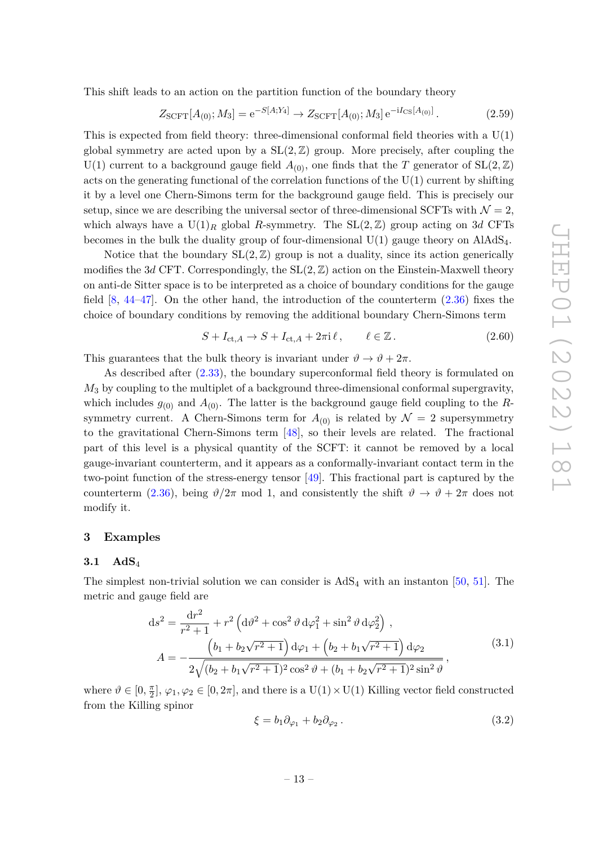This shift leads to an action on the partition function of the boundary theory

$$
Z_{\text{SCFT}}[A_{(0)}; M_3] = e^{-S[A; Y_4]} \to Z_{\text{SCFT}}[A_{(0)}; M_3] e^{-iI_{\text{CS}}[A_{(0)}]}.
$$
\n(2.59)

This is expected from field theory: three-dimensional conformal field theories with a U(1) global symmetry are acted upon by a  $SL(2, \mathbb{Z})$  group. More precisely, after coupling the U(1) current to a background gauge field  $A_{(0)}$ , one finds that the *T* generator of SL(2,  $\mathbb{Z}$ ) acts on the generating functional of the correlation functions of the  $U(1)$  current by shifting it by a level one Chern-Simons term for the background gauge field. This is precisely our setup, since we are describing the universal sector of three-dimensional SCFTs with  $\mathcal{N} = 2$ , which always have a  $U(1)_R$  global *R*-symmetry. The  $SL(2, \mathbb{Z})$  group acting on 3*d* CFTs becomes in the bulk the duality group of four-dimensional  $U(1)$  gauge theory on  $A1AdS<sub>4</sub>$ .

Notice that the boundary  $SL(2, \mathbb{Z})$  group is not a duality, since its action generically modifies the 3*d* CFT. Correspondingly, the SL(2*,* Z) action on the Einstein-Maxwell theory on anti-de Sitter space is to be interpreted as a choice of boundary conditions for the gauge field  $[8, 44-47]$  $[8, 44-47]$  $[8, 44-47]$  $[8, 44-47]$ . On the other hand, the introduction of the counterterm  $(2.36)$  fixes the choice of boundary conditions by removing the additional boundary Chern-Simons term

$$
S + I_{\text{ct},A} \to S + I_{\text{ct},A} + 2\pi i \ell, \qquad \ell \in \mathbb{Z}. \tag{2.60}
$$

This guarantees that the bulk theory is invariant under  $\vartheta \to \vartheta + 2\pi$ .

As described after [\(2.33\)](#page-8-0), the boundary superconformal field theory is formulated on *M*<sup>3</sup> by coupling to the multiplet of a background three-dimensional conformal supergravity, which includes  $g_{(0)}$  and  $A_{(0)}$ . The latter is the background gauge field coupling to the Rsymmetry current. A Chern-Simons term for  $A_{(0)}$  is related by  $\mathcal{N}=2$  supersymmetry to the gravitational Chern-Simons term [\[48\]](#page-41-10), so their levels are related. The fractional part of this level is a physical quantity of the SCFT: it cannot be removed by a local gauge-invariant counterterm, and it appears as a conformally-invariant contact term in the two-point function of the stress-energy tensor [\[49\]](#page-41-11). This fractional part is captured by the counterterm [\(2.36\)](#page-9-1), being  $\vartheta/2\pi$  mod 1, and consistently the shift  $\vartheta \to \vartheta + 2\pi$  does not modify it.

### <span id="page-13-0"></span>**3 Examples**

### <span id="page-13-1"></span>**3.1 AdS**<sup>4</sup>

The simplest non-trivial solution we can consider is  $AdS_4$  with an instanton [\[50,](#page-41-12) [51\]](#page-41-13). The metric and gauge field are

$$
ds^{2} = \frac{dr^{2}}{r^{2} + 1} + r^{2} \left( d\vartheta^{2} + \cos^{2} \vartheta d\varphi_{1}^{2} + \sin^{2} \vartheta d\varphi_{2}^{2} \right),
$$
  
\n
$$
A = -\frac{\left(b_{1} + b_{2}\sqrt{r^{2} + 1}\right) d\varphi_{1} + \left(b_{2} + b_{1}\sqrt{r^{2} + 1}\right) d\varphi_{2}}{2\sqrt{(b_{2} + b_{1}\sqrt{r^{2} + 1})^{2}\cos^{2} \vartheta + (b_{1} + b_{2}\sqrt{r^{2} + 1})^{2}\sin^{2} \vartheta}},
$$
\n(3.1)

where  $\vartheta \in [0, \frac{\pi}{2}]$  $\frac{\pi}{2}$ ,  $\varphi_1, \varphi_2 \in [0, 2\pi]$ , and there is a  $U(1) \times U(1)$  Killing vector field constructed from the Killing spinor

<span id="page-13-2"></span>
$$
\xi = b_1 \partial_{\varphi_1} + b_2 \partial_{\varphi_2} \,. \tag{3.2}
$$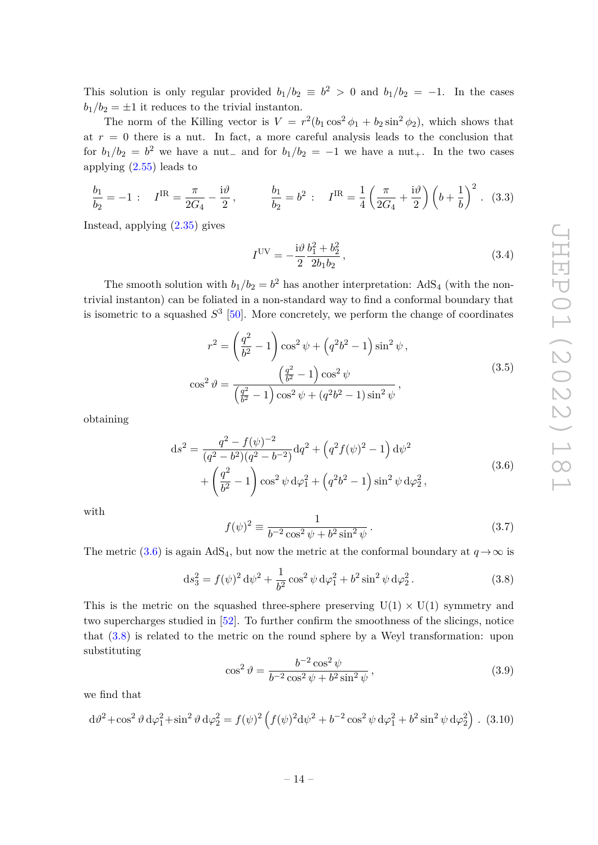This solution is only regular provided  $b_1/b_2 \equiv b^2 > 0$  and  $b_1/b_2 = -1$ . In the cases  $b_1/b_2 = \pm 1$  it reduces to the trivial instanton.

The norm of the Killing vector is  $V = r^2(b_1 \cos^2 \phi_1 + b_2 \sin^2 \phi_2)$ , which shows that at  $r = 0$  there is a nut. In fact, a more careful analysis leads to the conclusion that for  $b_1/b_2 = b^2$  we have a nut<sub>−</sub> and for  $b_1/b_2 = -1$  we have a nut<sub>+</sub>. In the two cases applying [\(2.55\)](#page-11-1) leads to

<span id="page-14-3"></span>
$$
\frac{b_1}{b_2} = -1: \quad I^{\text{IR}} = \frac{\pi}{2G_4} - \frac{i\vartheta}{2}, \qquad \frac{b_1}{b_2} = b^2: \quad I^{\text{IR}} = \frac{1}{4} \left( \frac{\pi}{2G_4} + \frac{i\vartheta}{2} \right) \left( b + \frac{1}{b} \right)^2. \tag{3.3}
$$

<span id="page-14-2"></span>Instead, applying [\(2.35\)](#page-9-0) gives

$$
I^{UV} = -\frac{i\vartheta}{2} \frac{b_1^2 + b_2^2}{2b_1b_2},
$$
\n(3.4)

The smooth solution with  $b_1/b_2 = b^2$  has another interpretation: AdS<sub>4</sub> (with the nontrivial instanton) can be foliated in a non-standard way to find a conformal boundary that is isometric to a squashed  $S^3$  [\[50\]](#page-41-12). More concretely, we perform the change of coordinates

$$
r^{2} = \left(\frac{q^{2}}{b^{2}} - 1\right)\cos^{2}\psi + \left(q^{2}b^{2} - 1\right)\sin^{2}\psi,
$$

$$
\cos^{2}\theta = \frac{\left(\frac{q^{2}}{b^{2}} - 1\right)\cos^{2}\psi}{\left(\frac{q^{2}}{b^{2}} - 1\right)\cos^{2}\psi + \left(q^{2}b^{2} - 1\right)\sin^{2}\psi},
$$
(3.5)

<span id="page-14-0"></span>obtaining

$$
ds^{2} = \frac{q^{2} - f(\psi)^{-2}}{(q^{2} - b^{2})(q^{2} - b^{-2})}dq^{2} + (q^{2}f(\psi)^{2} - 1) d\psi^{2}
$$
  
+ 
$$
\left(\frac{q^{2}}{b^{2}} - 1\right) \cos^{2} \psi d\varphi_{1}^{2} + (q^{2}b^{2} - 1) \sin^{2} \psi d\varphi_{2}^{2},
$$
(3.6)

with

$$
f(\psi)^2 \equiv \frac{1}{b^{-2}\cos^2\psi + b^2\sin^2\psi}.
$$
 (3.7)

The metric [\(3.6\)](#page-14-0) is again AdS<sub>4</sub>, but now the metric at the conformal boundary at  $q \to \infty$  is

<span id="page-14-1"></span>
$$
ds_3^2 = f(\psi)^2 d\psi^2 + \frac{1}{b^2} \cos^2 \psi d\varphi_1^2 + b^2 \sin^2 \psi d\varphi_2^2.
$$
 (3.8)

This is the metric on the squashed three-sphere preserving  $U(1) \times U(1)$  symmetry and two supercharges studied in [\[52\]](#page-41-14). To further confirm the smoothness of the slicings, notice that [\(3.8\)](#page-14-1) is related to the metric on the round sphere by a Weyl transformation: upon substituting

$$
\cos^2 \vartheta = \frac{b^{-2} \cos^2 \psi}{b^{-2} \cos^2 \psi + b^2 \sin^2 \psi},
$$
\n(3.9)

we find that

$$
d\theta^2 + \cos^2 \theta \, d\varphi_1^2 + \sin^2 \theta \, d\varphi_2^2 = f(\psi)^2 \left( f(\psi)^2 d\psi^2 + b^{-2} \cos^2 \psi \, d\varphi_1^2 + b^2 \sin^2 \psi \, d\varphi_2^2 \right). \tag{3.10}
$$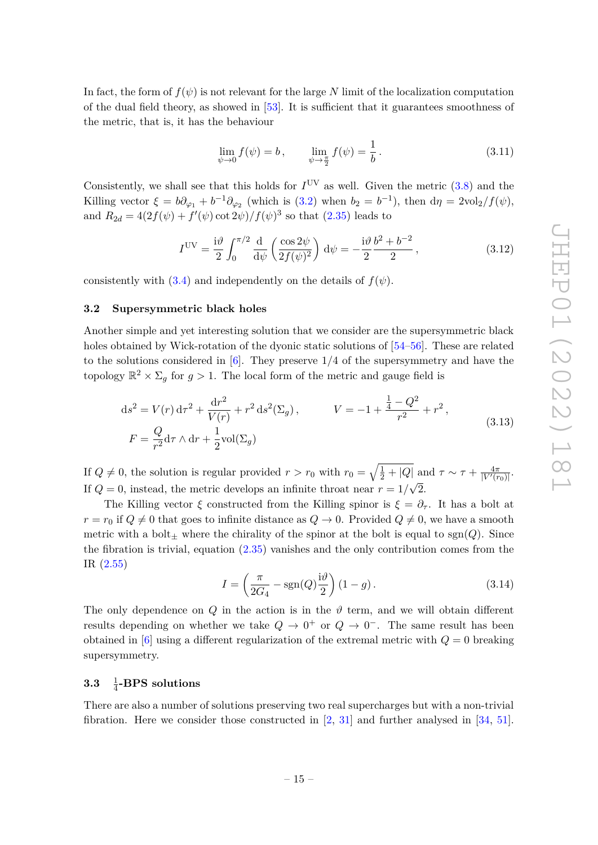In fact, the form of  $f(\psi)$  is not relevant for the large N limit of the localization computation of the dual field theory, as showed in [\[53\]](#page-41-15). It is sufficient that it guarantees smoothness of the metric, that is, it has the behaviour

$$
\lim_{\psi \to 0} f(\psi) = b, \qquad \lim_{\psi \to \frac{\pi}{2}} f(\psi) = \frac{1}{b}.
$$
\n(3.11)

Consistently, we shall see that this holds for  $I^{\text{UV}}$  as well. Given the metric  $(3.8)$  and the Killing vector  $\xi = b\partial_{\varphi_1} + b^{-1}\partial_{\varphi_2}$  (which is [\(3.2\)](#page-13-2) when  $b_2 = b^{-1}$ ), then  $d\eta = 2\text{vol}_2/f(\psi)$ , and  $R_{2d} = 4(2f(\psi) + f'(\psi) \cot 2\psi)/f(\psi)^3$  so that [\(2.35\)](#page-9-0) leads to

<span id="page-15-3"></span>
$$
IUV = \frac{i\vartheta}{2} \int_0^{\pi/2} \frac{d}{d\psi} \left( \frac{\cos 2\psi}{2f(\psi)^2} \right) d\psi = -\frac{i\vartheta}{2} \frac{b^2 + b^{-2}}{2}, \qquad (3.12)
$$

consistently with  $(3.4)$  and independently on the details of  $f(\psi)$ .

### <span id="page-15-0"></span>**3.2 Supersymmetric black holes**

Another simple and yet interesting solution that we consider are the supersymmetric black holes obtained by Wick-rotation of the dyonic static solutions of [\[54–](#page-42-0)[56\]](#page-42-1). These are related to the solutions considered in [\[6\]](#page-39-2). They preserve 1*/*4 of the supersymmetry and have the topology  $\mathbb{R}^2 \times \Sigma_g$  for  $g > 1$ . The local form of the metric and gauge field is

$$
ds^{2} = V(r) d\tau^{2} + \frac{dr^{2}}{V(r)} + r^{2} ds^{2}(\Sigma_{g}), \qquad V = -1 + \frac{\frac{1}{4} - Q^{2}}{r^{2}} + r^{2},
$$
  
\n
$$
F = \frac{Q}{r^{2}} d\tau \wedge dr + \frac{1}{2} \text{vol}(\Sigma_{g})
$$
\n(3.13)

If  $Q \neq 0$ , the solution is regular provided  $r > r_0$  with  $r_0 = \sqrt{\frac{1}{2} + |Q|}$  and  $\tau \sim \tau + \frac{4\pi}{|V'(r_0)|}$ . If  $Q = 0$ , instead, the metric develops an infinite throat near  $r = 1/\sqrt{2}$ .

The Killing vector  $\xi$  constructed from the Killing spinor is  $\xi = \partial_{\tau}$ . It has a bolt at  $r = r_0$  if  $Q \neq 0$  that goes to infinite distance as  $Q \rightarrow 0$ . Provided  $Q \neq 0$ , we have a smooth metric with a bolt<sub> $\pm$ </sub> where the chirality of the spinor at the bolt is equal to sgn(*Q*). Since the fibration is trivial, equation [\(2.35\)](#page-9-0) vanishes and the only contribution comes from the IR [\(2.55\)](#page-11-1)

<span id="page-15-2"></span>
$$
I = \left(\frac{\pi}{2G_4} - \text{sgn}(Q)\frac{\mathrm{i}\vartheta}{2}\right)(1-g). \tag{3.14}
$$

The only dependence on *Q* in the action is in the  $\vartheta$  term, and we will obtain different results depending on whether we take  $Q \to 0^+$  or  $Q \to 0^-$ . The same result has been obtained in  $[6]$  using a different regularization of the extremal metric with  $Q = 0$  breaking supersymmetry.

#### <span id="page-15-1"></span>**3.3** <sup>1</sup> 4 **-BPS solutions**

There are also a number of solutions preserving two real supercharges but with a non-trivial fibration. Here we consider those constructed in [\[2,](#page-39-9) [31\]](#page-40-9) and further analysed in [\[34,](#page-40-12) [51\]](#page-41-13).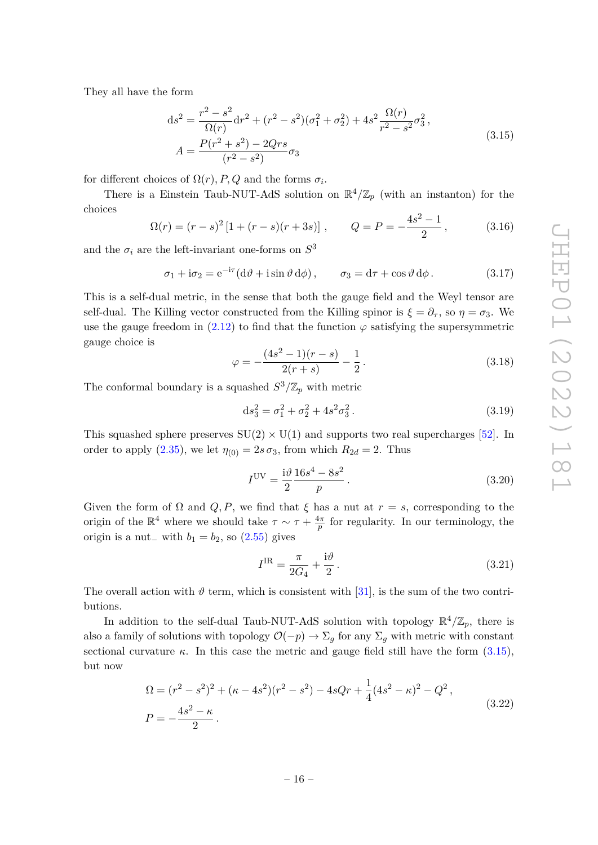<span id="page-16-0"></span>They all have the form

$$
ds^{2} = \frac{r^{2} - s^{2}}{\Omega(r)} dr^{2} + (r^{2} - s^{2})(\sigma_{1}^{2} + \sigma_{2}^{2}) + 4s^{2} \frac{\Omega(r)}{r^{2} - s^{2}} \sigma_{3}^{2},
$$
  
\n
$$
A = \frac{P(r^{2} + s^{2}) - 2Qrs}{(r^{2} - s^{2})} \sigma_{3}
$$
\n(3.15)

for different choices of  $\Omega(r)$ , P, Q and the forms  $\sigma_i$ .

There is a Einstein Taub-NUT-AdS solution on  $\mathbb{R}^4/\mathbb{Z}_p$  (with an instanton) for the choices

$$
\Omega(r) = (r - s)^2 [1 + (r - s)(r + 3s)], \qquad Q = P = -\frac{4s^2 - 1}{2}, \qquad (3.16)
$$

and the  $\sigma_i$  are the left-invariant one-forms on  $S^3$ 

<span id="page-16-1"></span>
$$
\sigma_1 + i\sigma_2 = e^{-i\tau} (d\vartheta + i\sin\vartheta d\varphi), \qquad \sigma_3 = d\tau + \cos\vartheta d\varphi.
$$
 (3.17)

This is a self-dual metric, in the sense that both the gauge field and the Weyl tensor are self-dual. The Killing vector constructed from the Killing spinor is  $\xi = \partial_{\tau}$ , so  $\eta = \sigma_3$ . We use the gauge freedom in  $(2.12)$  to find that the function  $\varphi$  satisfying the supersymmetric gauge choice is

$$
\varphi = -\frac{(4s^2 - 1)(r - s)}{2(r + s)} - \frac{1}{2}.
$$
\n(3.18)

The conformal boundary is a squashed  $S^3/\mathbb{Z}_p$  with metric

$$
ds_3^2 = \sigma_1^2 + \sigma_2^2 + 4s^2\sigma_3^2.
$$
 (3.19)

This squashed sphere preserves  $SU(2) \times U(1)$  and supports two real supercharges [\[52\]](#page-41-14). In order to apply [\(2.35\)](#page-9-0), we let  $\eta_{(0)} = 2s \sigma_3$ , from which  $R_{2d} = 2$ . Thus

<span id="page-16-2"></span>
$$
I^{UV} = \frac{i\vartheta}{2} \frac{16s^4 - 8s^2}{p}.
$$
 (3.20)

Given the form of  $\Omega$  and  $Q, P$ , we find that  $\xi$  has a nut at  $r = s$ , corresponding to the origin of the  $\mathbb{R}^4$  where we should take  $\tau \sim \tau + \frac{4\pi}{n}$  $\frac{4\pi}{p}$  for regularity. In our terminology, the origin is a nut<sub>−</sub> with  $b_1 = b_2$ , so [\(2.55\)](#page-11-1) gives

$$
I^{\rm IR} = \frac{\pi}{2G_4} + \frac{\mathrm{i}\vartheta}{2} \,. \tag{3.21}
$$

The overall action with  $\vartheta$  term, which is consistent with [\[31\]](#page-40-9), is the sum of the two contributions.

In addition to the self-dual Taub-NUT-AdS solution with topology  $\mathbb{R}^4/\mathbb{Z}_p$ , there is also a family of solutions with topology  $\mathcal{O}(-p) \to \Sigma_q$  for any  $\Sigma_q$  with metric with constant sectional curvature  $\kappa$ . In this case the metric and gauge field still have the form  $(3.15)$ , but now

$$
\Omega = (r^2 - s^2)^2 + (\kappa - 4s^2)(r^2 - s^2) - 4sQr + \frac{1}{4}(4s^2 - \kappa)^2 - Q^2,
$$
  
\n
$$
P = -\frac{4s^2 - \kappa}{2}.
$$
\n(3.22)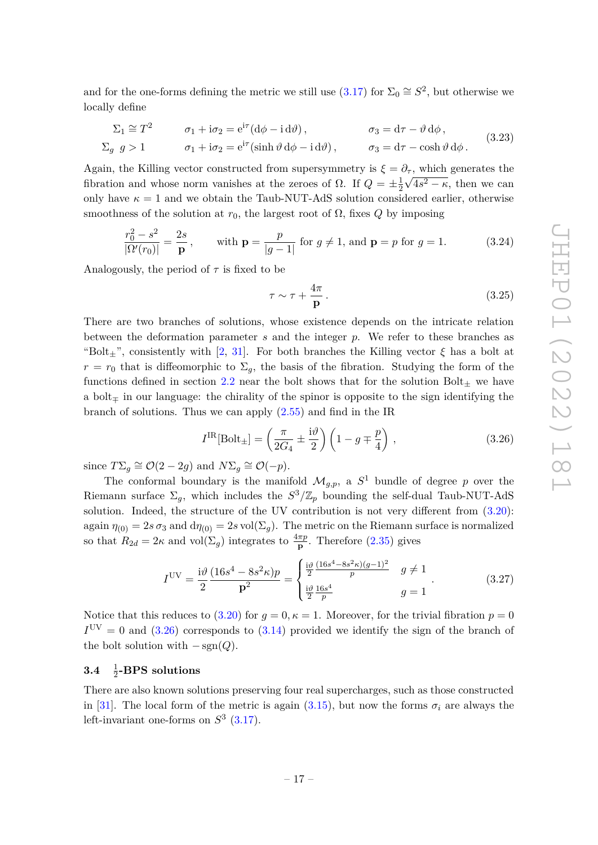and for the one-forms defining the metric we still use  $(3.17)$  for  $\Sigma_0 \cong S^2$ , but otherwise we locally define

$$
\Sigma_1 \cong T^2 \qquad \sigma_1 + i\sigma_2 = e^{i\tau} (d\phi - i d\vartheta), \qquad \sigma_3 = d\tau - \vartheta d\phi,
$$
  
\n
$$
\Sigma_g \quad g > 1 \qquad \sigma_1 + i\sigma_2 = e^{i\tau} (\sinh \vartheta d\phi - i d\vartheta), \qquad \sigma_3 = d\tau - \cosh \vartheta d\phi.
$$
\n(3.23)

Again, the Killing vector constructed from supersymmetry is  $\xi = \partial_{\tau}$ , which generates the fibration and whose norm vanishes at the zeroes of  $\Omega$ . If  $Q = \pm \frac{1}{2}$  $\frac{1}{2}\sqrt{4s^2-\kappa}$ , then we can only have  $\kappa = 1$  and we obtain the Taub-NUT-AdS solution considered earlier, otherwise smoothness of the solution at  $r_0$ , the largest root of  $\Omega$ , fixes  $Q$  by imposing

$$
\frac{r_0^2 - s^2}{|\Omega'(r_0)|} = \frac{2s}{\mathbf{p}}, \quad \text{with } \mathbf{p} = \frac{p}{|g-1|} \text{ for } g \neq 1, \text{ and } \mathbf{p} = p \text{ for } g = 1.
$$
 (3.24)

Analogously, the period of  $\tau$  is fixed to be

$$
\tau \sim \tau + \frac{4\pi}{p} \,. \tag{3.25}
$$

There are two branches of solutions, whose existence depends on the intricate relation between the deformation parameter *s* and the integer *p*. We refer to these branches as "Bolt<sub>±</sub>", consistently with [\[2,](#page-39-9) [31\]](#page-40-9). For both branches the Killing vector  $\xi$  has a bolt at  $r = r_0$  that is diffeomorphic to  $\Sigma_q$ , the basis of the fibration. Studying the form of the functions defined in section [2.2](#page-6-0) near the bolt shows that for the solution  $Bolt<sub>+</sub>$  we have a bolt<sup>∓</sup> in our language: the chirality of the spinor is opposite to the sign identifying the branch of solutions. Thus we can apply  $(2.55)$  and find in the IR

<span id="page-17-1"></span>
$$
I^{\text{IR}}[\text{Bolt}_{\pm}] = \left(\frac{\pi}{2G_4} \pm \frac{\mathrm{i}\vartheta}{2}\right) \left(1 - g \mp \frac{p}{4}\right),\tag{3.26}
$$

since  $T\Sigma_g \cong \mathcal{O}(2-2g)$  and  $N\Sigma_g \cong \mathcal{O}(-p)$ .

The conformal boundary is the manifold  $\mathcal{M}_{g,p}$ , a  $S^1$  bundle of degree p over the Riemann surface  $\Sigma_g$ , which includes the  $S^3/\mathbb{Z}_p$  bounding the self-dual Taub-NUT-AdS solution. Indeed, the structure of the UV contribution is not very different from  $(3.20)$ : again  $\eta_{(0)} = 2s \sigma_3$  and  $d\eta_{(0)} = 2s \text{ vol}(\Sigma_g)$ . The metric on the Riemann surface is normalized so that  $R_{2d} = 2\kappa$  and vol $(\Sigma_g)$  integrates to  $\frac{4\pi p}{p}$ . Therefore [\(2.35\)](#page-9-0) gives

<span id="page-17-2"></span>
$$
I^{UV} = \frac{i\vartheta}{2} \frac{(16s^4 - 8s^2\kappa)p}{p^2} = \begin{cases} \frac{i\vartheta}{2} \frac{(16s^4 - 8s^2\kappa)(g-1)^2}{p} & g \neq 1\\ \frac{i\vartheta}{2} \frac{16s^4}{p} & g = 1 \end{cases} \tag{3.27}
$$

Notice that this reduces to  $(3.20)$  for  $g = 0, \kappa = 1$ . Moreover, for the trivial fibration  $p = 0$  $I<sup>UV</sup> = 0$  and  $(3.26)$  corresponds to  $(3.14)$  provided we identify the sign of the branch of the bolt solution with  $-\text{sgn}(Q)$ .

#### <span id="page-17-0"></span>**3.4** <sup>1</sup> 2 **-BPS solutions**

There are also known solutions preserving four real supercharges, such as those constructed in [\[31\]](#page-40-9). The local form of the metric is again [\(3.15\)](#page-16-0), but now the forms  $\sigma_i$  are always the left-invariant one-forms on  $S^3$  [\(3.17\)](#page-16-1).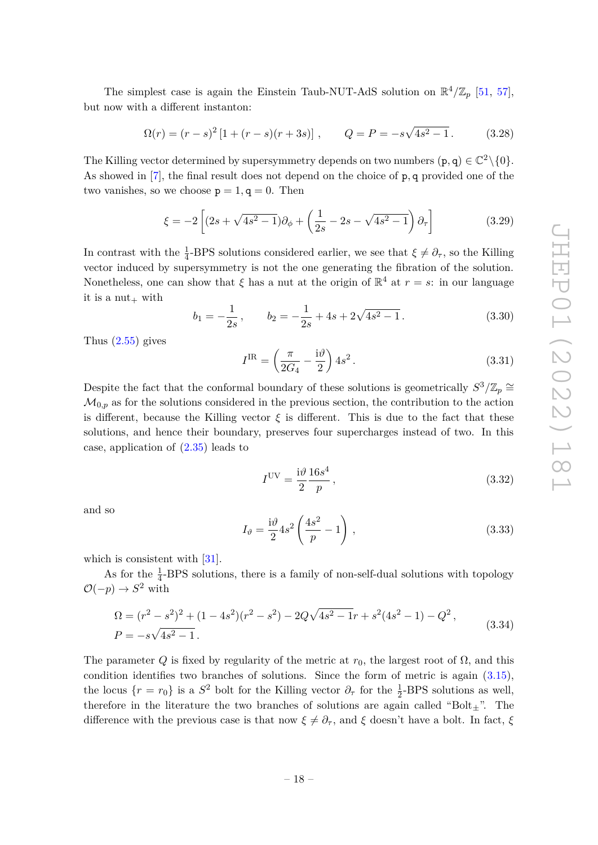The simplest case is again the Einstein Taub-NUT-AdS solution on  $\mathbb{R}^4/\mathbb{Z}_p$  [\[51,](#page-41-13) [57\]](#page-42-2), but now with a different instanton:

$$
\Omega(r) = (r - s)^2 \left[ 1 + (r - s)(r + 3s) \right], \qquad Q = P = -s\sqrt{4s^2 - 1}.
$$
 (3.28)

The Killing vector determined by supersymmetry depends on two numbers  $(p, q) \in \mathbb{C}^2 \setminus \{0\}.$ As showed in [\[7\]](#page-39-3), the final result does not depend on the choice of p*,* q provided one of the two vanishes, so we choose  $p = 1, q = 0$ . Then

$$
\xi = -2 \left[ (2s + \sqrt{4s^2 - 1}) \partial_{\phi} + \left( \frac{1}{2s} - 2s - \sqrt{4s^2 - 1} \right) \partial_{\tau} \right]
$$
(3.29)

In contrast with the  $\frac{1}{4}$ -BPS solutions considered earlier, we see that  $\xi \neq \partial_{\tau}$ , so the Killing vector induced by supersymmetry is not the one generating the fibration of the solution. Nonetheless, one can show that  $\xi$  has a nut at the origin of  $\mathbb{R}^4$  at  $r = s$ : in our language it is a  $nut_+$  with

$$
b_1 = -\frac{1}{2s}, \qquad b_2 = -\frac{1}{2s} + 4s + 2\sqrt{4s^2 - 1}.
$$
 (3.30)

Thus  $(2.55)$  gives

$$
I^{\rm IR} = \left(\frac{\pi}{2G_4} - \frac{\mathrm{i}\vartheta}{2}\right) 4s^2. \tag{3.31}
$$

Despite the fact that the conformal boundary of these solutions is geometrically  $S^3/\mathbb{Z}_p \cong$  $\mathcal{M}_{0,p}$  as for the solutions considered in the previous section, the contribution to the action is different, because the Killing vector  $\xi$  is different. This is due to the fact that these solutions, and hence their boundary, preserves four supercharges instead of two. In this case, application of [\(2.35\)](#page-9-0) leads to

$$
IUV = \frac{i\vartheta}{2} \frac{16s^4}{p},
$$
\n(3.32)

and so

<span id="page-18-0"></span>
$$
I_{\vartheta} = \frac{\mathrm{i}\vartheta}{2} 4s^2 \left( \frac{4s^2}{p} - 1 \right),\tag{3.33}
$$

which is consistent with [\[31\]](#page-40-9).

As for the  $\frac{1}{4}$ -BPS solutions, there is a family of non-self-dual solutions with topology  $\mathcal{O}(-p) \to S^2$  with

$$
\Omega = (r^2 - s^2)^2 + (1 - 4s^2)(r^2 - s^2) - 2Q\sqrt{4s^2 - 1}r + s^2(4s^2 - 1) - Q^2,
$$
  
\n
$$
P = -s\sqrt{4s^2 - 1}.
$$
\n(3.34)

The parameter *Q* is fixed by regularity of the metric at  $r_0$ , the largest root of  $\Omega$ , and this condition identifies two branches of solutions. Since the form of metric is again [\(3.15\)](#page-16-0), the locus  $\{r = r_0\}$  is a  $S^2$  bolt for the Killing vector  $\partial_{\tau}$  for the  $\frac{1}{2}$ -BPS solutions as well, therefore in the literature the two branches of solutions are again called "Bolt $_{\pm}$ ". The difference with the previous case is that now  $\xi \neq \partial_{\tau}$ , and  $\xi$  doesn't have a bolt. In fact,  $\xi$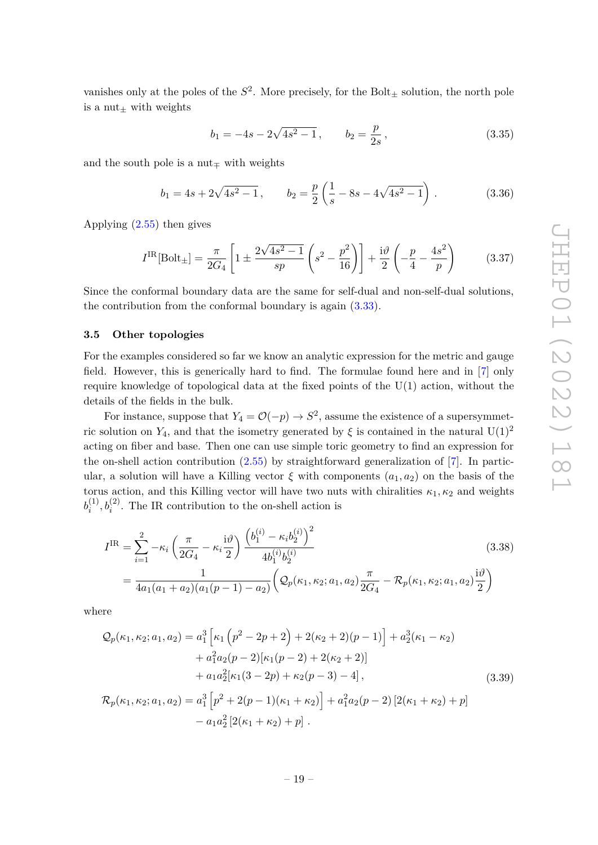vanishes only at the poles of the  $S^2$ . More precisely, for the Bolt<sub> $\pm$ </sub> solution, the north pole is a nut $+$  with weights

$$
b_1 = -4s - 2\sqrt{4s^2 - 1}, \qquad b_2 = \frac{p}{2s}, \qquad (3.35)
$$

and the south pole is a nut<sub> $\pm$ </sub> with weights

$$
b_1 = 4s + 2\sqrt{4s^2 - 1}
$$
,  $b_2 = \frac{p}{2} \left( \frac{1}{s} - 8s - 4\sqrt{4s^2 - 1} \right)$ . (3.36)

Applying [\(2.55\)](#page-11-1) then gives

<span id="page-19-1"></span>
$$
I^{\rm IR}[\text{Bolt}_{\pm}] = \frac{\pi}{2G_4} \left[ 1 \pm \frac{2\sqrt{4s^2 - 1}}{sp} \left( s^2 - \frac{p^2}{16} \right) \right] + \frac{i\vartheta}{2} \left( -\frac{p}{4} - \frac{4s^2}{p} \right) \tag{3.37}
$$

Since the conformal boundary data are the same for self-dual and non-self-dual solutions, the contribution from the conformal boundary is again [\(3.33\)](#page-18-0).

### <span id="page-19-0"></span>**3.5 Other topologies**

For the examples considered so far we know an analytic expression for the metric and gauge field. However, this is generically hard to find. The formulae found here and in [\[7\]](#page-39-3) only require knowledge of topological data at the fixed points of the U(1) action, without the details of the fields in the bulk.

For instance, suppose that  $Y_4 = \mathcal{O}(-p) \to S^2$ , assume the existence of a supersymmetric solution on  $Y_4$ , and that the isometry generated by  $\xi$  is contained in the natural  $U(1)^2$ acting on fiber and base. Then one can use simple toric geometry to find an expression for the on-shell action contribution  $(2.55)$  by straightforward generalization of [\[7\]](#page-39-3). In particular, a solution will have a Killing vector  $\xi$  with components  $(a_1, a_2)$  on the basis of the torus action, and this Killing vector will have two nuts with chiralities  $\kappa_1, \kappa_2$  and weights  $b_i^{(1)}$  $i_i^{(1)}, b_i^{(2)}$ . The IR contribution to the on-shell action is

$$
I^{IR} = \sum_{i=1}^{2} -\kappa_i \left( \frac{\pi}{2G_4} - \kappa_i \frac{i\vartheta}{2} \right) \frac{\left( b_1^{(i)} - \kappa_i b_2^{(i)} \right)^2}{4b_1^{(i)} b_2^{(i)}}
$$
\n
$$
= \frac{1}{4a_1(a_1 + a_2)(a_1(p - 1) - a_2)} \left( \mathcal{Q}_p(\kappa_1, \kappa_2; a_1, a_2) \frac{\pi}{2G_4} - \mathcal{R}_p(\kappa_1, \kappa_2; a_1, a_2) \frac{i\vartheta}{2} \right)
$$
\n(3.38)

where

$$
Q_p(\kappa_1, \kappa_2; a_1, a_2) = a_1^3 \left[ \kappa_1 \left( p^2 - 2p + 2 \right) + 2(\kappa_2 + 2)(p - 1) \right] + a_2^3(\kappa_1 - \kappa_2) + a_1^2 a_2 (p - 2)[\kappa_1 (p - 2) + 2(\kappa_2 + 2)] + a_1 a_2^2 [\kappa_1 (3 - 2p) + \kappa_2 (p - 3) - 4],
$$
(3.39)  

$$
\mathcal{R}_p(\kappa_1, \kappa_2; a_1, a_2) = a_1^3 \left[ p^2 + 2(p - 1)(\kappa_1 + \kappa_2) \right] + a_1^2 a_2 (p - 2) \left[ 2(\kappa_1 + \kappa_2) + p \right]
$$

<span id="page-19-2"></span> $-a_1a_2^2[2(\kappa_1+\kappa_2)+p].$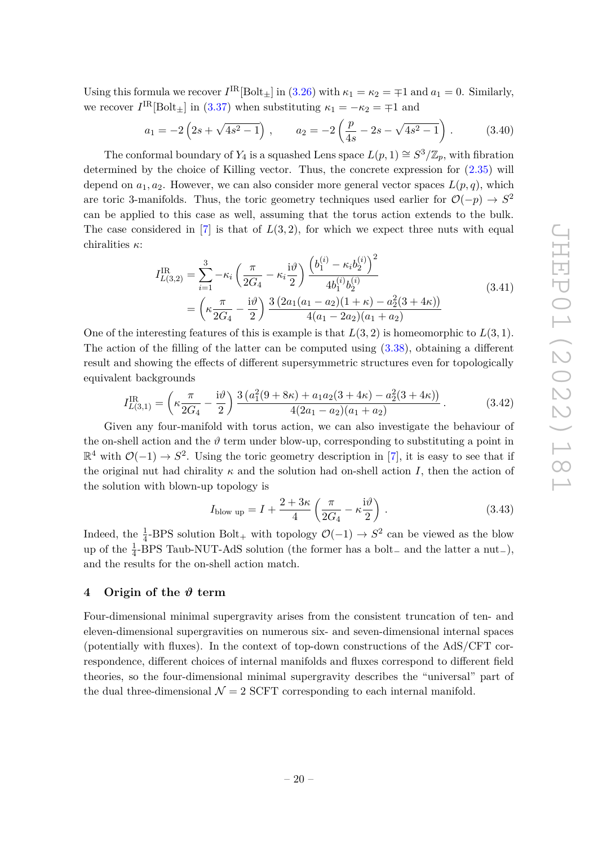Using this formula we recover  $I^{\text{IR}}[\text{Bolt}_\pm]$  in [\(3.26\)](#page-17-1) with  $\kappa_1 = \kappa_2 = \mp 1$  and  $a_1 = 0$ . Similarly, we recover  $I^{\text{IR}}[\text{Bolt}_{\pm}]$  in [\(3.37\)](#page-19-1) when substituting  $\kappa_1 = -\kappa_2 = +1$  and

$$
a_1 = -2\left(2s + \sqrt{4s^2 - 1}\right), \qquad a_2 = -2\left(\frac{p}{4s} - 2s - \sqrt{4s^2 - 1}\right). \tag{3.40}
$$

The conformal boundary of  $Y_4$  is a squashed Lens space  $L(p, 1) \cong S^3/\mathbb{Z}_p$ , with fibration determined by the choice of Killing vector. Thus, the concrete expression for [\(2.35\)](#page-9-0) will depend on  $a_1, a_2$ . However, we can also consider more general vector spaces  $L(p, q)$ , which are toric 3-manifolds. Thus, the toric geometry techniques used earlier for  $\mathcal{O}(-p) \to S^2$ can be applied to this case as well, assuming that the torus action extends to the bulk. The case considered in  $[7]$  is that of  $L(3,2)$ , for which we expect three nuts with equal chiralities *κ*:

$$
I_{L(3,2)}^{\text{IR}} = \sum_{i=1}^{3} -\kappa_i \left( \frac{\pi}{2G_4} - \kappa_i \frac{i\vartheta}{2} \right) \frac{\left( b_1^{(i)} - \kappa_i b_2^{(i)} \right)^2}{4b_1^{(i)}b_2^{(i)}}
$$
  
=  $\left( \kappa \frac{\pi}{2G_4} - \frac{i\vartheta}{2} \right) \frac{3 (2a_1(a_1 - a_2)(1 + \kappa) - a_2^2(3 + 4\kappa))}{4(a_1 - 2a_2)(a_1 + a_2)}$  (3.41)

One of the interesting features of this is example is that  $L(3, 2)$  is homeomorphic to  $L(3, 1)$ . The action of the filling of the latter can be computed using [\(3.38\)](#page-19-2), obtaining a different result and showing the effects of different supersymmetric structures even for topologically equivalent backgrounds

$$
I_{L(3,1)}^{\rm IR} = \left(\kappa \frac{\pi}{2G_4} - \frac{\mathrm{i}\vartheta}{2}\right) \frac{3\left(a_1^2(9+8\kappa) + a_1a_2(3+4\kappa) - a_2^2(3+4\kappa)\right)}{4(2a_1 - a_2)(a_1 + a_2)}\,. \tag{3.42}
$$

Given any four-manifold with torus action, we can also investigate the behaviour of the on-shell action and the  $\vartheta$  term under blow-up, corresponding to substituting a point in  $\mathbb{R}^4$  with  $\mathcal{O}(-1) \to S^2$ . Using the toric geometry description in [\[7\]](#page-39-3), it is easy to see that if the original nut had chirality  $\kappa$  and the solution had on-shell action *I*, then the action of the solution with blown-up topology is

$$
I_{\text{blow up}} = I + \frac{2 + 3\kappa}{4} \left( \frac{\pi}{2G_4} - \kappa \frac{\mathrm{i}\vartheta}{2} \right) . \tag{3.43}
$$

Indeed, the  $\frac{1}{4}$ -BPS solution Bolt<sub>+</sub> with topology  $\mathcal{O}(-1) \rightarrow S^2$  can be viewed as the blow up of the  $\frac{1}{4}$ -BPS Taub-NUT-AdS solution (the former has a bolt<sub>-</sub> and the latter a nut<sub>-</sub>), and the results for the on-shell action match.

# <span id="page-20-0"></span>**4 Origin of the** *ϑ* **term**

Four-dimensional minimal supergravity arises from the consistent truncation of ten- and eleven-dimensional supergravities on numerous six- and seven-dimensional internal spaces (potentially with fluxes). In the context of top-down constructions of the AdS/CFT correspondence, different choices of internal manifolds and fluxes correspond to different field theories, so the four-dimensional minimal supergravity describes the "universal" part of the dual three-dimensional  $\mathcal{N} = 2$  SCFT corresponding to each internal manifold.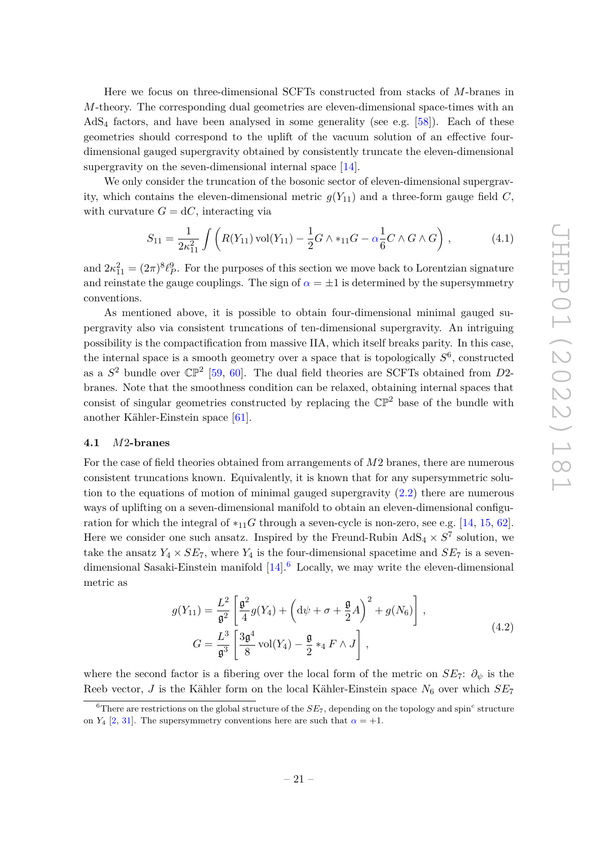Here we focus on three-dimensional SCFTs constructed from stacks of *M*-branes in *M*-theory. The corresponding dual geometries are eleven-dimensional space-times with an  $AdS<sub>4</sub>$  factors, and have been analysed in some generality (see e.g. [\[58\]](#page-42-3)). Each of these geometries should correspond to the uplift of the vacuum solution of an effective fourdimensional gauged supergravity obtained by consistently truncate the eleven-dimensional supergravity on the seven-dimensional internal space [\[14\]](#page-39-12).

We only consider the truncation of the bosonic sector of eleven-dimensional supergravity, which contains the eleven-dimensional metric  $q(Y_{11})$  and a three-form gauge field C, with curvature  $G = dC$ , interacting via

<span id="page-21-2"></span>
$$
S_{11} = \frac{1}{2\kappa_{11}^2} \int \left( R(Y_{11}) \operatorname{vol}(Y_{11}) - \frac{1}{2} G \wedge *_{11} G - \alpha \frac{1}{6} C \wedge G \wedge G \right), \tag{4.1}
$$

and  $2\kappa_{11}^2 = (2\pi)^8 \ell_P^9$ . For the purposes of this section we move back to Lorentzian signature and reinstate the gauge couplings. The sign of  $\alpha = \pm 1$  is determined by the supersymmetry conventions.

As mentioned above, it is possible to obtain four-dimensional minimal gauged supergravity also via consistent truncations of ten-dimensional supergravity. An intriguing possibility is the compactification from massive IIA, which itself breaks parity. In this case, the internal space is a smooth geometry over a space that is topologically *S* 6 , constructed as a  $S^2$  bundle over  $\mathbb{CP}^2$  [\[59,](#page-42-4) [60\]](#page-42-5). The dual field theories are SCFTs obtained from *D*2branes. Note that the smoothness condition can be relaxed, obtaining internal spaces that consist of singular geometries constructed by replacing the  $\mathbb{CP}^2$  base of the bundle with another Kähler-Einstein space [\[61\]](#page-42-6).

### <span id="page-21-0"></span>**4.1** *M*2**-branes**

For the case of field theories obtained from arrangements of *M*2 branes, there are numerous consistent truncations known. Equivalently, it is known that for any supersymmetric solution to the equations of motion of minimal gauged supergravity  $(2.2)$  there are numerous ways of uplifting on a seven-dimensional manifold to obtain an eleven-dimensional configuration for which the integral of  $*_1$ <sub>1</sub>*G* through a seven-cycle is non-zero, see e.g. [\[14,](#page-39-12) [15,](#page-40-0) [62\]](#page-42-7). Here we consider one such ansatz. Inspired by the Freund-Rubin  $AdS_4 \times S^7$  solution, we take the ansatz  $Y_4 \times SE_7$ , where  $Y_4$  is the four-dimensional spacetime and  $SE_7$  is a sevendimensional Sasaki-Einstein manifold  $[14]$ <sup>[6](#page-21-1)</sup> Locally, we may write the eleven-dimensional metric as

$$
g(Y_{11}) = \frac{L^2}{\mathfrak{g}^2} \left[ \frac{\mathfrak{g}^2}{4} g(Y_4) + \left( d\psi + \sigma + \frac{\mathfrak{g}}{2} A \right)^2 + g(N_6) \right],
$$
  
\n
$$
G = \frac{L^3}{\mathfrak{g}^3} \left[ \frac{3\mathfrak{g}^4}{8} \text{vol}(Y_4) - \frac{\mathfrak{g}}{2} *_{4} F \wedge J \right],
$$
\n(4.2)

<span id="page-21-3"></span>where the second factor is a fibering over the local form of the metric on  $SE_7$ :  $\partial_{\psi}$  is the Reeb vector, *J* is the Kähler form on the local Kähler-Einstein space  $N_6$  over which  $SE_7$ 

<span id="page-21-1"></span> ${}^{6}$ There are restrictions on the global structure of the  $SE_7$ , depending on the topology and spin<sup>c</sup> structure on *Y*<sub>4</sub> [\[2,](#page-39-9) [31\]](#page-40-9). The supersymmetry conventions here are such that  $\alpha = +1$ .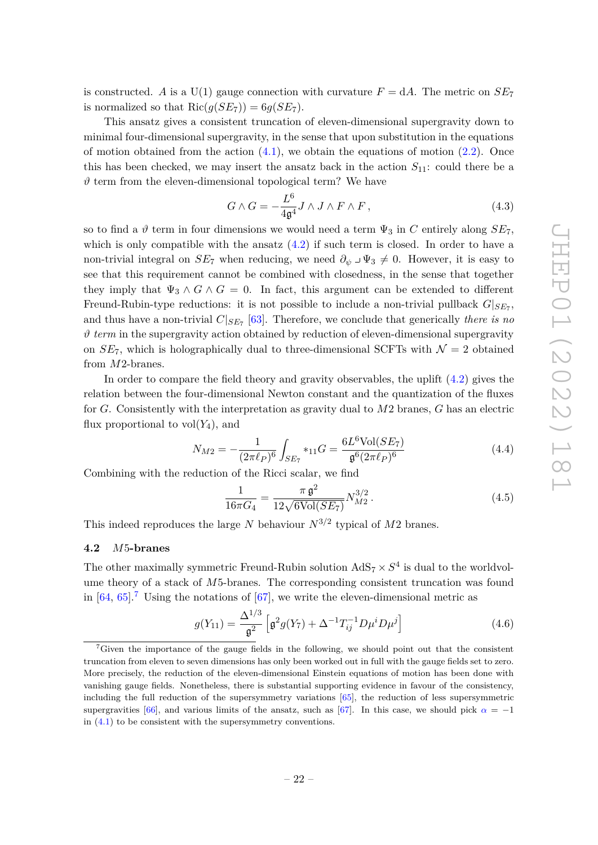is constructed. *A* is a U(1) gauge connection with curvature  $F = dA$ . The metric on  $SE_7$ is normalized so that  $\text{Ric}(q(SE_7)) = 6q(SE_7)$ .

This ansatz gives a consistent truncation of eleven-dimensional supergravity down to minimal four-dimensional supergravity, in the sense that upon substitution in the equations of motion obtained from the action  $(4.1)$ , we obtain the equations of motion  $(2.2)$ . Once this has been checked, we may insert the ansatz back in the action  $S_{11}$ : could there be a  $\vartheta$  term from the eleven-dimensional topological term? We have

$$
G \wedge G = -\frac{L^6}{4\mathfrak{g}^4} J \wedge J \wedge F \wedge F , \qquad (4.3)
$$

so to find a  $\vartheta$  term in four dimensions we would need a term  $\Psi_3$  in C entirely along  $SE_7$ , which is only compatible with the ansatz  $(4.2)$  if such term is closed. In order to have a non-trivial integral on  $SE_7$  when reducing, we need  $\partial_{\psi} \perp \Psi_3 \neq 0$ . However, it is easy to see that this requirement cannot be combined with closedness, in the sense that together they imply that  $\Psi_3 \wedge G \wedge G = 0$ . In fact, this argument can be extended to different Freund-Rubin-type reductions: it is not possible to include a non-trivial pullback  $G|_{SE_7}$ , and thus have a non-trivial  $C|_{SE_7}$  [\[63\]](#page-42-8). Therefore, we conclude that generically *there is no*  $\vartheta$  *term* in the supergravity action obtained by reduction of eleven-dimensional supergravity on  $SE_7$ , which is holographically dual to three-dimensional SCFTs with  $\mathcal{N}=2$  obtained from *M*2-branes.

In order to compare the field theory and gravity observables, the uplift  $(4.2)$  gives the relation between the four-dimensional Newton constant and the quantization of the fluxes for *G*. Consistently with the interpretation as gravity dual to *M*2 branes, *G* has an electric flux proportional to  $vol(Y_4)$ , and

$$
N_{M2} = -\frac{1}{(2\pi\ell_P)^6} \int_{SE_7} *_{11} G = \frac{6L^6 \text{Vol}(SE_7)}{\mathfrak{g}^6 (2\pi\ell_P)^6}
$$
(4.4)

Combining with the reduction of the Ricci scalar, we find

$$
\frac{1}{16\pi G_4} = \frac{\pi \,\mathfrak{g}^2}{12\sqrt{6\text{Vol}(SE_7)}} N_{M2}^{3/2} \,. \tag{4.5}
$$

This indeed reproduces the large *N* behaviour  $N^{3/2}$  typical of  $M2$  branes.

# <span id="page-22-0"></span>**4.2** *M*5**-branes**

The other maximally symmetric Freund-Rubin solution  $AdS_7 \times S^4$  is dual to the worldvolume theory of a stack of *M*5-branes. The corresponding consistent truncation was found in  $[64, 65]$  $[64, 65]$  $[64, 65]$ .<sup>[7](#page-22-1)</sup> Using the notations of  $[67]$ , we write the eleven-dimensional metric as

<span id="page-22-2"></span>
$$
g(Y_{11}) = \frac{\Delta^{1/3}}{\mathfrak{g}^2} \left[ \mathfrak{g}^2 g(Y_7) + \Delta^{-1} T_{ij}^{-1} D \mu^i D \mu^j \right]
$$
 (4.6)

<span id="page-22-1"></span><sup>7</sup>Given the importance of the gauge fields in the following, we should point out that the consistent truncation from eleven to seven dimensions has only been worked out in full with the gauge fields set to zero. More precisely, the reduction of the eleven-dimensional Einstein equations of motion has been done with vanishing gauge fields. Nonetheless, there is substantial supporting evidence in favour of the consistency, including the full reduction of the supersymmetry variations [\[65\]](#page-42-10), the reduction of less supersymmetric supergravities [\[66\]](#page-42-12), and various limits of the ansatz, such as [\[67\]](#page-42-11). In this case, we should pick  $\alpha = -1$ in  $(4.1)$  to be consistent with the supersymmetry conventions.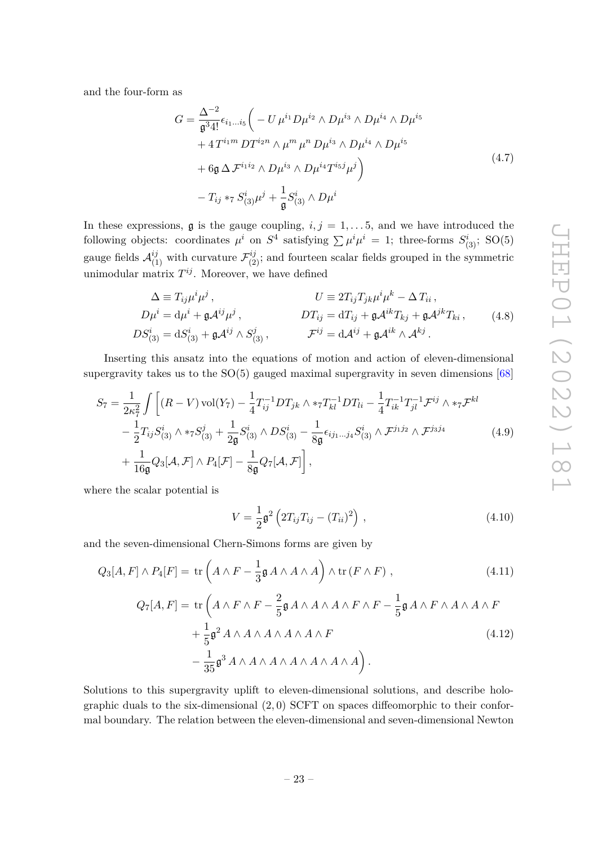<span id="page-23-1"></span>and the four-form as

$$
G = \frac{\Delta^{-2}}{\mathfrak{g}^{3} 4!} \epsilon_{i_1...i_5} \left( -U \mu^{i_1} D \mu^{i_2} \wedge D \mu^{i_3} \wedge D \mu^{i_4} \wedge D \mu^{i_5} + 4 T^{i_1 m} D T^{i_2 n} \wedge \mu^m \mu^n D \mu^{i_3} \wedge D \mu^{i_4} \wedge D \mu^{i_5} + 6 \mathfrak{g} \Delta \mathcal{F}^{i_1 i_2} \wedge D \mu^{i_3} \wedge D \mu^{i_4} T^{i_5 j} \mu^j \right) - T_{ij} *_{7} S^{i}_{(3)} \mu^{j} + \frac{1}{\mathfrak{g}} S^{i}_{(3)} \wedge D \mu^{i}
$$
\n
$$
(4.7)
$$

In these expressions,  $\mathfrak g$  is the gauge coupling,  $i, j = 1, \ldots, 5$ , and we have introduced the following objects: coordinates  $\mu^i$  on  $S^4$  satisfying  $\sum \mu^i \mu^i = 1$ ; three-forms  $S^i_{(3)}$ ; SO(5) gauge fields  $\mathcal{A}_{(1)}^{ij}$  with curvature  $\mathcal{F}_{(2)}^{ij}$ ; and fourteen scalar fields grouped in the symmetric unimodular matrix  $T^{ij}$ . Moreover, we have defined

$$
\Delta \equiv T_{ij}\mu^i\mu^j, \qquad U \equiv 2T_{ij}T_{jk}\mu^i\mu^k - \Delta T_{ii},
$$
  
\n
$$
D\mu^i = d\mu^i + \mathfrak{g} \mathcal{A}^{ij}\mu^j, \qquad DT_{ij} = dT_{ij} + \mathfrak{g} \mathcal{A}^{ik}T_{kj} + \mathfrak{g} \mathcal{A}^{jk}T_{ki}, \qquad (4.8)
$$
  
\n
$$
DS^i_{(3)} = dS^i_{(3)} + \mathfrak{g} \mathcal{A}^{ij} \wedge S^j_{(3)}, \qquad \mathcal{F}^{ij} = d\mathcal{A}^{ij} + \mathfrak{g} \mathcal{A}^{ik} \wedge \mathcal{A}^{kj}.
$$

Inserting this ansatz into the equations of motion and action of eleven-dimensional supergravity takes us to the  $SO(5)$  gauged maximal supergravity in seven dimensions [\[68\]](#page-42-13)

<span id="page-23-0"></span>
$$
S_7 = \frac{1}{2\kappa_7^2} \int \left[ (R - V) \operatorname{vol}(Y_7) - \frac{1}{4} T_{ij}^{-1} D T_{jk} \wedge *_{7} T_{kl}^{-1} D T_{li} - \frac{1}{4} T_{ik}^{-1} T_{jl}^{-1} \mathcal{F}^{ij} \wedge *_{7} \mathcal{F}^{kl} - \frac{1}{2} T_{ij} S_{(3)}^i \wedge *_{7} S_{(3)}^j + \frac{1}{2\mathfrak{g}} S_{(3)}^i \wedge D S_{(3)}^i - \frac{1}{8\mathfrak{g}} \epsilon_{ij_1 \dots j_4} S_{(3)}^i \wedge \mathcal{F}^{j_1 j_2} \wedge \mathcal{F}^{j_3 j_4} + \frac{1}{16\mathfrak{g}} Q_3[\mathcal{A}, \mathcal{F}] \wedge P_4[\mathcal{F}] - \frac{1}{8\mathfrak{g}} Q_7[\mathcal{A}, \mathcal{F}] \right],
$$
\n
$$
(4.9)
$$

where the scalar potential is

$$
V = \frac{1}{2} \mathfrak{g}^2 \left( 2T_{ij} T_{ij} - (T_{ii})^2 \right) , \qquad (4.10)
$$

and the seven-dimensional Chern-Simons forms are given by

$$
Q_3[A, F] \wedge P_4[F] = \text{tr}\left(A \wedge F - \frac{1}{3} \mathfrak{g} A \wedge A \wedge A\right) \wedge \text{tr}\left(F \wedge F\right),\tag{4.11}
$$
\n
$$
Q_7[A, F] = \text{tr}\left(A \wedge F \wedge F - \frac{2}{5} \mathfrak{g} A \wedge A \wedge A \wedge F \wedge F - \frac{1}{5} \mathfrak{g} A \wedge F \wedge A \wedge A \wedge F\right)
$$

$$
+\frac{1}{5}\mathfrak{g}^2 A \wedge A \wedge A \wedge A \wedge A \wedge F
$$
  

$$
-\frac{1}{35}\mathfrak{g}^3 A \wedge A \wedge A \wedge A \wedge A \wedge A \wedge A \bigg).
$$
 (4.12)

Solutions to this supergravity uplift to eleven-dimensional solutions, and describe holographic duals to the six-dimensional (2*,* 0) SCFT on spaces diffeomorphic to their conformal boundary. The relation between the eleven-dimensional and seven-dimensional Newton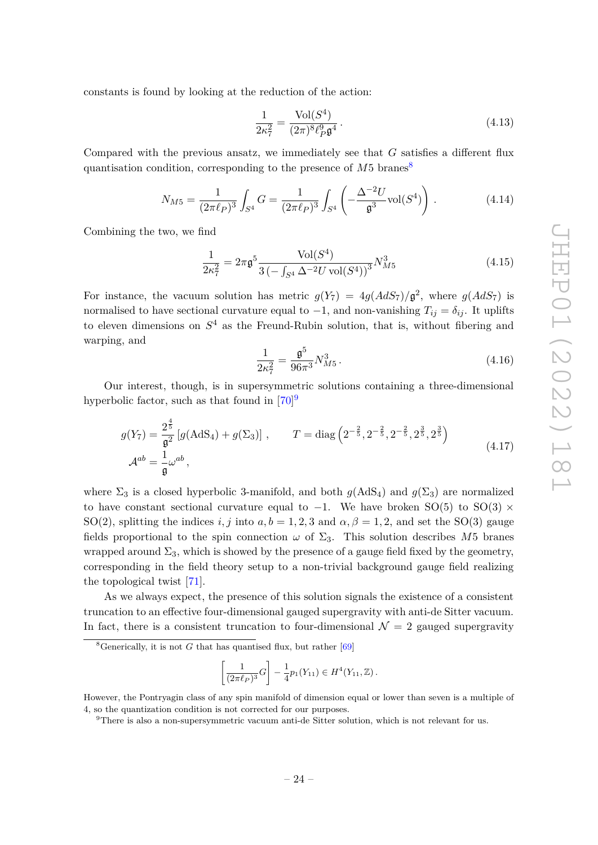constants is found by looking at the reduction of the action:

<span id="page-24-4"></span>
$$
\frac{1}{2\kappa_7^2} = \frac{\text{Vol}(S^4)}{(2\pi)^8 \ell_P^9 \mathfrak{g}^4} \,. \tag{4.13}
$$

Compared with the previous ansatz, we immediately see that *G* satisfies a different flux quantisation condition, corresponding to the presence of  $M5$  branes<sup>[8](#page-24-0)</sup>

$$
N_{M5} = \frac{1}{(2\pi\ell_P)^3} \int_{S^4} G = \frac{1}{(2\pi\ell_P)^3} \int_{S^4} \left( -\frac{\Delta^{-2}U}{\mathfrak{g}^3} \text{vol}(S^4) \right). \tag{4.14}
$$

Combining the two, we find

<span id="page-24-3"></span>
$$
\frac{1}{2\kappa_7^2} = 2\pi \mathfrak{g}^5 \frac{\text{Vol}(S^4)}{3\left(-\int_{S^4} \Delta^{-2}U \,\text{vol}(S^4)\right)^3} N_{M5}^3 \tag{4.15}
$$

For instance, the vacuum solution has metric  $g(Y_7) = 4g(AdS_7)/\mathfrak{g}^2$ , where  $g(AdS_7)$  is normalised to have sectional curvature equal to  $-1$ , and non-vanishing  $T_{ij} = \delta_{ij}$ . It uplifts to eleven dimensions on *S* <sup>4</sup> as the Freund-Rubin solution, that is, without fibering and warping, and

$$
\frac{1}{2\kappa_7^2} = \frac{\mathfrak{g}^5}{96\pi^3} N_{M5}^3 \,. \tag{4.16}
$$

Our interest, though, is in supersymmetric solutions containing a three-dimensional hyperbolic factor, such as that found in  $[70]$ <sup>[9](#page-24-1)</sup>

<span id="page-24-2"></span>
$$
g(Y_7) = \frac{2^{\frac{4}{5}}}{\mathfrak{g}^2} \left[ g(\text{AdS}_4) + g(\Sigma_3) \right], \qquad T = \text{diag} \left( 2^{-\frac{2}{5}}, 2^{-\frac{2}{5}}, 2^{-\frac{2}{5}}, 2^{\frac{3}{5}}, 2^{\frac{3}{5}} \right)
$$
  

$$
\mathcal{A}^{ab} = \frac{1}{\mathfrak{g}} \omega^{ab}, \qquad (4.17)
$$

where  $\Sigma_3$  is a closed hyperbolic 3-manifold, and both  $g(AdS_4)$  and  $g(\Sigma_3)$  are normalized to have constant sectional curvature equal to  $-1$ . We have broken SO(5) to SO(3)  $\times$ SO(2), splitting the indices *i, j* into  $a, b = 1, 2, 3$  and  $\alpha, \beta = 1, 2$ , and set the SO(3) gauge fields proportional to the spin connection  $\omega$  of  $\Sigma_3$ . This solution describes M5 branes wrapped around  $\Sigma_3$ , which is showed by the presence of a gauge field fixed by the geometry, corresponding in the field theory setup to a non-trivial background gauge field realizing the topological twist [\[71\]](#page-42-15).

As we always expect, the presence of this solution signals the existence of a consistent truncation to an effective four-dimensional gauged supergravity with anti-de Sitter vacuum. In fact, there is a consistent truncation to four-dimensional  $\mathcal{N} = 2$  gauged supergravity

$$
\left[\frac{1}{(2\pi\ell_P)^3}G\right] - \frac{1}{4}p_1(Y_{11}) \in H^4(Y_{11}, \mathbb{Z}).
$$

<span id="page-24-0"></span><sup>&</sup>lt;sup>8</sup>Generically, it is not *G* that has quantised flux, but rather  $[69]$ 

However, the Pontryagin class of any spin manifold of dimension equal or lower than seven is a multiple of 4, so the quantization condition is not corrected for our purposes.

<span id="page-24-1"></span><sup>9</sup>There is also a non-supersymmetric vacuum anti-de Sitter solution, which is not relevant for us.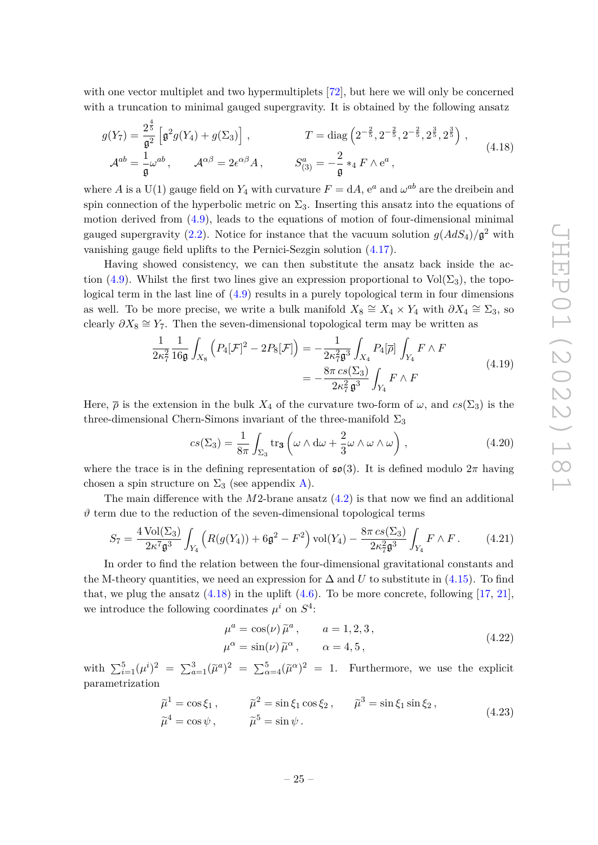with one vector multiplet and two hypermultiplets [\[72\]](#page-42-17), but here we will only be concerned with a truncation to minimal gauged supergravity. It is obtained by the following ansatz

<span id="page-25-0"></span>
$$
g(Y_7) = \frac{2^{\frac{4}{5}}}{\mathfrak{g}^2} \left[ \mathfrak{g}^2 g(Y_4) + g(\Sigma_3) \right], \qquad T = \text{diag} \left( 2^{-\frac{2}{5}}, 2^{-\frac{2}{5}}, 2^{-\frac{2}{5}}, 2^{\frac{3}{5}}, 2^{\frac{3}{5}} \right),
$$
  
\n
$$
\mathcal{A}^{ab} = \frac{1}{\mathfrak{g}} \omega^{ab}, \qquad \mathcal{A}^{\alpha\beta} = 2\epsilon^{\alpha\beta} A, \qquad S^a_{(3)} = -\frac{2}{\mathfrak{g}} *_{4} F \wedge e^a,
$$
\n(4.18)

where *A* is a U(1) gauge field on  $Y_4$  with curvature  $F = dA$ ,  $e^a$  and  $\omega^{ab}$  are the dreibein and spin connection of the hyperbolic metric on  $\Sigma_3$ . Inserting this ansatz into the equations of motion derived from [\(4.9\)](#page-23-0), leads to the equations of motion of four-dimensional minimal gauged supergravity [\(2.2\)](#page-4-4). Notice for instance that the vacuum solution  $g(AdS_4)/\mathfrak{g}^2$  with vanishing gauge field uplifts to the Pernici-Sezgin solution [\(4.17\)](#page-24-2).

Having showed consistency, we can then substitute the ansatz back inside the ac-tion [\(4.9\)](#page-23-0). Whilst the first two lines give an expression proportional to  $Vol(\Sigma_3)$ , the topological term in the last line of [\(4.9\)](#page-23-0) results in a purely topological term in four dimensions as well. To be more precise, we write a bulk manifold  $X_8 \cong X_4 \times Y_4$  with  $\partial X_4 \cong \Sigma_3$ , so clearly  $\partial X_8 \cong Y_7$ . Then the seven-dimensional topological term may be written as

$$
\frac{1}{2\kappa_7^2} \frac{1}{16\mathfrak{g}} \int_{X_8} \left( P_4[\mathcal{F}]^2 - 2P_8[\mathcal{F}] \right) = -\frac{1}{2\kappa_7^2 \mathfrak{g}^3} \int_{X_4} P_4[\overline{\rho}] \int_{Y_4} F \wedge F
$$
\n
$$
= -\frac{8\pi \operatorname{cs}(\Sigma_3)}{2\kappa_7^2 \mathfrak{g}^3} \int_{Y_4} F \wedge F
$$
\n(4.19)

Here,  $\bar{\rho}$  is the extension in the bulk  $X_4$  of the curvature two-form of  $\omega$ , and  $cs(\Sigma_3)$  is the three-dimensional Chern-Simons invariant of the three-manifold  $\Sigma_3$ 

<span id="page-25-2"></span>
$$
cs(\Sigma_3) = \frac{1}{8\pi} \int_{\Sigma_3} tr_3 \left( \omega \wedge d\omega + \frac{2}{3} \omega \wedge \omega \wedge \omega \right), \qquad (4.20)
$$

where the trace is in the defining representation of  $\mathfrak{so}(3)$ . It is defined modulo  $2\pi$  having chosen a spin structure on  $\Sigma_3$  (see appendix [A\)](#page-35-0).

The main difference with the *M*2-brane ansatz [\(4.2\)](#page-21-3) is that now we find an additional  $\vartheta$  term due to the reduction of the seven-dimensional topological terms

<span id="page-25-1"></span>
$$
S_7 = \frac{4 \text{ Vol}(\Sigma_3)}{2\kappa^7 \mathfrak{g}^3} \int_{Y_4} \left( R(g(Y_4)) + 6\mathfrak{g}^2 - F^2 \right) \text{vol}(Y_4) - \frac{8\pi \text{ cs}(\Sigma_3)}{2\kappa_7^2 \mathfrak{g}^3} \int_{Y_4} F \wedge F. \tag{4.21}
$$

In order to find the relation between the four-dimensional gravitational constants and the M-theory quantities, we need an expression for  $\Delta$  and *U* to substitute in [\(4.15\)](#page-24-3). To find that, we plug the ansatz  $(4.18)$  in the uplift  $(4.6)$ . To be more concrete, following [\[17,](#page-40-2) [21\]](#page-40-13), we introduce the following coordinates  $\mu^i$  on  $S^4$ :

$$
\mu^{a} = \cos(\nu)\tilde{\mu}^{a}, \qquad a = 1, 2, 3,
$$
  

$$
\mu^{\alpha} = \sin(\nu)\tilde{\mu}^{\alpha}, \qquad \alpha = 4, 5,
$$
 (4.22)

with  $\sum_{i=1}^{5} (\mu^{i})^2 = \sum_{a=1}^{3} (\tilde{\mu}^a)^2 = \sum_{\alpha=4}^{5} (\tilde{\mu}^{\alpha})^2 = 1$ . Furthermore, we use the explicit parametrization

$$
\tilde{\mu}^1 = \cos \xi_1, \qquad \tilde{\mu}^2 = \sin \xi_1 \cos \xi_2, \qquad \tilde{\mu}^3 = \sin \xi_1 \sin \xi_2, \n\tilde{\mu}^4 = \cos \psi, \qquad \tilde{\mu}^5 = \sin \psi.
$$
\n(4.23)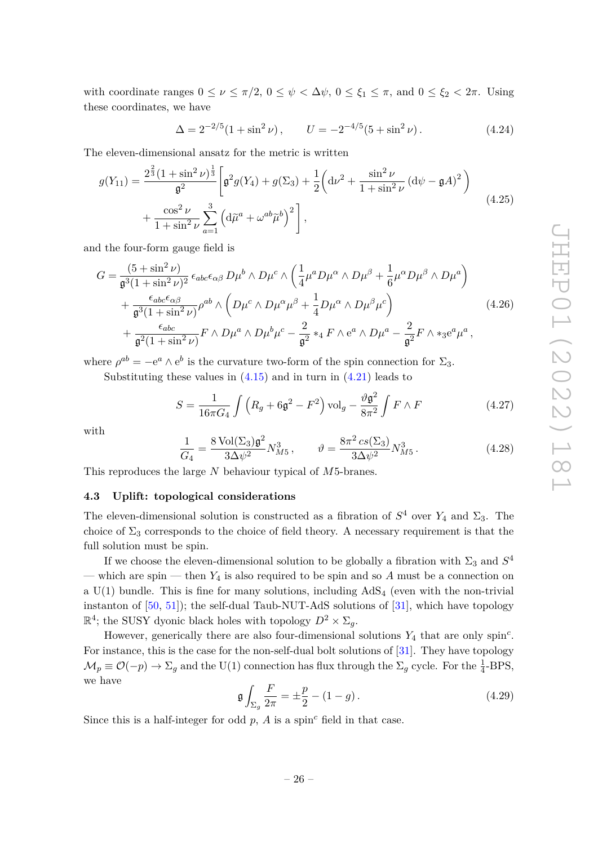with coordinate ranges  $0 \leq \nu \leq \pi/2$ ,  $0 \leq \psi < \Delta \psi$ ,  $0 \leq \xi_1 \leq \pi$ , and  $0 \leq \xi_2 < 2\pi$ . Using these coordinates, we have

$$
\Delta = 2^{-2/5} (1 + \sin^2 \nu), \qquad U = -2^{-4/5} (5 + \sin^2 \nu). \tag{4.24}
$$

The eleven-dimensional ansatz for the metric is written

<span id="page-26-1"></span>
$$
g(Y_{11}) = \frac{2^{\frac{2}{3}}(1+\sin^2\nu)^{\frac{1}{3}}}{\mathfrak{g}^2} \left[ \mathfrak{g}^2 g(Y_4) + g(\Sigma_3) + \frac{1}{2} \left( \mathrm{d}\nu^2 + \frac{\sin^2\nu}{1+\sin^2\nu} \left( \mathrm{d}\psi - \mathfrak{g}A \right)^2 \right) + \frac{\cos^2\nu}{1+\sin^2\nu} \sum_{a=1}^3 \left( \mathrm{d}\tilde{\mu}^a + \omega^{ab}\tilde{\mu}^b \right)^2 \right],
$$
\n(4.25)

and the four-form gauge field is

$$
G = \frac{(5 + \sin^2 \nu)}{\mathfrak{g}^3 (1 + \sin^2 \nu)^2} \epsilon_{abc} \epsilon_{\alpha\beta} D\mu^b \wedge D\mu^c \wedge \left(\frac{1}{4} \mu^a D\mu^\alpha \wedge D\mu^\beta + \frac{1}{6} \mu^\alpha D\mu^\beta \wedge D\mu^a\right) + \frac{\epsilon_{abc} \epsilon_{\alpha\beta}}{\mathfrak{g}^3 (1 + \sin^2 \nu)} \rho^{ab} \wedge \left(D\mu^c \wedge D\mu^\alpha \mu^\beta + \frac{1}{4} D\mu^\alpha \wedge D\mu^\beta \mu^c\right) + \frac{\epsilon_{abc}}{\mathfrak{g}^2 (1 + \sin^2 \nu)} F \wedge D\mu^a \wedge D\mu^b \mu^c - \frac{2}{\mathfrak{g}^2} *_4 F \wedge e^a \wedge D\mu^a - \frac{2}{\mathfrak{g}^2} F \wedge *_3 e^a \mu^a,
$$
(4.26)

where  $\rho^{ab} = -e^a \wedge e^b$  is the curvature two-form of the spin connection for  $\Sigma_3$ .

Substituting these values in  $(4.15)$  and in turn in  $(4.21)$  leads to

<span id="page-26-3"></span>
$$
S = \frac{1}{16\pi G_4} \int \left( R_g + 6\mathfrak{g}^2 - F^2 \right) \text{vol}_g - \frac{\vartheta \mathfrak{g}^2}{8\pi^2} \int F \wedge F \tag{4.27}
$$

with

<span id="page-26-2"></span>
$$
\frac{1}{G_4} = \frac{8 \text{ Vol}(\Sigma_3) \mathfrak{g}^2}{3\Delta \psi^2} N_{M5}^3, \qquad \vartheta = \frac{8\pi^2 \csc(\Sigma_3)}{3\Delta \psi^2} N_{M5}^3. \tag{4.28}
$$

This reproduces the large *N* behaviour typical of *M*5-branes.

### <span id="page-26-0"></span>**4.3 Uplift: topological considerations**

The eleven-dimensional solution is constructed as a fibration of  $S^4$  over  $Y_4$  and  $\Sigma_3$ . The choice of  $\Sigma_3$  corresponds to the choice of field theory. A necessary requirement is that the full solution must be spin.

If we choose the eleven-dimensional solution to be globally a fibration with  $\Sigma_3$  and  $S^4$ — which are spin — then  $Y_4$  is also required to be spin and so A must be a connection on a  $U(1)$  bundle. This is fine for many solutions, including  $AdS<sub>4</sub>$  (even with the non-trivial instanton of [\[50,](#page-41-12) [51\]](#page-41-13)); the self-dual Taub-NUT-AdS solutions of [\[31\]](#page-40-9), which have topology  $\mathbb{R}^4$ ; the SUSY dyonic black holes with topology  $D^2 \times \Sigma_g$ .

However, generically there are also four-dimensional solutions *Y*<sup>4</sup> that are only spin*<sup>c</sup>* . For instance, this is the case for the non-self-dual bolt solutions of [\[31\]](#page-40-9). They have topology  $\mathcal{M}_p \equiv \mathcal{O}(-p) \to \Sigma_g$  and the U(1) connection has flux through the  $\Sigma_g$  cycle. For the  $\frac{1}{4}$ -BPS, we have

$$
\mathfrak{g} \int_{\Sigma_g} \frac{F}{2\pi} = \pm \frac{p}{2} - (1 - g). \tag{4.29}
$$

Since this is a half-integer for odd  $p$ ,  $A$  is a spin<sup>c</sup> field in that case.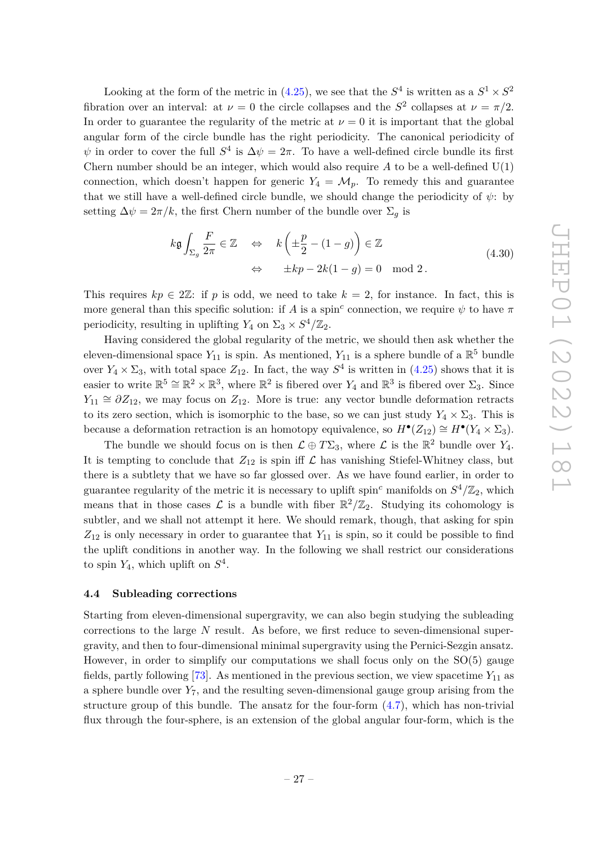Looking at the form of the metric in [\(4.25\)](#page-26-1), we see that the  $S^4$  is written as a  $S^1 \times S^2$ fibration over an interval: at  $\nu = 0$  the circle collapses and the  $S^2$  collapses at  $\nu = \pi/2$ . In order to guarantee the regularity of the metric at  $\nu = 0$  it is important that the global angular form of the circle bundle has the right periodicity. The canonical periodicity of  $\psi$  in order to cover the full  $S^4$  is  $\Delta \psi = 2\pi$ . To have a well-defined circle bundle its first Chern number should be an integer, which would also require  $A$  to be a well-defined  $U(1)$ connection, which doesn't happen for generic  $Y_4 = \mathcal{M}_p$ . To remedy this and guarantee that we still have a well-defined circle bundle, we should change the periodicity of  $\psi$ : by setting  $\Delta \psi = 2\pi/k$ , the first Chern number of the bundle over  $\Sigma_q$  is

$$
k\mathfrak{g} \int_{\Sigma_g} \frac{F}{2\pi} \in \mathbb{Z} \quad \Leftrightarrow \quad k\left(\pm \frac{p}{2} - (1 - g)\right) \in \mathbb{Z}
$$
  

$$
\Leftrightarrow \quad \pm kp - 2k(1 - g) = 0 \mod 2.
$$
 (4.30)

This requires  $kp \in 2\mathbb{Z}$ : if p is odd, we need to take  $k = 2$ , for instance. In fact, this is more general than this specific solution: if *A* is a spin<sup>c</sup> connection, we require  $\psi$  to have  $\pi$ periodicity, resulting in uplifting  $Y_4$  on  $\Sigma_3 \times S^4/\mathbb{Z}_2$ .

Having considered the global regularity of the metric, we should then ask whether the eleven-dimensional space  $Y_{11}$  is spin. As mentioned,  $Y_{11}$  is a sphere bundle of a  $\mathbb{R}^5$  bundle over  $Y_4 \times \Sigma_3$ , with total space  $Z_{12}$ . In fact, the way  $S^4$  is written in [\(4.25\)](#page-26-1) shows that it is easier to write  $\mathbb{R}^5 \cong \mathbb{R}^2 \times \mathbb{R}^3$ , where  $\mathbb{R}^2$  is fibered over  $Y_4$  and  $\mathbb{R}^3$  is fibered over  $\Sigma_3$ . Since  $Y_{11} \cong \partial Z_{12}$ , we may focus on  $Z_{12}$ . More is true: any vector bundle deformation retracts to its zero section, which is isomorphic to the base, so we can just study  $Y_4 \times \Sigma_3$ . This is because a deformation retraction is an homotopy equivalence, so  $H^{\bullet}(Z_{12}) \cong H^{\bullet}(Y_4 \times \Sigma_3)$ .

The bundle we should focus on is then  $\mathcal{L} \oplus T\Sigma_3$ , where  $\mathcal{L}$  is the  $\mathbb{R}^2$  bundle over  $Y_4$ . It is tempting to conclude that  $Z_{12}$  is spin iff  $\mathcal L$  has vanishing Stiefel-Whitney class, but there is a subtlety that we have so far glossed over. As we have found earlier, in order to guarantee regularity of the metric it is necessary to uplift spin<sup>c</sup> manifolds on  $S^4/\mathbb{Z}_2$ , which means that in those cases  $\mathcal L$  is a bundle with fiber  $\mathbb R^2/\mathbb Z_2$ . Studying its cohomology is subtler, and we shall not attempt it here. We should remark, though, that asking for spin *Z*<sup>12</sup> is only necessary in order to guarantee that *Y*<sup>11</sup> is spin, so it could be possible to find the uplift conditions in another way. In the following we shall restrict our considerations to spin  $Y_4$ , which uplift on  $S^4$ .

### <span id="page-27-0"></span>**4.4 Subleading corrections**

Starting from eleven-dimensional supergravity, we can also begin studying the subleading corrections to the large *N* result. As before, we first reduce to seven-dimensional supergravity, and then to four-dimensional minimal supergravity using the Pernici-Sezgin ansatz. However, in order to simplify our computations we shall focus only on the SO(5) gauge fields, partly following [\[73\]](#page-43-0). As mentioned in the previous section, we view spacetime  $Y_{11}$  as a sphere bundle over  $Y_7$ , and the resulting seven-dimensional gauge group arising from the structure group of this bundle. The ansatz for the four-form  $(4.7)$ , which has non-trivial flux through the four-sphere, is an extension of the global angular four-form, which is the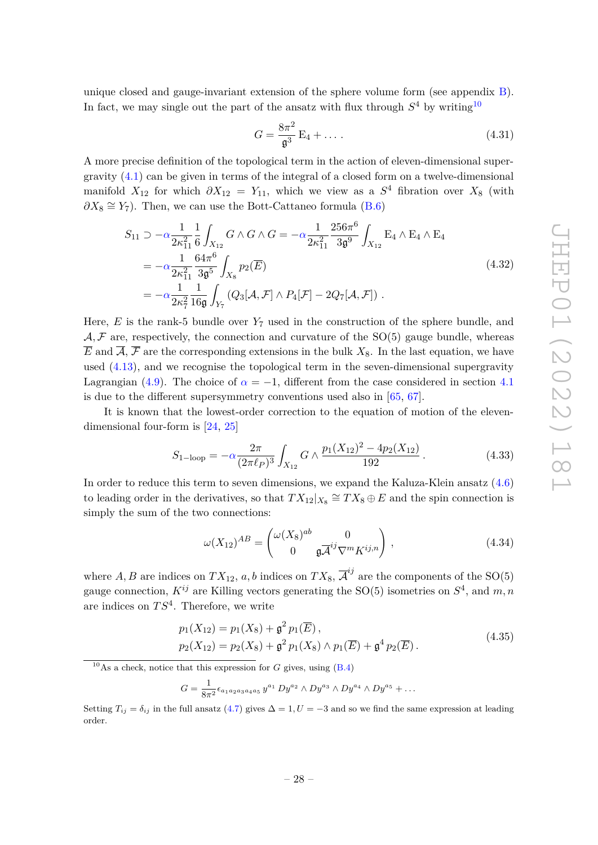unique closed and gauge-invariant extension of the sphere volume form (see appendix [B\)](#page-38-0). In fact, we may single out the part of the ansatz with flux through  $S<sup>4</sup>$  by writing<sup>[10](#page-28-0)</sup>

$$
G = \frac{8\pi^2}{\mathfrak{g}^3} \mathcal{E}_4 + \dots \tag{4.31}
$$

A more precise definition of the topological term in the action of eleven-dimensional supergravity [\(4.1\)](#page-21-2) can be given in terms of the integral of a closed form on a twelve-dimensional manifold  $X_{12}$  for which  $\partial X_{12} = Y_{11}$ , which we view as a  $S^4$  fibration over  $X_8$  (with  $\partial X_8 \cong Y_7$ ). Then, we can use the Bott-Cattaneo formula [\(B.6\)](#page-39-13)

$$
S_{11} \supset -\alpha \frac{1}{2\kappa_{11}^2} \frac{1}{6} \int_{X_{12}} G \wedge G \wedge G = -\alpha \frac{1}{2\kappa_{11}^2} \frac{256\pi^6}{3\mathfrak{g}^9} \int_{X_{12}} E_4 \wedge E_4 \wedge E_4
$$
  
=  $-\alpha \frac{1}{2\kappa_{11}^2} \frac{64\pi^6}{3\mathfrak{g}^5} \int_{X_8} p_2(\overline{E})$   
=  $-\alpha \frac{1}{2\kappa_7^2} \frac{1}{16\mathfrak{g}} \int_{Y_7} (Q_3[\mathcal{A}, \mathcal{F}] \wedge P_4[\mathcal{F}] - 2Q_7[\mathcal{A}, \mathcal{F}]).$  (4.32)

Here,  $E$  is the rank-5 bundle over  $Y_7$  used in the construction of the sphere bundle, and  $A, \mathcal{F}$  are, respectively, the connection and curvature of the SO(5) gauge bundle, whereas  $\overline{E}$  and  $\overline{A}$ ,  $\overline{F}$  are the corresponding extensions in the bulk  $X_8$ . In the last equation, we have used [\(4.13\)](#page-24-4), and we recognise the topological term in the seven-dimensional supergravity Lagrangian [\(4.9\)](#page-23-0). The choice of  $\alpha = -1$ , different from the case considered in section [4.1](#page-21-0) is due to the different supersymmetry conventions used also in [\[65,](#page-42-10) [67\]](#page-42-11).

It is known that the lowest-order correction to the equation of motion of the elevendimensional four-form is [\[24,](#page-40-4) [25\]](#page-40-5)

<span id="page-28-1"></span>
$$
S_{1-\text{loop}} = -\alpha \frac{2\pi}{(2\pi\ell_P)^3} \int_{X_{12}} G \wedge \frac{p_1(X_{12})^2 - 4p_2(X_{12})}{192} \,. \tag{4.33}
$$

In order to reduce this term to seven dimensions, we expand the Kaluza-Klein ansatz [\(4.6\)](#page-22-2) to leading order in the derivatives, so that  $TX_{12}|_{X_8} \cong TX_8 \oplus E$  and the spin connection is simply the sum of the two connections:

$$
\omega(X_{12})^{AB} = \begin{pmatrix} \omega(X_8)^{ab} & 0\\ 0 & \mathfrak{g}\overline{\mathcal{A}}^{ij}\nabla^m K^{ij,n} \end{pmatrix},
$$
\n(4.34)

where  $A, B$  are indices on  $TX_{12}, a, b$  indices on  $TX_8, \overline{A}^{ij}$  are the components of the SO(5) gauge connection,  $K^{ij}$  are Killing vectors generating the SO(5) isometries on  $S<sup>4</sup>$ , and  $m, n$ are indices on *T S*<sup>4</sup> . Therefore, we write

$$
p_1(X_{12}) = p_1(X_8) + \mathfrak{g}^2 p_1(\overline{E}),
$$
  
\n
$$
p_2(X_{12}) = p_2(X_8) + \mathfrak{g}^2 p_1(X_8) \wedge p_1(\overline{E}) + \mathfrak{g}^4 p_2(\overline{E}).
$$
\n(4.35)

<span id="page-28-0"></span><sup>10</sup>As a check, notice that this expression for *G* gives, using  $(B.4)$ 

$$
G = \frac{1}{8\pi^2} \epsilon_{a_1 a_2 a_3 a_4 a_5} y^{a_1} D y^{a_2} \wedge D y^{a_3} \wedge D y^{a_4} \wedge D y^{a_5} + \dots
$$

Setting  $T_{ij} = \delta_{ij}$  in the full ansatz [\(4.7\)](#page-23-1) gives  $\Delta = 1, U = -3$  and so we find the same expression at leading order.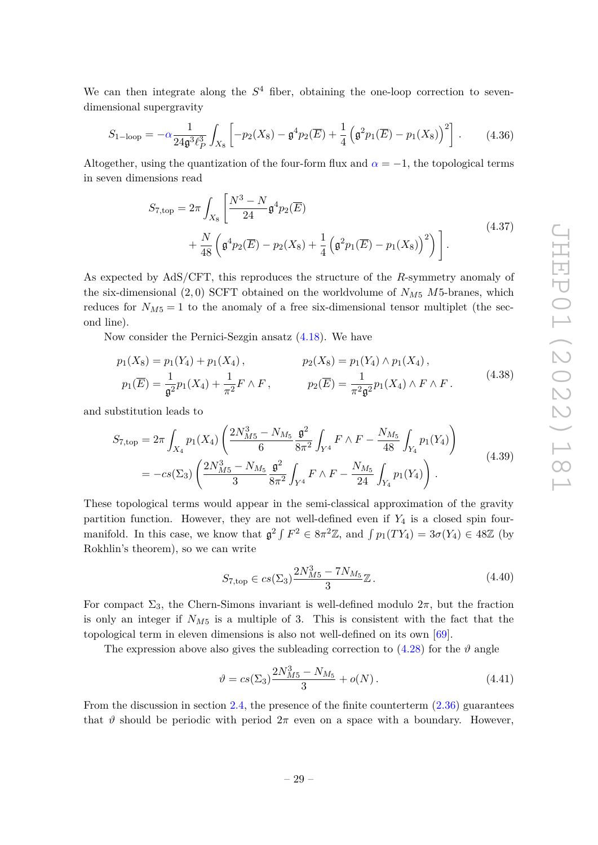We can then integrate along the  $S<sup>4</sup>$  fiber, obtaining the one-loop correction to sevendimensional supergravity

$$
S_{1-\text{loop}} = -\alpha \frac{1}{24\mathfrak{g}^3 \ell_P^3} \int_{X_8} \left[ -p_2(X_8) - \mathfrak{g}^4 p_2(\overline{E}) + \frac{1}{4} \left( \mathfrak{g}^2 p_1(\overline{E}) - p_1(X_8) \right)^2 \right]. \tag{4.36}
$$

Altogether, using the quantization of the four-form flux and  $\alpha = -1$ , the topological terms in seven dimensions read

$$
S_{7,\text{top}} = 2\pi \int_{X_8} \left[ \frac{N^3 - N}{24} \mathfrak{g}^4 p_2(\overline{E}) + \frac{N}{48} \left( \mathfrak{g}^4 p_2(\overline{E}) - p_2(X_8) + \frac{1}{4} \left( \mathfrak{g}^2 p_1(\overline{E}) - p_1(X_8) \right)^2 \right) \right].
$$
\n(4.37)

As expected by AdS/CFT, this reproduces the structure of the *R*-symmetry anomaly of the six-dimensional  $(2, 0)$  SCFT obtained on the worldvolume of  $N_{M5}$   $M5$ -branes, which reduces for  $N_{M5} = 1$  to the anomaly of a free six-dimensional tensor multiplet (the second line).

Now consider the Pernici-Sezgin ansatz [\(4.18\)](#page-25-0). We have

$$
p_1(X_8) = p_1(Y_4) + p_1(X_4),
$$
  
\n
$$
p_1(\overline{E}) = \frac{1}{\mathfrak{g}^2} p_1(X_4) + \frac{1}{\pi^2} F \wedge F,
$$
  
\n
$$
p_2(\overline{E}) = p_1(Y_4) \wedge p_1(X_4),
$$
  
\n
$$
p_2(\overline{E}) = \frac{1}{\pi^2 \mathfrak{g}^2} p_1(X_4) \wedge F \wedge F.
$$
\n(4.38)

and substitution leads to

<span id="page-29-1"></span>
$$
S_{7,\text{top}} = 2\pi \int_{X_4} p_1(X_4) \left( \frac{2N_{M5}^3 - N_{M5}}{6} \frac{\mathfrak{g}^2}{8\pi^2} \int_{Y^4} F \wedge F - \frac{N_{M5}}{48} \int_{Y_4} p_1(Y_4) \right)
$$
  
=  $-c \varepsilon(\Sigma_3) \left( \frac{2N_{M5}^3 - N_{M5}}{3} \frac{\mathfrak{g}^2}{8\pi^2} \int_{Y^4} F \wedge F - \frac{N_{M5}}{24} \int_{Y_4} p_1(Y_4) \right).$  (4.39)

These topological terms would appear in the semi-classical approximation of the gravity partition function. However, they are not well-defined even if *Y*<sup>4</sup> is a closed spin fourmanifold. In this case, we know that  $\mathfrak{g}^2 \int F^2 \in 8\pi^2 \mathbb{Z}$ , and  $\int p_1(TY_4) = 3\sigma(Y_4) \in 48\mathbb{Z}$  (by Rokhlin's theorem), so we can write

$$
S_{7,\text{top}} \in cs(\Sigma_3) \frac{2N_{M5}^3 - 7N_{M_5}}{3} \mathbb{Z}. \tag{4.40}
$$

For compact  $\Sigma_3$ , the Chern-Simons invariant is well-defined modulo  $2\pi$ , but the fraction is only an integer if  $N_{M5}$  is a multiple of 3. This is consistent with the fact that the topological term in eleven dimensions is also not well-defined on its own [\[69\]](#page-42-16).

The expression above also gives the subleading correction to  $(4.28)$  for the  $\vartheta$  angle

<span id="page-29-0"></span>
$$
\vartheta = cs(\Sigma_3) \frac{2N_{M5}^3 - N_{M5}}{3} + o(N). \tag{4.41}
$$

From the discussion in section [2.4,](#page-12-0) the presence of the finite counterterm  $(2.36)$  guarantees that  $\vartheta$  should be periodic with period  $2\pi$  even on a space with a boundary. However,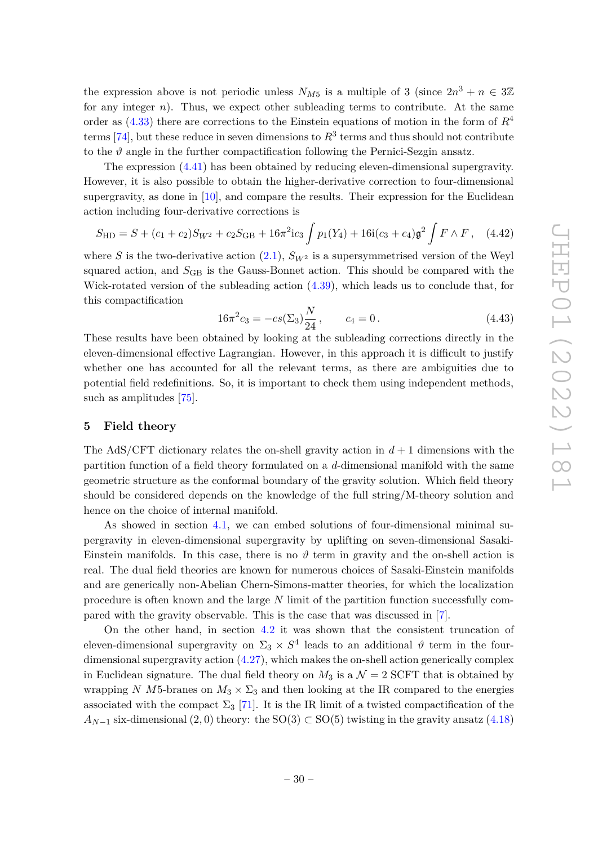the expression above is not periodic unless  $N_{M5}$  is a multiple of 3 (since  $2n^3 + n \in 3\mathbb{Z}$ for any integer  $n$ ). Thus, we expect other subleading terms to contribute. At the same order as [\(4.33\)](#page-28-1) there are corrections to the Einstein equations of motion in the form of *R*<sup>4</sup> terms  $[74]$ , but these reduce in seven dimensions to  $R^3$  terms and thus should not contribute to the  $\vartheta$  angle in the further compactification following the Pernici-Sezgin ansatz.

The expression [\(4.41\)](#page-29-0) has been obtained by reducing eleven-dimensional supergravity. However, it is also possible to obtain the higher-derivative correction to four-dimensional supergravity, as done in [\[10\]](#page-39-6), and compare the results. Their expression for the Euclidean action including four-derivative corrections is

$$
S_{\rm HD} = S + (c_1 + c_2)S_{W^2} + c_2S_{\rm GB} + 16\pi^2ic_3\int p_1(Y_4) + 16i(c_3 + c_4)\mathfrak{g}^2\int F \wedge F, \quad (4.42)
$$

where *S* is the two-derivative action  $(2.1)$ ,  $S_{W^2}$  is a supersymmetrised version of the Weyl squared action, and  $S<sub>GB</sub>$  is the Gauss-Bonnet action. This should be compared with the Wick-rotated version of the subleading action [\(4.39\)](#page-29-1), which leads us to conclude that, for this compactification

$$
16\pi^2 c_3 = -cs(\Sigma_3) \frac{N}{24}, \qquad c_4 = 0.
$$
 (4.43)

These results have been obtained by looking at the subleading corrections directly in the eleven-dimensional effective Lagrangian. However, in this approach it is difficult to justify whether one has accounted for all the relevant terms, as there are ambiguities due to potential field redefinitions. So, it is important to check them using independent methods, such as amplitudes [\[75\]](#page-43-2).

### <span id="page-30-0"></span>**5 Field theory**

The AdS/CFT dictionary relates the on-shell gravity action in  $d+1$  dimensions with the partition function of a field theory formulated on a *d*-dimensional manifold with the same geometric structure as the conformal boundary of the gravity solution. Which field theory should be considered depends on the knowledge of the full string/M-theory solution and hence on the choice of internal manifold.

As showed in section [4.1,](#page-21-0) we can embed solutions of four-dimensional minimal supergravity in eleven-dimensional supergravity by uplifting on seven-dimensional Sasaki-Einstein manifolds. In this case, there is no  $\vartheta$  term in gravity and the on-shell action is real. The dual field theories are known for numerous choices of Sasaki-Einstein manifolds and are generically non-Abelian Chern-Simons-matter theories, for which the localization procedure is often known and the large *N* limit of the partition function successfully compared with the gravity observable. This is the case that was discussed in [\[7\]](#page-39-3).

On the other hand, in section [4.2](#page-22-0) it was shown that the consistent truncation of eleven-dimensional supergravity on  $\Sigma_3 \times S^4$  leads to an additional  $\vartheta$  term in the fourdimensional supergravity action [\(4.27\)](#page-26-3), which makes the on-shell action generically complex in Euclidean signature. The dual field theory on  $M_3$  is a  $\mathcal{N}=2$  SCFT that is obtained by wrapping *N M*5-branes on  $M_3 \times \Sigma_3$  and then looking at the IR compared to the energies associated with the compact  $\Sigma_3$  [\[71\]](#page-42-15). It is the IR limit of a twisted compactification of the  $A_{N-1}$  six-dimensional (2,0) theory: the SO(3) ⊂ SO(5) twisting in the gravity ansatz [\(4.18\)](#page-25-0)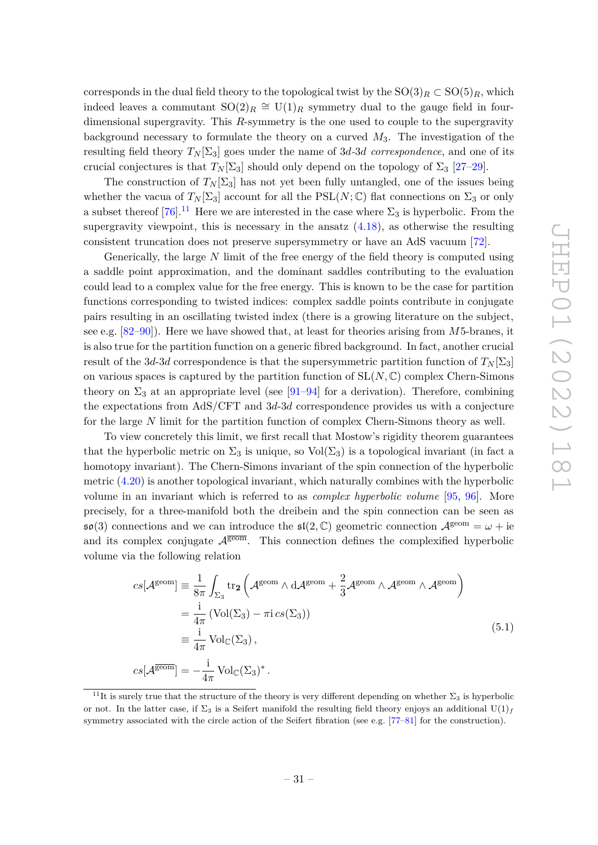corresponds in the dual field theory to the topological twist by the  $SO(3)_R \subset SO(5)_R$ , which indeed leaves a commutant  $SO(2)_R \cong U(1)_R$  symmetry dual to the gauge field in fourdimensional supergravity. This *R*-symmetry is the one used to couple to the supergravity background necessary to formulate the theory on a curved *M*3. The investigation of the resulting field theory  $T_N[\Sigma_3]$  goes under the name of 3*d*-3*d* correspondence, and one of its crucial conjectures is that  $T_N[\Sigma_3]$  should only depend on the topology of  $\Sigma_3$  [\[27–](#page-40-14)[29\]](#page-40-7).

The construction of  $T_N[\Sigma_3]$  has not yet been fully untangled, one of the issues being whether the vacua of  $T_N[\Sigma_3]$  account for all the PSL(*N*; C) flat connections on  $\Sigma_3$  or only a subset thereof  $[76]$ .<sup>[11](#page-31-0)</sup> Here we are interested in the case where  $\Sigma_3$  is hyperbolic. From the supergravity viewpoint, this is necessary in the ansatz  $(4.18)$ , as otherwise the resulting consistent truncation does not preserve supersymmetry or have an AdS vacuum [\[72\]](#page-42-17).

Generically, the large *N* limit of the free energy of the field theory is computed using a saddle point approximation, and the dominant saddles contributing to the evaluation could lead to a complex value for the free energy. This is known to be the case for partition functions corresponding to twisted indices: complex saddle points contribute in conjugate pairs resulting in an oscillating twisted index (there is a growing literature on the subject, see e.g. [\[82–](#page-43-4)[90\]](#page-43-5)). Here we have showed that, at least for theories arising from *M*5-branes, it is also true for the partition function on a generic fibred background. In fact, another crucial result of the 3*d*-3*d* correspondence is that the supersymmetric partition function of  $T_N[\Sigma_3]$ on various spaces is captured by the partition function of  $SL(N, \mathbb{C})$  complex Chern-Simons theory on  $\Sigma_3$  at an appropriate level (see [\[91–](#page-43-6)[94\]](#page-44-0) for a derivation). Therefore, combining the expectations from AdS/CFT and 3*d*-3*d* correspondence provides us with a conjecture for the large *N* limit for the partition function of complex Chern-Simons theory as well.

To view concretely this limit, we first recall that Mostow's rigidity theorem guarantees that the hyperbolic metric on  $\Sigma_3$  is unique, so  $Vol(\Sigma_3)$  is a topological invariant (in fact a homotopy invariant). The Chern-Simons invariant of the spin connection of the hyperbolic metric [\(4.20\)](#page-25-2) is another topological invariant, which naturally combines with the hyperbolic volume in an invariant which is referred to as *complex hyperbolic volume* [\[95,](#page-44-1) [96\]](#page-44-2). More precisely, for a three-manifold both the dreibein and the spin connection can be seen as  $\mathfrak{so}(3)$  connections and we can introduce the  $\mathfrak{sl}(2,\mathbb{C})$  geometric connection  $\mathcal{A}^{\text{geom}} = \omega + \text{ie}$ and its complex conjugate  $A^{\overline{geom}}$ . This connection defines the complexified hyperbolic volume via the following relation

$$
cs[\mathcal{A}^{\text{geom}}] \equiv \frac{1}{8\pi} \int_{\Sigma_3} \text{tr}_2 \left( \mathcal{A}^{\text{geom}} \wedge \text{d} \mathcal{A}^{\text{geom}} + \frac{2}{3} \mathcal{A}^{\text{geom}} \wedge \mathcal{A}^{\text{geom}} \right)
$$
  
\n
$$
= \frac{i}{4\pi} \left( \text{Vol}(\Sigma_3) - \pi i cs(\Sigma_3) \right)
$$
  
\n
$$
\equiv \frac{i}{4\pi} \text{Vol}_{\mathbb{C}}(\Sigma_3),
$$
  
\n
$$
cs[\mathcal{A}^{\overline{\text{geom}}}] = -\frac{i}{4\pi} \text{Vol}_{\mathbb{C}}(\Sigma_3)^*.
$$
\n(5.1)

<span id="page-31-0"></span><sup>&</sup>lt;sup>11</sup>It is surely true that the structure of the theory is very different depending on whether  $\Sigma_3$  is hyperbolic or not. In the latter case, if  $\Sigma_3$  is a Seifert manifold the resulting field theory enjoys an additional U(1)<sub>f</sub> symmetry associated with the circle action of the Seifert fibration (see e.g. [\[77](#page-43-7)[–81\]](#page-43-8) for the construction).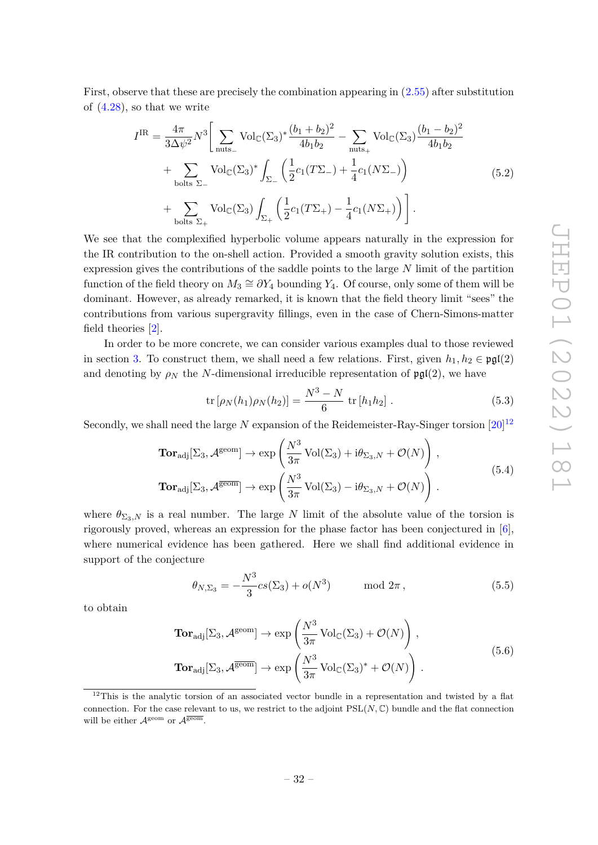First, observe that these are precisely the combination appearing in [\(2.55\)](#page-11-1) after substitution of  $(4.28)$ , so that we write

$$
I^{IR} = \frac{4\pi}{3\Delta\psi^2} N^3 \Bigg[ \sum_{\text{nuts}_{-}} \text{Vol}_{\mathbb{C}}(\Sigma_3)^* \frac{(b_1 + b_2)^2}{4b_1b_2} - \sum_{\text{nuts}_{+}} \text{Vol}_{\mathbb{C}}(\Sigma_3) \frac{(b_1 - b_2)^2}{4b_1b_2} + \sum_{\text{bolts } \Sigma_{-}} \text{Vol}_{\mathbb{C}}(\Sigma_3)^* \int_{\Sigma_{-}} \left( \frac{1}{2} c_1 (T\Sigma_{-}) + \frac{1}{4} c_1 (N\Sigma_{-}) \right) + \sum_{\text{bolts } \Sigma_{+}} \text{Vol}_{\mathbb{C}}(\Sigma_3) \int_{\Sigma_{+}} \left( \frac{1}{2} c_1 (T\Sigma_{+}) - \frac{1}{4} c_1 (N\Sigma_{+}) \right) \Bigg]. \tag{5.2}
$$

We see that the complexified hyperbolic volume appears naturally in the expression for the IR contribution to the on-shell action. Provided a smooth gravity solution exists, this expression gives the contributions of the saddle points to the large *N* limit of the partition function of the field theory on  $M_3 \cong \partial Y_4$  bounding  $Y_4$ . Of course, only some of them will be dominant. However, as already remarked, it is known that the field theory limit "sees" the contributions from various supergravity fillings, even in the case of Chern-Simons-matter field theories [\[2\]](#page-39-9).

In order to be more concrete, we can consider various examples dual to those reviewed in section [3.](#page-13-0) To construct them, we shall need a few relations. First, given  $h_1, h_2 \in \text{pgl}(2)$ and denoting by  $\rho_N$  the *N*-dimensional irreducible representation of  $\mathfrak{pgl}(2)$ , we have

$$
\text{tr}\left[\rho_N(h_1)\rho_N(h_2)\right] = \frac{N^3 - N}{6} \text{ tr}\left[h_1h_2\right].\tag{5.3}
$$

Secondly, we shall need the large  $N$  expansion of the Reidemeister-Ray-Singer torsion  $[20]^{12}$  $[20]^{12}$  $[20]^{12}$  $[20]^{12}$ 

$$
\begin{split} \mathbf{Tor}_{\mathrm{adj}}[\Sigma_{3}, \mathcal{A}^{\mathrm{geom}}] &\rightarrow \exp\left(\frac{N^{3}}{3\pi} \operatorname{Vol}(\Sigma_{3}) + \mathrm{i}\theta_{\Sigma_{3},N} + \mathcal{O}(N)\right), \\ \mathbf{Tor}_{\mathrm{adj}}[\Sigma_{3}, \mathcal{A}^{\overline{\mathrm{geom}}}] &\rightarrow \exp\left(\frac{N^{3}}{3\pi} \operatorname{Vol}(\Sigma_{3}) - \mathrm{i}\theta_{\Sigma_{3},N} + \mathcal{O}(N)\right). \end{split} \tag{5.4}
$$

where  $\theta_{\Sigma_3,N}$  is a real number. The large *N* limit of the absolute value of the torsion is rigorously proved, whereas an expression for the phase factor has been conjectured in [\[6\]](#page-39-2), where numerical evidence has been gathered. Here we shall find additional evidence in support of the conjecture

$$
\theta_{N,\Sigma_3} = -\frac{N^3}{3}cs(\Sigma_3) + o(N^3) \quad \text{mod } 2\pi, \tag{5.5}
$$

to obtain

$$
\begin{split} \mathbf{Tor}_{\mathrm{adj}}[\Sigma_{3}, \mathcal{A}^{\mathrm{geom}}] &\rightarrow \exp\left(\frac{N^{3}}{3\pi} \operatorname{Vol}_{\mathbb{C}}(\Sigma_{3}) + \mathcal{O}(N)\right), \\ \mathbf{Tor}_{\mathrm{adj}}[\Sigma_{3}, \mathcal{A}^{\overline{\mathrm{geom}}}] &\rightarrow \exp\left(\frac{N^{3}}{3\pi} \operatorname{Vol}_{\mathbb{C}}(\Sigma_{3})^{*} + \mathcal{O}(N)\right). \end{split} \tag{5.6}
$$

<span id="page-32-0"></span> $12$ This is the analytic torsion of an associated vector bundle in a representation and twisted by a flat connection. For the case relevant to us, we restrict to the adjoint  $PSL(N, \mathbb{C})$  bundle and the flat connection will be either  $A^{\text{geom}}$  or  $A^{\overline{\text{geom}}}$ .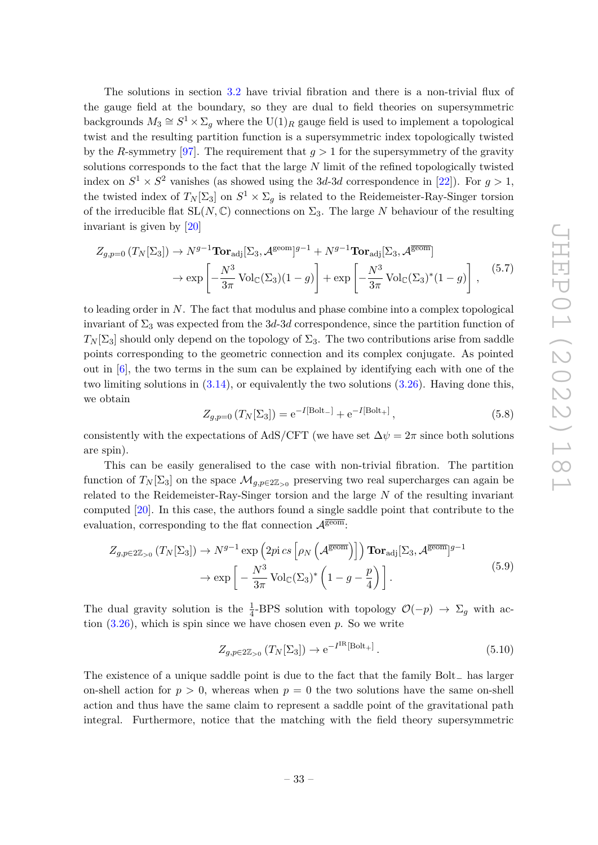The solutions in section [3.2](#page-15-0) have trivial fibration and there is a non-trivial flux of the gauge field at the boundary, so they are dual to field theories on supersymmetric backgrounds  $M_3 \cong S^1 \times \Sigma_g$  where the  $\mathrm{U}(1)_R$  gauge field is used to implement a topological twist and the resulting partition function is a supersymmetric index topologically twisted by the *R*-symmetry [\[97\]](#page-44-3). The requirement that  $q > 1$  for the supersymmetry of the gravity solutions corresponds to the fact that the large *N* limit of the refined topologically twisted index on  $S^1 \times S^2$  vanishes (as showed using the 3*d*-3*d* correspondence in [\[22\]](#page-40-16)). For  $g > 1$ , the twisted index of  $T_N[\Sigma_3]$  on  $S^1 \times \Sigma_g$  is related to the Reidemeister-Ray-Singer torsion of the irreducible flat  $SL(N, \mathbb{C})$  connections on  $\Sigma_3$ . The large N behaviour of the resulting invariant is given by [\[20\]](#page-40-15)

$$
Z_{g,p=0} (T_N[\Sigma_3]) \to N^{g-1} \text{Tor}_{\text{adj}}[\Sigma_3, \mathcal{A}^{\text{geom}}]^{g-1} + N^{g-1} \text{Tor}_{\text{adj}}[\Sigma_3, \mathcal{A}^{\overline{\text{geom}}}]
$$
  

$$
\to \exp\left[ -\frac{N^3}{3\pi} \text{Vol}_{\mathbb{C}}(\Sigma_3)(1-g) \right] + \exp\left[ -\frac{N^3}{3\pi} \text{Vol}_{\mathbb{C}}(\Sigma_3)^*(1-g) \right], \qquad (5.7)
$$

to leading order in *N*. The fact that modulus and phase combine into a complex topological invariant of  $\Sigma_3$  was expected from the 3*d*-3*d* correspondence, since the partition function of  $T_N[\Sigma_3]$  should only depend on the topology of  $\Sigma_3$ . The two contributions arise from saddle points corresponding to the geometric connection and its complex conjugate. As pointed out in [\[6\]](#page-39-2), the two terms in the sum can be explained by identifying each with one of the two limiting solutions in [\(3.14\)](#page-15-2), or equivalently the two solutions [\(3.26\)](#page-17-1). Having done this, we obtain

$$
Z_{g,p=0} (T_N[\Sigma_3]) = e^{-I[\text{Bolt-}]} + e^{-I[\text{Bolt+}]}, \qquad (5.8)
$$

consistently with the expectations of AdS/CFT (we have set  $\Delta \psi = 2\pi$  since both solutions are spin).

This can be easily generalised to the case with non-trivial fibration. The partition function of  $T_N[\Sigma_3]$  on the space  $\mathcal{M}_{g,p\in 2\mathbb{Z}_{\geq 0}}$  preserving two real supercharges can again be related to the Reidemeister-Ray-Singer torsion and the large *N* of the resulting invariant computed [\[20\]](#page-40-15). In this case, the authors found a single saddle point that contribute to the evaluation, corresponding to the flat connection  $\mathcal{A}^{\overline{\text{geom}}}$ :

$$
Z_{g,p \in 2\mathbb{Z}_{>0}} (T_N[\Sigma_3]) \to N^{g-1} \exp\left(2pi \ c \left[\rho_N\left(\mathcal{A}^{\overline{\text{geom}}}\right)\right]\right) \operatorname{Tor}_{\text{adj}}[\Sigma_3, \mathcal{A}^{\overline{\text{geom}}}]^{g-1} \to \exp\left[-\frac{N^3}{3\pi} \operatorname{Vol}_{\mathbb{C}}(\Sigma_3)^* \left(1 - g - \frac{p}{4}\right)\right].
$$
\n(5.9)

The dual gravity solution is the  $\frac{1}{4}$ -BPS solution with topology  $\mathcal{O}(-p) \to \Sigma_g$  with action [\(3.26\)](#page-17-1), which is spin since we have chosen even *p*. So we write

$$
Z_{g, p \in 2\mathbb{Z}_{>0}}\left(T_N[\Sigma_3]\right) \to e^{-I^{\rm IR}[\text{Bolt}_+]}\,. \tag{5.10}
$$

The existence of a unique saddle point is due to the fact that the family Bolt<sup>−</sup> has larger on-shell action for  $p > 0$ , whereas when  $p = 0$  the two solutions have the same on-shell action and thus have the same claim to represent a saddle point of the gravitational path integral. Furthermore, notice that the matching with the field theory supersymmetric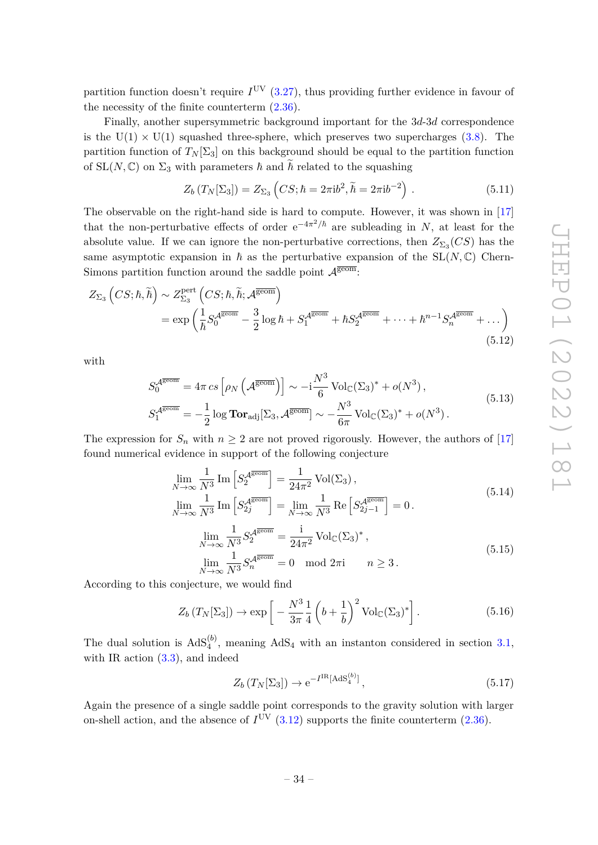partition function doesn't require  $I<sup>UV</sup>$  [\(3.27\)](#page-17-2), thus providing further evidence in favour of the necessity of the finite counterterm [\(2.36\)](#page-9-1).

Finally, another supersymmetric background important for the 3*d*-3*d* correspondence is the  $U(1) \times U(1)$  squashed three-sphere, which preserves two supercharges [\(3.8\)](#page-14-1). The partition function of  $T_N[\Sigma_3]$  on this background should be equal to the partition function of  $SL(N, \mathbb{C})$  on  $\Sigma_3$  with parameters  $\hbar$  and  $\hbar$  related to the squashing

$$
Z_b(T_N[\Sigma_3]) = Z_{\Sigma_3}\left(CS; \hbar = 2\pi i b^2, \tilde{\hbar} = 2\pi i b^{-2}\right). \tag{5.11}
$$

The observable on the right-hand side is hard to compute. However, it was shown in [\[17\]](#page-40-2) that the non-perturbative effects of order  $e^{-4\pi^2/\hbar}$  are subleading in *N*, at least for the absolute value. If we can ignore the non-perturbative corrections, then  $Z_{\Sigma_3}(CS)$  has the same asymptotic expansion in  $\hbar$  as the perturbative expansion of the SL( $N, \mathbb{C}$ ) Chern-Simons partition function around the saddle point  $\mathcal{A}^{\overline{\text{geom}}}$ .

$$
Z_{\Sigma_3} \left( CS; \hbar, \tilde{\hbar} \right) \sim Z_{\Sigma_3}^{\text{pert}} \left( CS; \hbar, \tilde{\hbar}; \mathcal{A}^{\overline{\text{geom}}} \right)
$$
  
= 
$$
\exp \left( \frac{1}{\hbar} S_0^{\mathcal{A}^{\overline{\text{geom}}} - \frac{3}{2} \log \hbar + S_1^{\mathcal{A}^{\overline{\text{geom}}} + \hbar S_2^{\mathcal{A}^{\overline{\text{geom}}} + \dots + \hbar^{n-1} S_n^{\mathcal{A}^{\overline{\text{geom}}} + \dots \right)
$$
(5.12)

with

$$
S_0^{\overline{A^{\text{geom}}}} = 4\pi \csc \left[ \rho_N \left( \mathcal{A}^{\overline{\text{geom}}}\right) \right] \sim -i \frac{N^3}{6} \operatorname{Vol}_{\mathbb{C}}(\Sigma_3)^* + o(N^3),
$$
  
\n
$$
S_1^{\overline{A^{\text{geom}}}} = -\frac{1}{2} \log \operatorname{Tor}_{\text{adj}}[\Sigma_3, \mathcal{A}^{\overline{\text{geom}}}] \sim -\frac{N^3}{6\pi} \operatorname{Vol}_{\mathbb{C}}(\Sigma_3)^* + o(N^3).
$$
\n(5.13)

The expression for  $S_n$  with  $n \geq 2$  are not proved rigorously. However, the authors of [\[17\]](#page-40-2) found numerical evidence in support of the following conjecture

$$
\lim_{N \to \infty} \frac{1}{N^3} \operatorname{Im} \left[ S_2^{A^{\overline{\text{geom}}}} \right] = \frac{1}{24\pi^2} \operatorname{Vol}(\Sigma_3),
$$
\n
$$
\lim_{N \to \infty} \frac{1}{N^3} \operatorname{Im} \left[ S_2^{A^{\overline{\text{geom}}}} \right] = \lim_{N \to \infty} \frac{1}{N^3} \operatorname{Re} \left[ S_{2j-1}^{A^{\overline{\text{geom}}}} \right] = 0.
$$
\n
$$
\lim_{N \to \infty} \frac{1}{N^3} S_2^{A^{\overline{\text{geom}}} = \frac{1}{24\pi^2} \operatorname{Vol}_{\mathbb{C}}(\Sigma_3)^*,
$$
\n
$$
\lim_{N \to \infty} \frac{1}{N^3} S_n^{A^{\overline{\text{geom}}} = 0 \mod 2\pi i \quad n \ge 3.
$$
\n(5.15)

According to this conjecture, we would find

$$
Z_b(T_N[\Sigma_3]) \to \exp\left[-\frac{N^3}{3\pi} \frac{1}{4} \left(b + \frac{1}{b}\right)^2 \text{Vol}_{\mathbb{C}}(\Sigma_3)^*\right].\tag{5.16}
$$

The dual solution is  $AdS_4^{(b)}$ , meaning  $AdS_4$  with an instanton considered in section [3.1,](#page-13-1) with IR action  $(3.3)$ , and indeed

$$
Z_b(T_N[\Sigma_3]) \to e^{-I^{IR}[\text{AdS}_4^{(b)}]},\tag{5.17}
$$

Again the presence of a single saddle point corresponds to the gravity solution with larger on-shell action, and the absence of  $I^{\text{UV}}$  [\(3.12\)](#page-15-3) supports the finite counterterm [\(2.36\)](#page-9-1).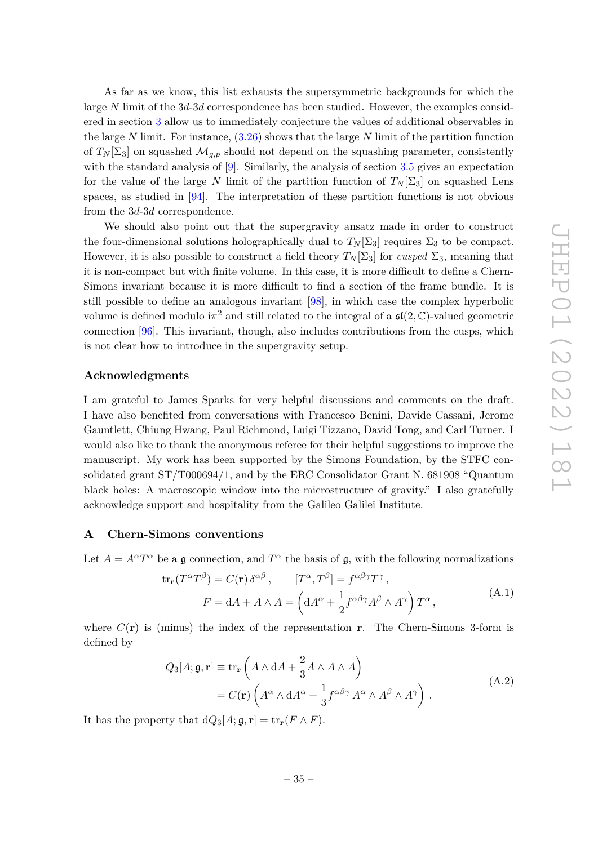As far as we know, this list exhausts the supersymmetric backgrounds for which the large *N* limit of the 3*d*-3*d* correspondence has been studied. However, the examples considered in section [3](#page-13-0) allow us to immediately conjecture the values of additional observables in the large *N* limit. For instance, [\(3.26\)](#page-17-1) shows that the large *N* limit of the partition function of  $T_N[\Sigma_3]$  on squashed  $\mathcal{M}_{q,p}$  should not depend on the squashing parameter, consistently with the standard analysis of [\[9\]](#page-39-5). Similarly, the analysis of section [3.5](#page-19-0) gives an expectation for the value of the large *N* limit of the partition function of  $T_N[\Sigma_3]$  on squashed Lens spaces, as studied in [\[94\]](#page-44-0). The interpretation of these partition functions is not obvious from the 3*d*-3*d* correspondence.

We should also point out that the supergravity ansatz made in order to construct the four-dimensional solutions holographically dual to  $T_N[\Sigma_3]$  requires  $\Sigma_3$  to be compact. However, it is also possible to construct a field theory  $T_N[\Sigma_3]$  for *cusped*  $\Sigma_3$ , meaning that it is non-compact but with finite volume. In this case, it is more difficult to define a Chern-Simons invariant because it is more difficult to find a section of the frame bundle. It is still possible to define an analogous invariant [\[98\]](#page-44-4), in which case the complex hyperbolic volume is defined modulo  $i\pi^2$  and still related to the integral of a  $\mathfrak{sl}(2,\mathbb{C})$ -valued geometric connection [\[96\]](#page-44-2). This invariant, though, also includes contributions from the cusps, which is not clear how to introduce in the supergravity setup.

# **Acknowledgments**

I am grateful to James Sparks for very helpful discussions and comments on the draft. I have also benefited from conversations with Francesco Benini, Davide Cassani, Jerome Gauntlett, Chiung Hwang, Paul Richmond, Luigi Tizzano, David Tong, and Carl Turner. I would also like to thank the anonymous referee for their helpful suggestions to improve the manuscript. My work has been supported by the Simons Foundation, by the STFC consolidated grant ST/T000694/1, and by the ERC Consolidator Grant N. 681908 "Quantum black holes: A macroscopic window into the microstructure of gravity." I also gratefully acknowledge support and hospitality from the Galileo Galilei Institute.

### <span id="page-35-0"></span>**A Chern-Simons conventions**

Let  $A = A^{\alpha}T^{\alpha}$  be a g connection, and  $T^{\alpha}$  the basis of g, with the following normalizations

$$
\text{tr}_{\mathbf{r}}(T^{\alpha}T^{\beta}) = C(\mathbf{r}) \delta^{\alpha\beta}, \qquad [T^{\alpha}, T^{\beta}] = f^{\alpha\beta\gamma}T^{\gamma},
$$
  

$$
F = dA + A \wedge A = \left(dA^{\alpha} + \frac{1}{2}f^{\alpha\beta\gamma}A^{\beta} \wedge A^{\gamma}\right)T^{\alpha},
$$
(A.1)

where  $C(\mathbf{r})$  is (minus) the index of the representation **r**. The Chern-Simons 3-form is defined by

$$
Q_3[A; \mathfrak{g}, \mathbf{r}] \equiv \text{tr}_{\mathbf{r}} \left( A \wedge dA + \frac{2}{3} A \wedge A \wedge A \right)
$$
  
=  $C(\mathbf{r}) \left( A^{\alpha} \wedge dA^{\alpha} + \frac{1}{3} f^{\alpha \beta \gamma} A^{\alpha} \wedge A^{\beta} \wedge A^{\gamma} \right)$ . (A.2)

It has the property that  $dQ_3[A; \mathfrak{g}, \mathbf{r}] = \text{tr}_{\mathbf{r}}(F \wedge F)$ .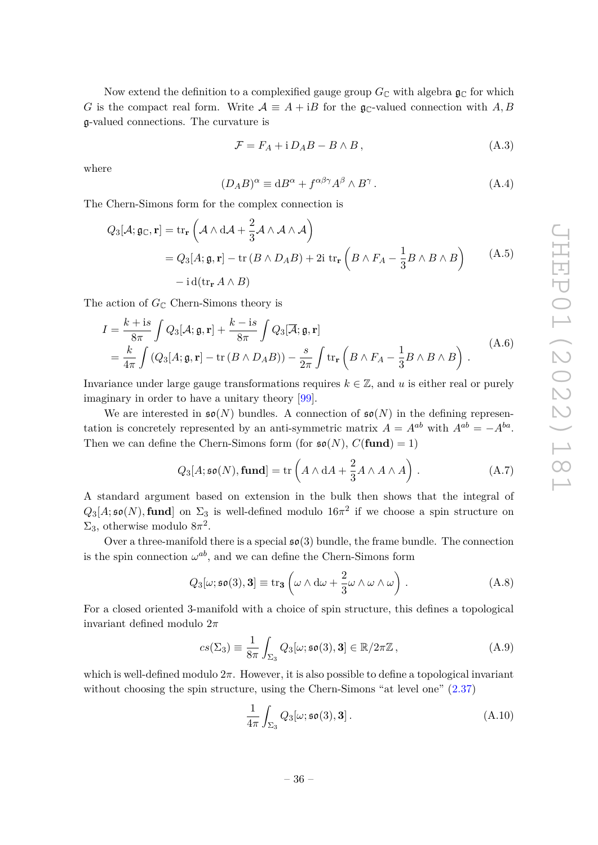Now extend the definition to a complexified gauge group  $G_{\mathbb{C}}$  with algebra  $\mathfrak{g}_{\mathbb{C}}$  for which *G* is the compact real form. Write  $A = A + iB$  for the g<sub>C</sub>-valued connection with *A, B* g-valued connections. The curvature is

<span id="page-36-0"></span>
$$
\mathcal{F} = F_A + i D_A B - B \wedge B, \qquad (A.3)
$$

where

$$
(D_A B)^\alpha \equiv \mathrm{d}B^\alpha + f^{\alpha\beta\gamma} A^\beta \wedge B^\gamma \,. \tag{A.4}
$$

The Chern-Simons form for the complex connection is

<span id="page-36-1"></span>
$$
Q_3[\mathcal{A}; \mathfrak{g}_{\mathbb{C}}, \mathbf{r}] = \text{tr}_{\mathbf{r}}\left(\mathcal{A} \wedge d\mathcal{A} + \frac{2}{3}\mathcal{A} \wedge \mathcal{A} \wedge \mathcal{A}\right)
$$
  
=  $Q_3[A; \mathfrak{g}, \mathbf{r}] - \text{tr}(B \wedge D_A B) + 2i \text{ tr}_{\mathbf{r}}\left(B \wedge F_A - \frac{1}{3}B \wedge B \wedge B\right)$  (A.5)  
-  $i d(\text{tr}_{\mathbf{r}} A \wedge B)$ 

The action of  $G_{\mathbb{C}}$  Chern-Simons theory is

$$
I = \frac{k + i s}{8\pi} \int Q_3[A; \mathfrak{g}, \mathbf{r}] + \frac{k - i s}{8\pi} \int Q_3[\overline{A}; \mathfrak{g}, \mathbf{r}]
$$
  
=  $\frac{k}{4\pi} \int (Q_3[A; \mathfrak{g}, \mathbf{r}] - \text{tr}(B \wedge D_A B)) - \frac{s}{2\pi} \int \text{tr}_{\mathbf{r}} \left( B \wedge F_A - \frac{1}{3} B \wedge B \wedge B \right).$  (A.6)

Invariance under large gauge transformations requires  $k \in \mathbb{Z}$ , and *u* is either real or purely imaginary in order to have a unitary theory [\[99\]](#page-44-5).

We are interested in  $\mathfrak{so}(N)$  bundles. A connection of  $\mathfrak{so}(N)$  in the defining representation is concretely represented by an anti-symmetric matrix  $A = A^{ab}$  with  $A^{ab} = -A^{ba}$ . Then we can define the Chern-Simons form (for  $\mathfrak{so}(N)$ ,  $C(\text{fund}) = 1$ )

$$
Q_3[A; \mathfrak{so}(N), \mathbf{fund}] = \text{tr}\left(A \wedge \mathrm{d}A + \frac{2}{3}A \wedge A \wedge A\right). \tag{A.7}
$$

A standard argument based on extension in the bulk then shows that the integral of  $Q_3[A; \mathfrak{so}(N), \textbf{fund}]$  on  $\Sigma_3$  is well-defined modulo  $16\pi^2$  if we choose a spin structure on  $\Sigma_3$ , otherwise modulo  $8\pi^2$ .

Over a three-manifold there is a special  $\mathfrak{so}(3)$  bundle, the frame bundle. The connection is the spin connection  $\omega^{ab}$ , and we can define the Chern-Simons form

$$
Q_3[\omega; \mathfrak{so}(3), 3] \equiv \text{tr}_3\left(\omega \wedge d\omega + \frac{2}{3}\omega \wedge \omega \wedge \omega\right). \tag{A.8}
$$

<span id="page-36-2"></span>For a closed oriented 3-manifold with a choice of spin structure, this defines a topological invariant defined modulo 2*π*

$$
cs(\Sigma_3) \equiv \frac{1}{8\pi} \int_{\Sigma_3} Q_3[\omega; \mathfrak{so}(3), 3] \in \mathbb{R}/2\pi\mathbb{Z}, \tag{A.9}
$$

which is well-defined modulo 2*π*. However, it is also possible to define a topological invariant without choosing the spin structure, using the Chern-Simons "at level one" [\(2.37\)](#page-9-2)

$$
\frac{1}{4\pi} \int_{\Sigma_3} Q_3[\omega; \mathfrak{so}(3), 3]. \tag{A.10}
$$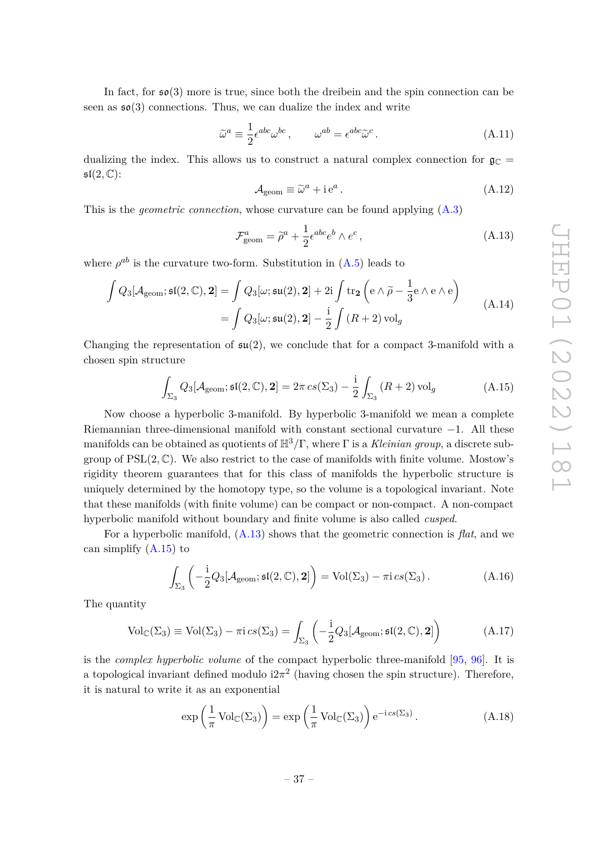In fact, for  $\mathfrak{so}(3)$  more is true, since both the dreibein and the spin connection can be seen as  $\mathfrak{so}(3)$  connections. Thus, we can dualize the index and write

$$
\tilde{\omega}^a \equiv \frac{1}{2} \epsilon^{abc} \omega^{bc} , \qquad \omega^{ab} = \epsilon^{abc} \tilde{\omega}^c . \tag{A.11}
$$

dualizing the index. This allows us to construct a natural complex connection for  $\mathfrak{g}_{\mathbb{C}} =$  $\mathfrak{sl}(2,\mathbb{C})$ :

$$
A_{\text{geom}} \equiv \tilde{\omega}^a + i e^a. \tag{A.12}
$$

<span id="page-37-0"></span>This is the *geometric connection*, whose curvature can be found applying [\(A.3\)](#page-36-0)

$$
\mathcal{F}^a_{\text{geom}} = \tilde{\rho}^a + \frac{1}{2} \epsilon^{abc} e^b \wedge e^c \,, \tag{A.13}
$$

where  $\rho^{ab}$  is the curvature two-form. Substitution in  $(A.5)$  leads to

$$
\int Q_3[\mathcal{A}_{\text{geom}}; \mathfrak{sl}(2, \mathbb{C}), 2] = \int Q_3[\omega; \mathfrak{su}(2), 2] + 2i \int \text{tr}_2\left(e \wedge \widetilde{\rho} - \frac{1}{3}e \wedge e \wedge e\right)
$$

$$
= \int Q_3[\omega; \mathfrak{su}(2), 2] - \frac{i}{2} \int \left(R + 2\right) \text{vol}_g \tag{A.14}
$$

Changing the representation of  $\mathfrak{su}(2)$ , we conclude that for a compact 3-manifold with a chosen spin structure

$$
\int_{\Sigma_3} Q_3[\mathcal{A}_{\text{geom}}; \mathfrak{sl}(2, \mathbb{C}), \mathbf{2}] = 2\pi \operatorname{cs}(\Sigma_3) - \frac{\mathrm{i}}{2} \int_{\Sigma_3} (R+2) \operatorname{vol}_g \tag{A.15}
$$

<span id="page-37-1"></span>Now choose a hyperbolic 3-manifold. By hyperbolic 3-manifold we mean a complete Riemannian three-dimensional manifold with constant sectional curvature −1. All these manifolds can be obtained as quotients of H3*/*Γ, where Γ is a *Kleinian group*, a discrete subgroup of  $PSL(2,\mathbb{C})$ . We also restrict to the case of manifolds with finite volume. Mostow's rigidity theorem guarantees that for this class of manifolds the hyperbolic structure is uniquely determined by the homotopy type, so the volume is a topological invariant. Note that these manifolds (with finite volume) can be compact or non-compact. A non-compact hyperbolic manifold without boundary and finite volume is also called *cusped*.

For a hyperbolic manifold, [\(A.13\)](#page-37-0) shows that the geometric connection is *flat*, and we can simplify [\(A.15\)](#page-37-1) to

$$
\int_{\Sigma_3} \left( -\frac{i}{2} Q_3[\mathcal{A}_{\text{geom}}; \mathfrak{sl}(2, \mathbb{C}), \mathbf{2}] \right) = \text{Vol}(\Sigma_3) - \pi i c s(\Sigma_3). \tag{A.16}
$$

The quantity

$$
Vol_{\mathbb{C}}(\Sigma_3) \equiv Vol(\Sigma_3) - \pi i cs(\Sigma_3) = \int_{\Sigma_3} \left( -\frac{i}{2} Q_3[\mathcal{A}_{\text{geom}}; \mathfrak{sl}(2, \mathbb{C}), 2] \right) \tag{A.17}
$$

is the *complex hyperbolic volume* of the compact hyperbolic three-manifold [\[95,](#page-44-1) [96\]](#page-44-2). It is a topological invariant defined modulo  $i2\pi^2$  (having chosen the spin structure). Therefore, it is natural to write it as an exponential

$$
\exp\left(\frac{1}{\pi}\operatorname{Vol}_{\mathbb{C}}(\Sigma_3)\right) = \exp\left(\frac{1}{\pi}\operatorname{Vol}_{\mathbb{C}}(\Sigma_3)\right) e^{-i c s(\Sigma_3)}.
$$
 (A.18)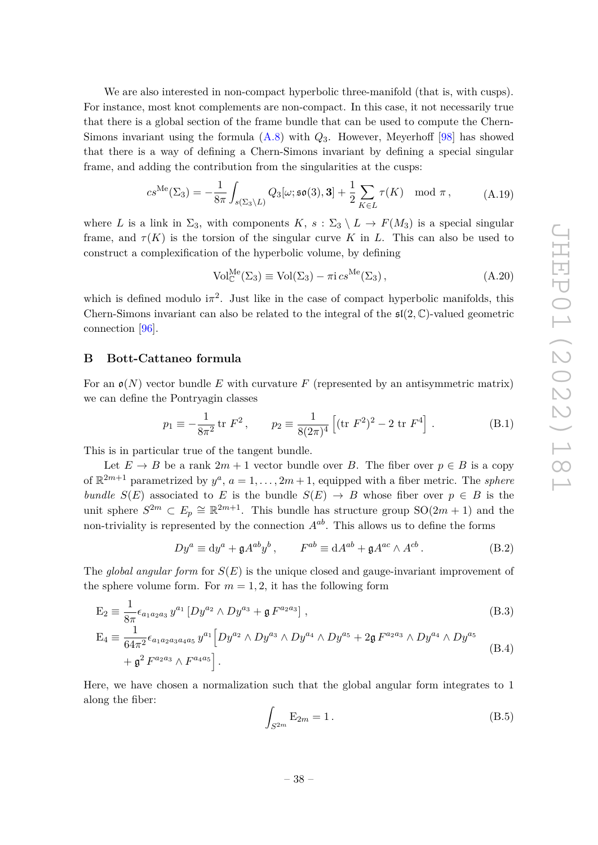We are also interested in non-compact hyperbolic three-manifold (that is, with cusps). For instance, most knot complements are non-compact. In this case, it not necessarily true that there is a global section of the frame bundle that can be used to compute the Chern-Simons invariant using the formula [\(A.8\)](#page-36-2) with *Q*3. However, Meyerhoff [\[98\]](#page-44-4) has showed that there is a way of defining a Chern-Simons invariant by defining a special singular frame, and adding the contribution from the singularities at the cusps:

$$
cs^{\text{Me}}(\Sigma_3) = -\frac{1}{8\pi} \int_{s(\Sigma_3 \setminus L)} Q_3[\omega; \mathfrak{so}(3), 3] + \frac{1}{2} \sum_{K \in L} \tau(K) \mod \pi , \tag{A.19}
$$

where *L* is a link in  $\Sigma_3$ , with components  $K$ ,  $s : \Sigma_3 \setminus L \to F(M_3)$  is a special singular frame, and  $\tau(K)$  is the torsion of the singular curve K in L. This can also be used to construct a complexification of the hyperbolic volume, by defining

$$
Vol_{\mathbb{C}}^{Me}(\Sigma_3) \equiv Vol(\Sigma_3) - \pi i c s^{Me}(\Sigma_3), \qquad (A.20)
$$

which is defined modulo  $i\pi^2$ . Just like in the case of compact hyperbolic manifolds, this Chern-Simons invariant can also be related to the integral of the  $\mathfrak{sl}(2,\mathbb{C})$ -valued geometric connection [\[96\]](#page-44-2).

# <span id="page-38-0"></span>**B Bott-Cattaneo formula**

For an  $\mathfrak{o}(N)$  vector bundle *E* with curvature *F* (represented by an antisymmetric matrix) we can define the Pontryagin classes

$$
p_1 \equiv -\frac{1}{8\pi^2} \operatorname{tr} F^2, \qquad p_2 \equiv \frac{1}{8(2\pi)^4} \left[ (\operatorname{tr} F^2)^2 - 2 \operatorname{tr} F^4 \right]. \tag{B.1}
$$

This is in particular true of the tangent bundle.

Let  $E \to B$  be a rank  $2m + 1$  vector bundle over *B*. The fiber over  $p \in B$  is a copy of  $\mathbb{R}^{2m+1}$  parametrized by  $y^a$ ,  $a = 1, \ldots, 2m+1$ , equipped with a fiber metric. The *sphere bundle*  $S(E)$  associated to *E* is the bundle  $S(E) \rightarrow B$  whose fiber over  $p \in B$  is the unit sphere  $S^{2m} \subset E_p \cong \mathbb{R}^{2m+1}$ . This bundle has structure group  $SO(2m+1)$  and the non-triviality is represented by the connection *Aab*. This allows us to define the forms

$$
Dy^{a} \equiv dy^{a} + \mathfrak{g}A^{ab}y^{b}, \qquad F^{ab} \equiv dA^{ab} + \mathfrak{g}A^{ac} \wedge A^{cb}.
$$
 (B.2)

The *global angular form* for *S*(*E*) is the unique closed and gauge-invariant improvement of the sphere volume form. For  $m = 1, 2$ , it has the following form

$$
E_2 \equiv \frac{1}{8\pi} \epsilon_{a_1 a_2 a_3} y^{a_1} \left[ D y^{a_2} \wedge D y^{a_3} + \mathfrak{g} F^{a_2 a_3} \right],
$$
\n
$$
E_4 \equiv \frac{1}{2\pi} \epsilon_{a_1 a_2 a_3} y^{a_1} \left[ D y^{a_2} \wedge D y^{a_3} \wedge D y^{a_4} \wedge D y^{a_5} + 2\mathfrak{g} F^{a_2 a_3} \wedge D y^{a_4} \wedge D y^{a_5} \right]
$$
\n(B.3)

$$
E_4 = \frac{1}{64\pi^2} \epsilon_{a_1 a_2 a_3 a_4 a_5} y^{a_1} \left[ Dy^{a_2} \wedge Dy^{a_3} \wedge Dy^{a_4} \wedge Dy^{a_5} + 2\mathfrak{g} F^{a_2 a_3} \wedge Dy^{a_4} \wedge Dy^{a_5} \right. \\
\left. + \mathfrak{g}^2 F^{a_2 a_3} \wedge F^{a_4 a_5} \right].
$$
\n(B.4)

Here, we have chosen a normalization such that the global angular form integrates to 1 along the fiber:

<span id="page-38-1"></span>
$$
\int_{S^{2m}} \mathcal{E}_{2m} = 1. \tag{B.5}
$$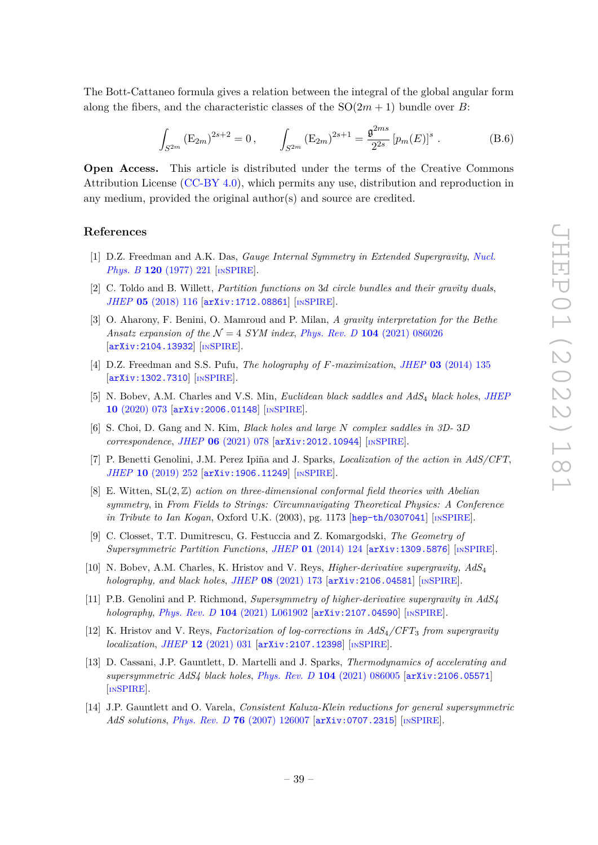The Bott-Cattaneo formula gives a relation between the integral of the global angular form along the fibers, and the characteristic classes of the  $SO(2m+1)$  bundle over *B*:

<span id="page-39-13"></span>
$$
\int_{S^{2m}} \left( E_{2m} \right)^{2s+2} = 0, \qquad \int_{S^{2m}} \left( E_{2m} \right)^{2s+1} = \frac{\mathfrak{g}^{2ms}}{2^{2s}} \left[ p_m(E) \right]^s. \tag{B.6}
$$

**Open Access.** This article is distributed under the terms of the Creative Commons Attribution License [\(CC-BY 4.0\)](https://creativecommons.org/licenses/by/4.0/), which permits any use, distribution and reproduction in any medium, provided the original author(s) and source are credited.

### **References**

- <span id="page-39-0"></span>[1] D.Z. Freedman and A.K. Das, *Gauge Internal Symmetry in Extended Supergravity*, *[Nucl.](https://doi.org/10.1016/0550-3213(77)90041-4) Phys. B* **120** [\(1977\) 221](https://doi.org/10.1016/0550-3213(77)90041-4) [IN[SPIRE](https://inspirehep.net/search?p=find+J%20%22Nucl.Phys.%2CB120%2C221%22)].
- <span id="page-39-9"></span>[2] C. Toldo and B. Willett, *Partition functions on* 3*d circle bundles and their gravity duals*, *JHEP* **05** [\(2018\) 116](https://doi.org/10.1007/JHEP05(2018)116) [[arXiv:1712.08861](https://arxiv.org/abs/1712.08861)] [IN[SPIRE](https://inspirehep.net/search?p=find+EPRINT%2BarXiv%3A1712.08861)].
- <span id="page-39-1"></span>[3] O. Aharony, F. Benini, O. Mamroud and P. Milan, *A gravity interpretation for the Bethe Ansatz expansion of the*  $N = 4$  *SYM index, Phys. Rev. D* **104** [\(2021\) 086026](https://doi.org/10.1103/PhysRevD.104.086026) [[arXiv:2104.13932](https://arxiv.org/abs/2104.13932)] [IN[SPIRE](https://inspirehep.net/search?p=find+EPRINT%2BarXiv%3A2104.13932)].
- <span id="page-39-10"></span>[4] D.Z. Freedman and S.S. Pufu, *The holography of F-maximization*, *JHEP* **03** [\(2014\) 135](https://doi.org/10.1007/JHEP03(2014)135) [[arXiv:1302.7310](https://arxiv.org/abs/1302.7310)] [IN[SPIRE](https://inspirehep.net/search?p=find+EPRINT%2BarXiv%3A1302.7310)].
- <span id="page-39-11"></span>[5] N. Bobev, A.M. Charles and V.S. Min, *Euclidean black saddles and AdS*<sup>4</sup> *black holes*, *[JHEP](https://doi.org/10.1007/JHEP10(2020)073)* **10** [\(2020\) 073](https://doi.org/10.1007/JHEP10(2020)073) [[arXiv:2006.01148](https://arxiv.org/abs/2006.01148)] [IN[SPIRE](https://inspirehep.net/search?p=find+EPRINT%2BarXiv%3A2006.01148)].
- <span id="page-39-2"></span>[6] S. Choi, D. Gang and N. Kim, *Black holes and large N complex saddles in 3D-* 3*D correspondence*, *JHEP* **06** [\(2021\) 078](https://doi.org/10.1007/JHEP06(2021)078) [[arXiv:2012.10944](https://arxiv.org/abs/2012.10944)] [IN[SPIRE](https://inspirehep.net/search?p=find+EPRINT%2BarXiv%3A2012.10944)].
- <span id="page-39-3"></span>[7] P. Benetti Genolini, J.M. Perez Ipiña and J. Sparks, *Localization of the action in AdS/CFT*, *JHEP* **10** [\(2019\) 252](https://doi.org/10.1007/JHEP10(2019)252) [[arXiv:1906.11249](https://arxiv.org/abs/1906.11249)] [IN[SPIRE](https://inspirehep.net/search?p=find+EPRINT%2BarXiv%3A1906.11249)].
- <span id="page-39-4"></span>[8] E. Witten, SL(2*,* Z) *action on three-dimensional conformal field theories with Abelian symmetry*, in *From Fields to Strings: Circumnavigating Theoretical Physics: A Conference in Tribute to Ian Kogan*, Oxford U.K. (2003), pg. 1173 [[hep-th/0307041](https://arxiv.org/abs/hep-th/0307041)] [IN[SPIRE](https://inspirehep.net/search?p=find+EPRINT%2Bhep-th%2F0307041)].
- <span id="page-39-5"></span>[9] C. Closset, T.T. Dumitrescu, G. Festuccia and Z. Komargodski, *The Geometry of Supersymmetric Partition Functions*, *JHEP* **01** [\(2014\) 124](https://doi.org/10.1007/JHEP01(2014)124) [[arXiv:1309.5876](https://arxiv.org/abs/1309.5876)] [IN[SPIRE](https://inspirehep.net/search?p=find+EPRINT%2BarXiv%3A1309.5876)].
- <span id="page-39-6"></span>[10] N. Bobev, A.M. Charles, K. Hristov and V. Reys, *Higher-derivative supergravity, AdS*<sup>4</sup> *holography, and black holes*, *JHEP* **08** [\(2021\) 173](https://doi.org/10.1007/JHEP08(2021)173) [[arXiv:2106.04581](https://arxiv.org/abs/2106.04581)] [IN[SPIRE](https://inspirehep.net/search?p=find+EPRINT%2BarXiv%3A2106.04581)].
- [11] P.B. Genolini and P. Richmond, *Supersymmetry of higher-derivative supergravity in AdS4 holography*, *Phys. Rev. D* **104** [\(2021\) L061902](https://doi.org/10.1103/PhysRevD.104.L061902) [[arXiv:2107.04590](https://arxiv.org/abs/2107.04590)] [IN[SPIRE](https://inspirehep.net/search?p=find+EPRINT%2BarXiv%3A2107.04590)].
- <span id="page-39-7"></span>[12] K. Hristov and V. Reys, *Factorization of log-corrections in AdS*4*/CFT*<sup>3</sup> *from supergravity localization*, *JHEP* **12** [\(2021\) 031](https://doi.org/10.1007/JHEP12(2021)031) [[arXiv:2107.12398](https://arxiv.org/abs/2107.12398)] [IN[SPIRE](https://inspirehep.net/search?p=find+EPRINT%2BarXiv%3A2107.12398)].
- <span id="page-39-8"></span>[13] D. Cassani, J.P. Gauntlett, D. Martelli and J. Sparks, *Thermodynamics of accelerating and supersymmetric AdS4 black holes*, *Phys. Rev. D* **104** [\(2021\) 086005](https://doi.org/10.1103/PhysRevD.104.086005) [[arXiv:2106.05571](https://arxiv.org/abs/2106.05571)] [IN[SPIRE](https://inspirehep.net/search?p=find+EPRINT%2BarXiv%3A2106.05571)].
- <span id="page-39-12"></span>[14] J.P. Gauntlett and O. Varela, *Consistent Kaluza-Klein reductions for general supersymmetric AdS solutions*, *Phys. Rev. D* **76** [\(2007\) 126007](https://doi.org/10.1103/PhysRevD.76.126007) [[arXiv:0707.2315](https://arxiv.org/abs/0707.2315)] [IN[SPIRE](https://inspirehep.net/search?p=find+EPRINT%2BarXiv%3A0707.2315)].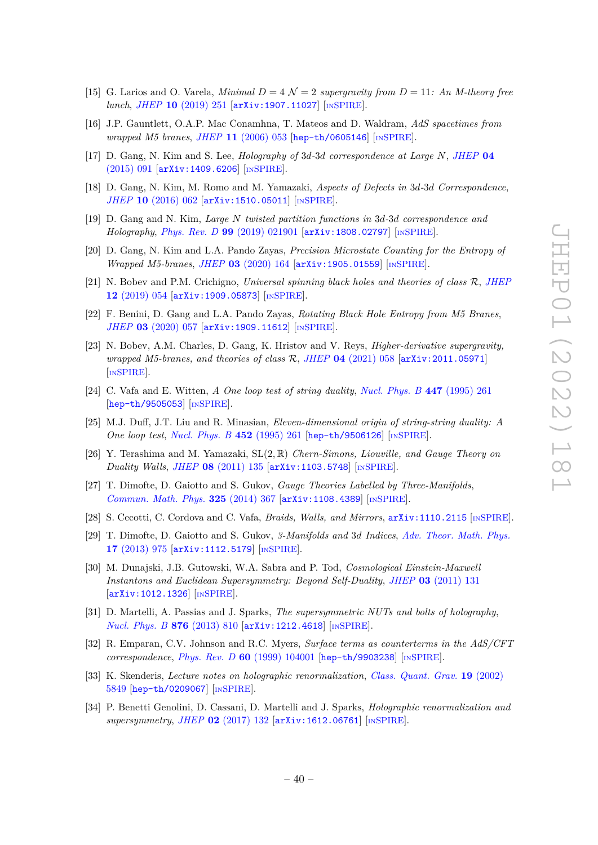- <span id="page-40-0"></span>[15] G. Larios and O. Varela, *Minimal*  $D = 4 \mathcal{N} = 2$  *supergravity from*  $D = 11$ *: An M-theory free lunch*, *JHEP* **10** [\(2019\) 251](https://doi.org/10.1007/JHEP10(2019)251) [[arXiv:1907.11027](https://arxiv.org/abs/1907.11027)] [IN[SPIRE](https://inspirehep.net/search?p=find+EPRINT%2BarXiv%3A1907.11027)].
- <span id="page-40-1"></span>[16] J.P. Gauntlett, O.A.P. Mac Conamhna, T. Mateos and D. Waldram, *AdS spacetimes from wrapped M5 branes*, *JHEP* **11** [\(2006\) 053](https://doi.org/10.1088/1126-6708/2006/11/053) [[hep-th/0605146](https://arxiv.org/abs/hep-th/0605146)] [IN[SPIRE](https://inspirehep.net/search?p=find+EPRINT%2Bhep-th%2F0605146)].
- <span id="page-40-2"></span>[17] D. Gang, N. Kim and S. Lee, *Holography of* 3*d-*3*d correspondence at Large N*, *[JHEP](https://doi.org/10.1007/JHEP04(2015)091)* **04** [\(2015\) 091](https://doi.org/10.1007/JHEP04(2015)091) [[arXiv:1409.6206](https://arxiv.org/abs/1409.6206)] [IN[SPIRE](https://inspirehep.net/search?p=find+EPRINT%2BarXiv%3A1409.6206)].
- [18] D. Gang, N. Kim, M. Romo and M. Yamazaki, *Aspects of Defects in* 3*d-*3*d Correspondence*, *JHEP* **10** [\(2016\) 062](https://doi.org/10.1007/JHEP10(2016)062) [[arXiv:1510.05011](https://arxiv.org/abs/1510.05011)] [IN[SPIRE](https://inspirehep.net/search?p=find+EPRINT%2BarXiv%3A1510.05011)].
- [19] D. Gang and N. Kim, *Large N twisted partition functions in* 3*d-*3*d correspondence and Holography*, *Phys. Rev. D* **99** [\(2019\) 021901](https://doi.org/10.1103/PhysRevD.99.021901) [[arXiv:1808.02797](https://arxiv.org/abs/1808.02797)] [IN[SPIRE](https://inspirehep.net/search?p=find+EPRINT%2BarXiv%3A1808.02797)].
- <span id="page-40-15"></span>[20] D. Gang, N. Kim and L.A. Pando Zayas, *Precision Microstate Counting for the Entropy of Wrapped M5-branes*, *JHEP* **03** [\(2020\) 164](https://doi.org/10.1007/JHEP03(2020)164) [[arXiv:1905.01559](https://arxiv.org/abs/1905.01559)] [IN[SPIRE](https://inspirehep.net/search?p=find+EPRINT%2BarXiv%3A1905.01559)].
- <span id="page-40-13"></span>[21] N. Bobev and P.M. Crichigno, *Universal spinning black holes and theories of class* R, *[JHEP](https://doi.org/10.1007/JHEP12(2019)054)* **12** [\(2019\) 054](https://doi.org/10.1007/JHEP12(2019)054) [[arXiv:1909.05873](https://arxiv.org/abs/1909.05873)] [IN[SPIRE](https://inspirehep.net/search?p=find+EPRINT%2BarXiv%3A1909.05873)].
- <span id="page-40-16"></span>[22] F. Benini, D. Gang and L.A. Pando Zayas, *Rotating Black Hole Entropy from M5 Branes*, *JHEP* 03 [\(2020\) 057](https://doi.org/10.1007/JHEP03(2020)057) [[arXiv:1909.11612](https://arxiv.org/abs/1909.11612)] [IN[SPIRE](https://inspirehep.net/search?p=find+EPRINT%2BarXiv%3A1909.11612)].
- <span id="page-40-3"></span>[23] N. Bobev, A.M. Charles, D. Gang, K. Hristov and V. Reys, *Higher-derivative supergravity, wrapped M5-branes, and theories of class* R, *JHEP* **04** [\(2021\) 058](https://doi.org/10.1007/JHEP04(2021)058) [[arXiv:2011.05971](https://arxiv.org/abs/2011.05971)] [IN[SPIRE](https://inspirehep.net/search?p=find+EPRINT%2BarXiv%3A2011.05971)].
- <span id="page-40-4"></span>[24] C. Vafa and E. Witten, *A One loop test of string duality*, *[Nucl. Phys. B](https://doi.org/10.1016/0550-3213(95)00280-6)* **447** (1995) 261 [[hep-th/9505053](https://arxiv.org/abs/hep-th/9505053)] [IN[SPIRE](https://inspirehep.net/search?p=find+EPRINT%2Bhep-th%2F9505053)].
- <span id="page-40-5"></span>[25] M.J. Duff, J.T. Liu and R. Minasian, *Eleven-dimensional origin of string-string duality: A One loop test*, *[Nucl. Phys. B](https://doi.org/10.1016/0550-3213(95)00368-3)* **452** (1995) 261 [[hep-th/9506126](https://arxiv.org/abs/hep-th/9506126)] [IN[SPIRE](https://inspirehep.net/search?p=find+EPRINT%2Bhep-th%2F9506126)].
- <span id="page-40-6"></span>[26] Y. Terashima and M. Yamazaki, SL(2*,* R) *Chern-Simons, Liouville, and Gauge Theory on Duality Walls*, *JHEP* **08** [\(2011\) 135](https://doi.org/10.1007/JHEP08(2011)135) [[arXiv:1103.5748](https://arxiv.org/abs/1103.5748)] [IN[SPIRE](https://inspirehep.net/search?p=find+EPRINT%2BarXiv%3A1103.5748)].
- <span id="page-40-14"></span>[27] T. Dimofte, D. Gaiotto and S. Gukov, *Gauge Theories Labelled by Three-Manifolds*, *[Commun. Math. Phys.](https://doi.org/10.1007/s00220-013-1863-2)* **325** (2014) 367 [[arXiv:1108.4389](https://arxiv.org/abs/1108.4389)] [IN[SPIRE](https://inspirehep.net/search?p=find+EPRINT%2BarXiv%3A1108.4389)].
- [28] S. Cecotti, C. Cordova and C. Vafa, *Braids, Walls, and Mirrors*, [arXiv:1110.2115](https://arxiv.org/abs/1110.2115) [IN[SPIRE](https://inspirehep.net/search?p=find+EPRINT%2BarXiv%3A1110.2115)].
- <span id="page-40-7"></span>[29] T. Dimofte, D. Gaiotto and S. Gukov, *3-Manifolds and* 3*d Indices*, *[Adv. Theor. Math. Phys.](https://doi.org/10.4310/ATMP.2013.v17.n5.a3)* **17** [\(2013\) 975](https://doi.org/10.4310/ATMP.2013.v17.n5.a3) [[arXiv:1112.5179](https://arxiv.org/abs/1112.5179)] [IN[SPIRE](https://inspirehep.net/search?p=find+EPRINT%2BarXiv%3A1112.5179)].
- <span id="page-40-8"></span>[30] M. Dunajski, J.B. Gutowski, W.A. Sabra and P. Tod, *Cosmological Einstein-Maxwell Instantons and Euclidean Supersymmetry: Beyond Self-Duality*, *JHEP* **03** [\(2011\) 131](https://doi.org/10.1007/JHEP03(2011)131)  $\vert$ [arXiv:1012.1326](https://arxiv.org/abs/1012.1326) $\vert$  [IN[SPIRE](https://inspirehep.net/search?p=find+EPRINT%2BarXiv%3A1012.1326)].
- <span id="page-40-9"></span>[31] D. Martelli, A. Passias and J. Sparks, *The supersymmetric NUTs and bolts of holography*, *[Nucl. Phys. B](https://doi.org/10.1016/j.nuclphysb.2013.04.026)* **876** (2013) 810 [[arXiv:1212.4618](https://arxiv.org/abs/1212.4618)] [IN[SPIRE](https://inspirehep.net/search?p=find+EPRINT%2BarXiv%3A1212.4618)].
- <span id="page-40-10"></span>[32] R. Emparan, C.V. Johnson and R.C. Myers, *Surface terms as counterterms in the AdS/CFT correspondence*, *Phys. Rev. D* **60** [\(1999\) 104001](https://doi.org/10.1103/PhysRevD.60.104001) [[hep-th/9903238](https://arxiv.org/abs/hep-th/9903238)] [IN[SPIRE](https://inspirehep.net/search?p=find+EPRINT%2Bhep-th%2F9903238)].
- <span id="page-40-11"></span>[33] K. Skenderis, *Lecture notes on holographic renormalization*, *[Class. Quant. Grav.](https://doi.org/10.1088/0264-9381/19/22/306)* **19** (2002) [5849](https://doi.org/10.1088/0264-9381/19/22/306) [[hep-th/0209067](https://arxiv.org/abs/hep-th/0209067)] [IN[SPIRE](https://inspirehep.net/search?p=find+EPRINT%2Bhep-th%2F0209067)].
- <span id="page-40-12"></span>[34] P. Benetti Genolini, D. Cassani, D. Martelli and J. Sparks, *Holographic renormalization and supersymmetry, JHEP* 02 [\(2017\) 132](https://doi.org/10.1007/JHEP02(2017)132) [[arXiv:1612.06761](https://arxiv.org/abs/1612.06761)] [IN[SPIRE](https://inspirehep.net/search?p=find+EPRINT%2BarXiv%3A1612.06761)].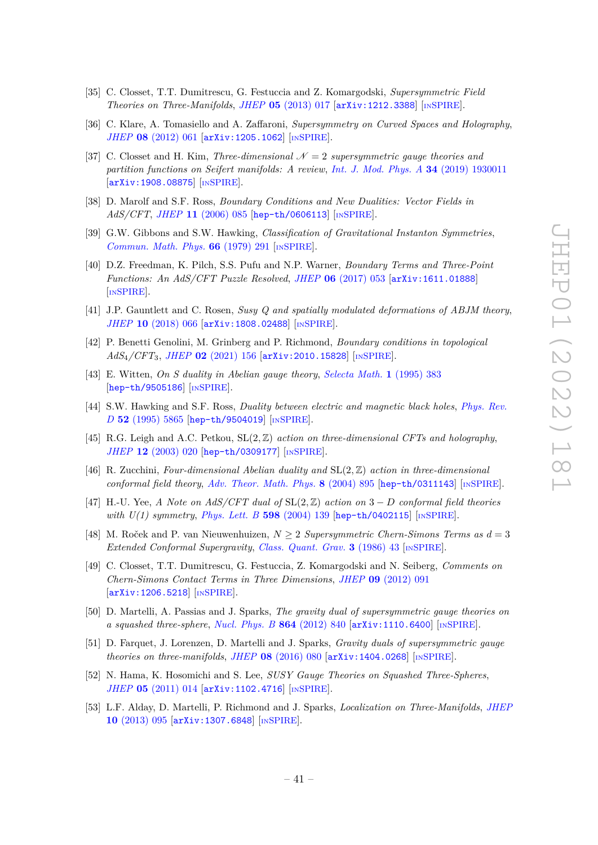- <span id="page-41-0"></span>[35] C. Closset, T.T. Dumitrescu, G. Festuccia and Z. Komargodski, *Supersymmetric Field Theories on Three-Manifolds*, *JHEP* **05** [\(2013\) 017](https://doi.org/10.1007/JHEP05(2013)017) [[arXiv:1212.3388](https://arxiv.org/abs/1212.3388)] [IN[SPIRE](https://inspirehep.net/search?p=find+EPRINT%2BarXiv%3A1212.3388)].
- <span id="page-41-1"></span>[36] C. Klare, A. Tomasiello and A. Zaffaroni, *Supersymmetry on Curved Spaces and Holography*, *JHEP* **08** [\(2012\) 061](https://doi.org/10.1007/JHEP08(2012)061) [[arXiv:1205.1062](https://arxiv.org/abs/1205.1062)] [IN[SPIRE](https://inspirehep.net/search?p=find+EPRINT%2BarXiv%3A1205.1062)].
- <span id="page-41-2"></span>[37] C. Closset and H. Kim, *Three-dimensional*  $\mathcal{N}=2$  *supersymmetric gauge theories and partition functions on Seifert manifolds: A review*, *[Int. J. Mod. Phys. A](https://doi.org/10.1142/S0217751X19300114)* **34** (2019) 1930011 [[arXiv:1908.08875](https://arxiv.org/abs/1908.08875)] [IN[SPIRE](https://inspirehep.net/search?p=find+EPRINT%2BarXiv%3A1908.08875)].
- <span id="page-41-3"></span>[38] D. Marolf and S.F. Ross, *Boundary Conditions and New Dualities: Vector Fields in AdS/CFT*, *JHEP* **11** [\(2006\) 085](https://doi.org/10.1088/1126-6708/2006/11/085) [[hep-th/0606113](https://arxiv.org/abs/hep-th/0606113)] [IN[SPIRE](https://inspirehep.net/search?p=find+EPRINT%2Bhep-th%2F0606113)].
- <span id="page-41-4"></span>[39] G.W. Gibbons and S.W. Hawking, *Classification of Gravitational Instanton Symmetries*, *[Commun. Math. Phys.](https://doi.org/10.1007/BF01197189)* **66** (1979) 291 [IN[SPIRE](https://inspirehep.net/search?p=find+J%20%22Commun.Math.Phys.%2C66%2C291%22)].
- <span id="page-41-6"></span>[40] D.Z. Freedman, K. Pilch, S.S. Pufu and N.P. Warner, *Boundary Terms and Three-Point Functions: An AdS/CFT Puzzle Resolved*, *JHEP* **06** [\(2017\) 053](https://doi.org/10.1007/JHEP06(2017)053) [[arXiv:1611.01888](https://arxiv.org/abs/1611.01888)] [IN[SPIRE](https://inspirehep.net/search?p=find+EPRINT%2BarXiv%3A1611.01888)].
- [41] J.P. Gauntlett and C. Rosen, *Susy Q and spatially modulated deformations of ABJM theory*, *JHEP* **10** [\(2018\) 066](https://doi.org/10.1007/JHEP10(2018)066) [[arXiv:1808.02488](https://arxiv.org/abs/1808.02488)] [IN[SPIRE](https://inspirehep.net/search?p=find+EPRINT%2BarXiv%3A1808.02488)].
- <span id="page-41-7"></span>[42] P. Benetti Genolini, M. Grinberg and P. Richmond, *Boundary conditions in topological AdS*4*/CFT*3, *JHEP* **02** [\(2021\) 156](https://doi.org/10.1007/JHEP02(2021)156) [[arXiv:2010.15828](https://arxiv.org/abs/2010.15828)] [IN[SPIRE](https://inspirehep.net/search?p=find+EPRINT%2BarXiv%3A2010.15828)].
- <span id="page-41-5"></span>[43] E. Witten, *On S duality in Abelian gauge theory*, *[Selecta Math.](https://doi.org/10.1007/BF01671570)* **1** (1995) 383 [[hep-th/9505186](https://arxiv.org/abs/hep-th/9505186)] [IN[SPIRE](https://inspirehep.net/search?p=find+EPRINT%2Bhep-th%2F9505186)].
- <span id="page-41-8"></span>[44] S.W. Hawking and S.F. Ross, *Duality between electric and magnetic black holes*, *[Phys. Rev.](https://doi.org/10.1103/PhysRevD.52.5865) D* **52** [\(1995\) 5865](https://doi.org/10.1103/PhysRevD.52.5865) [[hep-th/9504019](https://arxiv.org/abs/hep-th/9504019)] [IN[SPIRE](https://inspirehep.net/search?p=find+EPRINT%2Bhep-th%2F9504019)].
- [45] R.G. Leigh and A.C. Petkou, SL(2*,* Z) *action on three-dimensional CFTs and holography*, *JHEP* **12** [\(2003\) 020](https://doi.org/10.1088/1126-6708/2003/12/020) [[hep-th/0309177](https://arxiv.org/abs/hep-th/0309177)] [IN[SPIRE](https://inspirehep.net/search?p=find+EPRINT%2Bhep-th%2F0309177)].
- [46] R. Zucchini, *Four-dimensional Abelian duality and* SL(2*,* Z) *action in three-dimensional conformal field theory*, *[Adv. Theor. Math. Phys.](https://doi.org/10.4310/ATMP.2004.v8.n5.a5)* **8** (2004) 895 [[hep-th/0311143](https://arxiv.org/abs/hep-th/0311143)] [IN[SPIRE](https://inspirehep.net/search?p=find+EPRINT%2Bhep-th%2F0311143)].
- <span id="page-41-9"></span>[47] H.-U. Yee, *A Note on AdS/CFT dual of* SL(2*,* Z) *action on* 3 − *D conformal field theories with U(1) symmetry, [Phys. Lett. B](https://doi.org/10.1016/j.physletb.2004.05.082)* **598** (2004) 139 [[hep-th/0402115](https://arxiv.org/abs/hep-th/0402115)] [IN[SPIRE](https://inspirehep.net/search?p=find+EPRINT%2Bhep-th%2F0402115)].
- <span id="page-41-10"></span>[48] M. Roček and P. van Nieuwenhuizen, *N* ≥ 2 *Supersymmetric Chern-Simons Terms as d* = 3 *Extended Conformal Supergravity*, *[Class. Quant. Grav.](https://doi.org/10.1088/0264-9381/3/1/007)* **3** (1986) 43 [IN[SPIRE](https://inspirehep.net/search?p=find+J%20%22Class.Quant.Grav.%2C3%2C43%22)].
- <span id="page-41-11"></span>[49] C. Closset, T.T. Dumitrescu, G. Festuccia, Z. Komargodski and N. Seiberg, *Comments on Chern-Simons Contact Terms in Three Dimensions*, *JHEP* **09** [\(2012\) 091](https://doi.org/10.1007/JHEP09(2012)091) [[arXiv:1206.5218](https://arxiv.org/abs/1206.5218)] [IN[SPIRE](https://inspirehep.net/search?p=find+EPRINT%2BarXiv%3A1206.5218)].
- <span id="page-41-12"></span>[50] D. Martelli, A. Passias and J. Sparks, *The gravity dual of supersymmetric gauge theories on a squashed three-sphere*, *[Nucl. Phys. B](https://doi.org/10.1016/j.nuclphysb.2012.07.019)* **864** (2012) 840 [[arXiv:1110.6400](https://arxiv.org/abs/1110.6400)] [IN[SPIRE](https://inspirehep.net/search?p=find+EPRINT%2BarXiv%3A1110.6400)].
- <span id="page-41-13"></span>[51] D. Farquet, J. Lorenzen, D. Martelli and J. Sparks, *Gravity duals of supersymmetric gauge theories on three-manifolds*, *JHEP* **08** [\(2016\) 080](https://doi.org/10.1007/JHEP08(2016)080) [[arXiv:1404.0268](https://arxiv.org/abs/1404.0268)] [IN[SPIRE](https://inspirehep.net/search?p=find+EPRINT%2BarXiv%3A1404.0268)].
- <span id="page-41-14"></span>[52] N. Hama, K. Hosomichi and S. Lee, *SUSY Gauge Theories on Squashed Three-Spheres*, *JHEP* **05** [\(2011\) 014](https://doi.org/10.1007/JHEP05(2011)014) [[arXiv:1102.4716](https://arxiv.org/abs/1102.4716)] [IN[SPIRE](https://inspirehep.net/search?p=find+EPRINT%2BarXiv%3A1102.4716)].
- <span id="page-41-15"></span>[53] L.F. Alday, D. Martelli, P. Richmond and J. Sparks, *Localization on Three-Manifolds*, *[JHEP](https://doi.org/10.1007/JHEP10(2013)095)* **10** [\(2013\) 095](https://doi.org/10.1007/JHEP10(2013)095) [[arXiv:1307.6848](https://arxiv.org/abs/1307.6848)] [IN[SPIRE](https://inspirehep.net/search?p=find+EPRINT%2BarXiv%3A1307.6848)].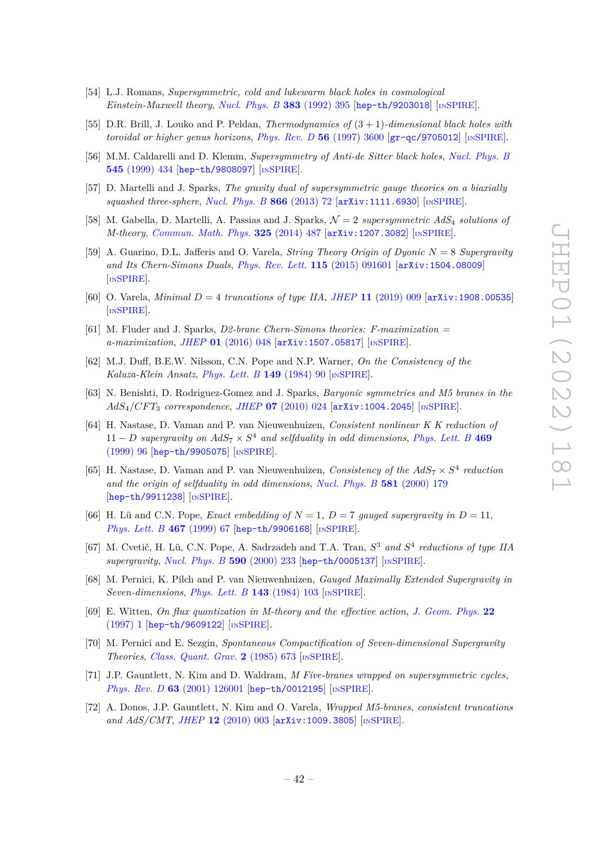- <span id="page-42-0"></span>[54] L.J. Romans, *Supersymmetric, cold and lukewarm black holes in cosmological Einstein-Maxwell theory*, *[Nucl. Phys. B](https://doi.org/10.1016/0550-3213(92)90684-4)* **383** (1992) 395 [[hep-th/9203018](https://arxiv.org/abs/hep-th/9203018)] [IN[SPIRE](https://inspirehep.net/search?p=find+EPRINT%2Bhep-th%2F9203018)].
- [55] D.R. Brill, J. Louko and P. Peldan, *Thermodynamics of* (3 + 1)*-dimensional black holes with toroidal or higher genus horizons*, *[Phys. Rev. D](https://doi.org/10.1103/PhysRevD.56.3600)* **56** (1997) 3600 [[gr-qc/9705012](https://arxiv.org/abs/gr-qc/9705012)] [IN[SPIRE](https://inspirehep.net/search?p=find+EPRINT%2Bgr-qc%2F9705012)].
- <span id="page-42-1"></span>[56] M.M. Caldarelli and D. Klemm, *Supersymmetry of Anti-de Sitter black holes*, *[Nucl. Phys. B](https://doi.org/10.1016/S0550-3213(98)00846-3)* **545** [\(1999\) 434](https://doi.org/10.1016/S0550-3213(98)00846-3) [[hep-th/9808097](https://arxiv.org/abs/hep-th/9808097)] [IN[SPIRE](https://inspirehep.net/search?p=find+EPRINT%2Bhep-th%2F9808097)].
- <span id="page-42-2"></span>[57] D. Martelli and J. Sparks, *The gravity dual of supersymmetric gauge theories on a biaxially squashed three-sphere*, *[Nucl. Phys. B](https://doi.org/10.1016/j.nuclphysb.2012.08.015)* **866** (2013) 72 [[arXiv:1111.6930](https://arxiv.org/abs/1111.6930)] [IN[SPIRE](https://inspirehep.net/search?p=find+EPRINT%2BarXiv%3A1111.6930)].
- <span id="page-42-3"></span>[58] M. Gabella, D. Martelli, A. Passias and J. Sparks, N = 2 *supersymmetric AdS*<sup>4</sup> *solutions of M-theory*, *[Commun. Math. Phys.](https://doi.org/10.1007/s00220-013-1865-0)* **325** (2014) 487 [[arXiv:1207.3082](https://arxiv.org/abs/1207.3082)] [IN[SPIRE](https://inspirehep.net/search?p=find+EPRINT%2BarXiv%3A1207.3082)].
- <span id="page-42-4"></span>[59] A. Guarino, D.L. Jafferis and O. Varela, *String Theory Origin of Dyonic N* = 8 *Supergravity and Its Chern-Simons Duals*, *[Phys. Rev. Lett.](https://doi.org/10.1103/PhysRevLett.115.091601)* **115** (2015) 091601 [[arXiv:1504.08009](https://arxiv.org/abs/1504.08009)] [IN[SPIRE](https://inspirehep.net/search?p=find+EPRINT%2BarXiv%3A1504.08009)].
- <span id="page-42-5"></span>[60] O. Varela, *Minimal D* = 4 *truncations of type IIA*, *JHEP* **11** [\(2019\) 009](https://doi.org/10.1007/JHEP11(2019)009) [[arXiv:1908.00535](https://arxiv.org/abs/1908.00535)] [IN[SPIRE](https://inspirehep.net/search?p=find+EPRINT%2BarXiv%3A1908.00535)].
- <span id="page-42-6"></span>[61] M. Fluder and J. Sparks, *D2-brane Chern-Simons theories: F-maximization = a-maximization*, *JHEP* **01** [\(2016\) 048](https://doi.org/10.1007/JHEP01(2016)048) [[arXiv:1507.05817](https://arxiv.org/abs/1507.05817)] [IN[SPIRE](https://inspirehep.net/search?p=find+EPRINT%2BarXiv%3A1507.05817)].
- <span id="page-42-7"></span>[62] M.J. Duff, B.E.W. Nilsson, C.N. Pope and N.P. Warner, *On the Consistency of the Kaluza-Klein Ansatz*, *[Phys. Lett. B](https://doi.org/10.1016/0370-2693(84)91558-2)* **149** (1984) 90 [IN[SPIRE](https://inspirehep.net/search?p=find+J%20%22Phys.Lett.%2CB149%2C90%22)].
- <span id="page-42-8"></span>[63] N. Benishti, D. Rodriguez-Gomez and J. Sparks, *Baryonic symmetries and M5 branes in the AdS*4*/CF T*<sup>3</sup> *correspondence*, *JHEP* **07** [\(2010\) 024](https://doi.org/10.1007/JHEP07(2010)024) [[arXiv:1004.2045](https://arxiv.org/abs/1004.2045)] [IN[SPIRE](https://inspirehep.net/search?p=find+EPRINT%2BarXiv%3A1004.2045)].
- <span id="page-42-9"></span>[64] H. Nastase, D. Vaman and P. van Nieuwenhuizen, *Consistent nonlinear K K reduction of*  $11 - D$  *supergravity on*  $AdS_7 \times S^4$  *and selfduality in odd dimensions, [Phys. Lett. B](https://doi.org/10.1016/S0370-2693(99)01266-6)* 469 [\(1999\) 96](https://doi.org/10.1016/S0370-2693(99)01266-6) [[hep-th/9905075](https://arxiv.org/abs/hep-th/9905075)] [IN[SPIRE](https://inspirehep.net/search?p=find+EPRINT%2Bhep-th%2F9905075)].
- <span id="page-42-10"></span>[65] H. Nastase, D. Vaman and P. van Nieuwenhuizen, *Consistency of the AdS*<sup>7</sup> × *S* 4 *reduction and the origin of selfduality in odd dimensions*, *[Nucl. Phys. B](https://doi.org/10.1016/S0550-3213(00)00193-0)* **581** (2000) 179 [[hep-th/9911238](https://arxiv.org/abs/hep-th/9911238)] [IN[SPIRE](https://inspirehep.net/search?p=find+EPRINT%2Bhep-th%2F9911238)].
- <span id="page-42-12"></span>[66] H. Lü and C.N. Pope, *Exact embedding of*  $N = 1$ ,  $D = 7$  *gauged supergravity in*  $D = 11$ . *[Phys. Lett. B](https://doi.org/10.1016/S0370-2693(99)01170-3)* **467** (1999) 67 [[hep-th/9906168](https://arxiv.org/abs/hep-th/9906168)] [IN[SPIRE](https://inspirehep.net/search?p=find+EPRINT%2Bhep-th%2F9906168)].
- <span id="page-42-11"></span>[67] M. Cvetič, H. Lü, C.N. Pope, A. Sadrzadeh and T.A. Tran, *S* <sup>3</sup> *and S* 4 *reductions of type IIA supergravity*, *[Nucl. Phys. B](https://doi.org/10.1016/S0550-3213(00)00466-1)* **590** (2000) 233 [[hep-th/0005137](https://arxiv.org/abs/hep-th/0005137)] [IN[SPIRE](https://inspirehep.net/search?p=find+EPRINT%2Bhep-th%2F0005137)].
- <span id="page-42-13"></span>[68] M. Pernici, K. Pilch and P. van Nieuwenhuizen, *Gauged Maximally Extended Supergravity in Seven-dimensions*, *[Phys. Lett. B](https://doi.org/10.1016/0370-2693(84)90813-X)* **143** (1984) 103 [IN[SPIRE](https://inspirehep.net/search?p=find+J%20%22Phys.Lett.%2CB143%2C103%22)].
- <span id="page-42-16"></span>[69] E. Witten, *On flux quantization in M-theory and the effective action*, *[J. Geom. Phys.](https://doi.org/10.1016/S0393-0440(96)00042-3)* **22** [\(1997\) 1](https://doi.org/10.1016/S0393-0440(96)00042-3) [[hep-th/9609122](https://arxiv.org/abs/hep-th/9609122)] [IN[SPIRE](https://inspirehep.net/search?p=find+EPRINT%2Bhep-th%2F9609122)].
- <span id="page-42-14"></span>[70] M. Pernici and E. Sezgin, *Spontaneous Compactification of Seven-dimensional Supergravity Theories*, *[Class. Quant. Grav.](https://doi.org/10.1088/0264-9381/2/5/009)* **2** (1985) 673 [IN[SPIRE](https://inspirehep.net/search?p=find+J%20%22Class.Quant.Grav.%2C2%2C673%22)].
- <span id="page-42-15"></span>[71] J.P. Gauntlett, N. Kim and D. Waldram, *M Five-branes wrapped on supersymmetric cycles*, *Phys. Rev. D* **63** [\(2001\) 126001](https://doi.org/10.1103/PhysRevD.63.126001) [[hep-th/0012195](https://arxiv.org/abs/hep-th/0012195)] [IN[SPIRE](https://inspirehep.net/search?p=find+EPRINT%2Bhep-th%2F0012195)].
- <span id="page-42-17"></span>[72] A. Donos, J.P. Gauntlett, N. Kim and O. Varela, *Wrapped M5-branes, consistent truncations and AdS/CMT*, *JHEP* **12** [\(2010\) 003](https://doi.org/10.1007/JHEP12(2010)003) [[arXiv:1009.3805](https://arxiv.org/abs/1009.3805)] [IN[SPIRE](https://inspirehep.net/search?p=find+EPRINT%2BarXiv%3A1009.3805)].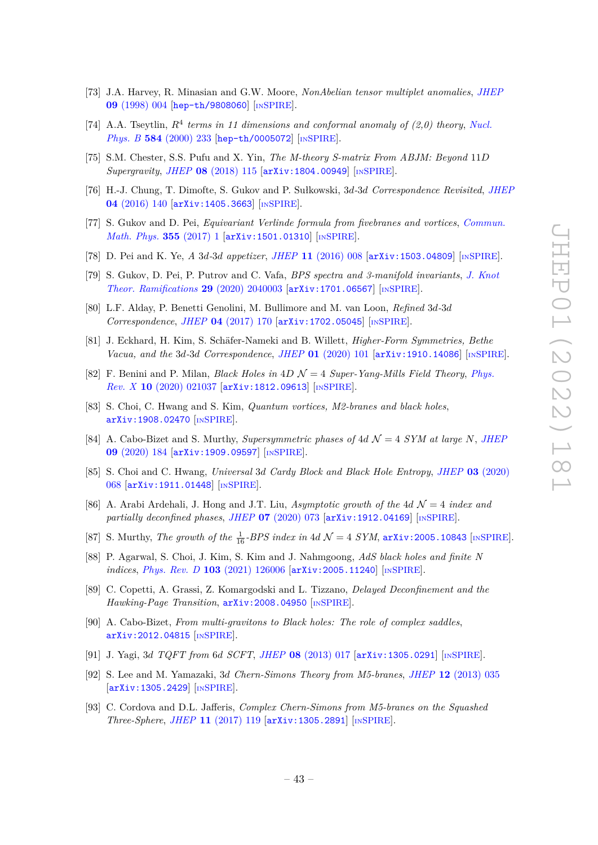- <span id="page-43-0"></span>[73] J.A. Harvey, R. Minasian and G.W. Moore, *NonAbelian tensor multiplet anomalies*, *[JHEP](https://doi.org/10.1088/1126-6708/1998/09/004)* **09** [\(1998\) 004](https://doi.org/10.1088/1126-6708/1998/09/004) [[hep-th/9808060](https://arxiv.org/abs/hep-th/9808060)] [IN[SPIRE](https://inspirehep.net/search?p=find+EPRINT%2Bhep-th%2F9808060)].
- <span id="page-43-1"></span>[74] A.A. Tseytlin,  $R^4$  terms in 11 dimensions and conformal anomaly of (2,0) theory, [Nucl.](https://doi.org/10.1016/S0550-3213(00)00380-1) *Phys. B* **584** [\(2000\) 233](https://doi.org/10.1016/S0550-3213(00)00380-1) [[hep-th/0005072](https://arxiv.org/abs/hep-th/0005072)] [IN[SPIRE](https://inspirehep.net/search?p=find+EPRINT%2Bhep-th%2F0005072)].
- <span id="page-43-2"></span>[75] S.M. Chester, S.S. Pufu and X. Yin, *The M-theory S-matrix From ABJM: Beyond* 11*D Supergravity*, *JHEP* **08** [\(2018\) 115](https://doi.org/10.1007/JHEP08(2018)115) [[arXiv:1804.00949](https://arxiv.org/abs/1804.00949)] [IN[SPIRE](https://inspirehep.net/search?p=find+EPRINT%2BarXiv%3A1804.00949)].
- <span id="page-43-3"></span>[76] H.-J. Chung, T. Dimofte, S. Gukov and P. Sułkowski, 3*d-*3*d Correspondence Revisited*, *[JHEP](https://doi.org/10.1007/JHEP04(2016)140)* **04** [\(2016\) 140](https://doi.org/10.1007/JHEP04(2016)140) [[arXiv:1405.3663](https://arxiv.org/abs/1405.3663)] [IN[SPIRE](https://inspirehep.net/search?p=find+EPRINT%2BarXiv%3A1405.3663)].
- <span id="page-43-7"></span>[77] S. Gukov and D. Pei, *Equivariant Verlinde formula from fivebranes and vortices*, *[Commun.](https://doi.org/10.1007/s00220-017-2931-9) [Math. Phys.](https://doi.org/10.1007/s00220-017-2931-9)* **355** (2017) 1 [[arXiv:1501.01310](https://arxiv.org/abs/1501.01310)] [IN[SPIRE](https://inspirehep.net/search?p=find+EPRINT%2BarXiv%3A1501.01310)].
- [78] D. Pei and K. Ye, *A* 3*d-*3*d appetizer*, *JHEP* **11** [\(2016\) 008](https://doi.org/10.1007/JHEP11(2016)008) [[arXiv:1503.04809](https://arxiv.org/abs/1503.04809)] [IN[SPIRE](https://inspirehep.net/search?p=find+EPRINT%2BarXiv%3A1503.04809)].
- [79] S. Gukov, D. Pei, P. Putrov and C. Vafa, *BPS spectra and 3-manifold invariants*, *[J. Knot](https://doi.org/10.1142/S0218216520400039) [Theor. Ramifications](https://doi.org/10.1142/S0218216520400039)* **29** (2020) 2040003 [[arXiv:1701.06567](https://arxiv.org/abs/1701.06567)] [IN[SPIRE](https://inspirehep.net/search?p=find+EPRINT%2BarXiv%3A1701.06567)].
- [80] L.F. Alday, P. Benetti Genolini, M. Bullimore and M. van Loon, *Refined* 3*d-*3*d Correspondence*, *JHEP* **04** [\(2017\) 170](https://doi.org/10.1007/JHEP04(2017)170) [[arXiv:1702.05045](https://arxiv.org/abs/1702.05045)] [IN[SPIRE](https://inspirehep.net/search?p=find+EPRINT%2BarXiv%3A1702.05045)].
- <span id="page-43-8"></span>[81] J. Eckhard, H. Kim, S. Schäfer-Nameki and B. Willett, *Higher-Form Symmetries, Bethe Vacua, and the* 3*d-*3*d Correspondence*, *JHEP* **01** [\(2020\) 101](https://doi.org/10.1007/JHEP01(2020)101) [[arXiv:1910.14086](https://arxiv.org/abs/1910.14086)] [IN[SPIRE](https://inspirehep.net/search?p=find+EPRINT%2BarXiv%3A1910.14086)].
- <span id="page-43-4"></span>[82] F. Benini and P. Milan, *Black Holes in* 4*D* N = 4 *Super-Yang-Mills Field Theory*, *[Phys.](https://doi.org/10.1103/PhysRevX.10.021037) Rev. X* **10** [\(2020\) 021037](https://doi.org/10.1103/PhysRevX.10.021037) [[arXiv:1812.09613](https://arxiv.org/abs/1812.09613)] [IN[SPIRE](https://inspirehep.net/search?p=find+EPRINT%2BarXiv%3A1812.09613)].
- [83] S. Choi, C. Hwang and S. Kim, *Quantum vortices, M2-branes and black holes*, [arXiv:1908.02470](https://arxiv.org/abs/1908.02470) [IN[SPIRE](https://inspirehep.net/search?p=find+EPRINT%2BarXiv%3A1908.02470)].
- [84] A. Cabo-Bizet and S. Murthy, *Supersymmetric phases of 4d*  $\mathcal{N} = 4$  *SYM at large N*, *[JHEP](https://doi.org/10.1007/JHEP09(2020)184)* **09** [\(2020\) 184](https://doi.org/10.1007/JHEP09(2020)184) [[arXiv:1909.09597](https://arxiv.org/abs/1909.09597)] [IN[SPIRE](https://inspirehep.net/search?p=find+EPRINT%2BarXiv%3A1909.09597)].
- [85] S. Choi and C. Hwang, *Universal* 3*d Cardy Block and Black Hole Entropy*, *JHEP* **03** [\(2020\)](https://doi.org/10.1007/JHEP03(2020)068) [068](https://doi.org/10.1007/JHEP03(2020)068) [[arXiv:1911.01448](https://arxiv.org/abs/1911.01448)] [IN[SPIRE](https://inspirehep.net/search?p=find+EPRINT%2BarXiv%3A1911.01448)].
- [86] A. Arabi Ardehali, J. Hong and J.T. Liu, *Asymptotic growth of the* 4*d*  $\mathcal{N}=4$  *index and partially deconfined phases*, *JHEP* **07** [\(2020\) 073](https://doi.org/10.1007/JHEP07(2020)073) [[arXiv:1912.04169](https://arxiv.org/abs/1912.04169)] [IN[SPIRE](https://inspirehep.net/search?p=find+EPRINT%2BarXiv%3A1912.04169)].
- [87] S. Murthy, *The growth of the*  $\frac{1}{16}$ -*BPS index in* 4*d*  $\mathcal{N} = 4$  *SYM*, [arXiv:2005.10843](https://arxiv.org/abs/2005.10843) [IN[SPIRE](https://inspirehep.net/search?p=find+EPRINT%2BarXiv%3A2005.10843)].
- [88] P. Agarwal, S. Choi, J. Kim, S. Kim and J. Nahmgoong, *AdS black holes and finite N indices*, *Phys. Rev. D* **103** [\(2021\) 126006](https://doi.org/10.1103/PhysRevD.103.126006) [[arXiv:2005.11240](https://arxiv.org/abs/2005.11240)] [IN[SPIRE](https://inspirehep.net/search?p=find+EPRINT%2BarXiv%3A2005.11240)].
- [89] C. Copetti, A. Grassi, Z. Komargodski and L. Tizzano, *Delayed Deconfinement and the Hawking-Page Transition*, [arXiv:2008.04950](https://arxiv.org/abs/2008.04950) [IN[SPIRE](https://inspirehep.net/search?p=find+EPRINT%2BarXiv%3A2008.04950)].
- <span id="page-43-5"></span>[90] A. Cabo-Bizet, *From multi-gravitons to Black holes: The role of complex saddles*, [arXiv:2012.04815](https://arxiv.org/abs/2012.04815) [IN[SPIRE](https://inspirehep.net/search?p=find+EPRINT%2BarXiv%3A2012.04815)].
- <span id="page-43-6"></span>[91] J. Yagi, 3*d TQFT from* 6*d SCFT*, *JHEP* **08** [\(2013\) 017](https://doi.org/10.1007/JHEP08(2013)017) [[arXiv:1305.0291](https://arxiv.org/abs/1305.0291)] [IN[SPIRE](https://inspirehep.net/search?p=find+EPRINT%2BarXiv%3A1305.0291)].
- [92] S. Lee and M. Yamazaki, 3*d Chern-Simons Theory from M5-branes*, *JHEP* **12** [\(2013\) 035](https://doi.org/10.1007/JHEP12(2013)035) [[arXiv:1305.2429](https://arxiv.org/abs/1305.2429)] [IN[SPIRE](https://inspirehep.net/search?p=find+EPRINT%2BarXiv%3A1305.2429)].
- [93] C. Cordova and D.L. Jafferis, *Complex Chern-Simons from M5-branes on the Squashed Three-Sphere*, *JHEP* **11** [\(2017\) 119](https://doi.org/10.1007/JHEP11(2017)119) [[arXiv:1305.2891](https://arxiv.org/abs/1305.2891)] [IN[SPIRE](https://inspirehep.net/search?p=find+EPRINT%2BarXiv%3A1305.2891)].